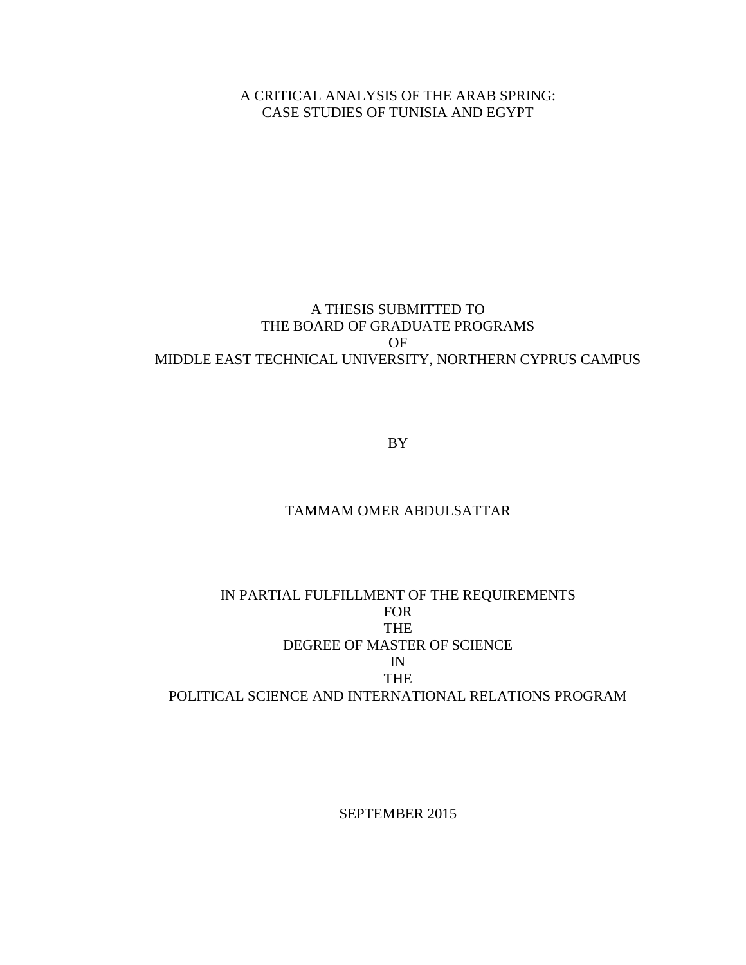A CRITICAL ANALYSIS OF THE ARAB SPRING: CASE STUDIES OF TUNISIA AND EGYPT

### A THESIS SUBMITTED TO THE BOARD OF GRADUATE PROGRAMS OF MIDDLE EAST TECHNICAL UNIVERSITY, NORTHERN CYPRUS CAMPUS

BY

### TAMMAM OMER ABDULSATTAR

### IN PARTIAL FULFILLMENT OF THE REQUIREMENTS FOR THE DEGREE OF MASTER OF SCIENCE IN THE POLITICAL SCIENCE AND INTERNATIONAL RELATIONS PROGRAM

SEPTEMBER 2015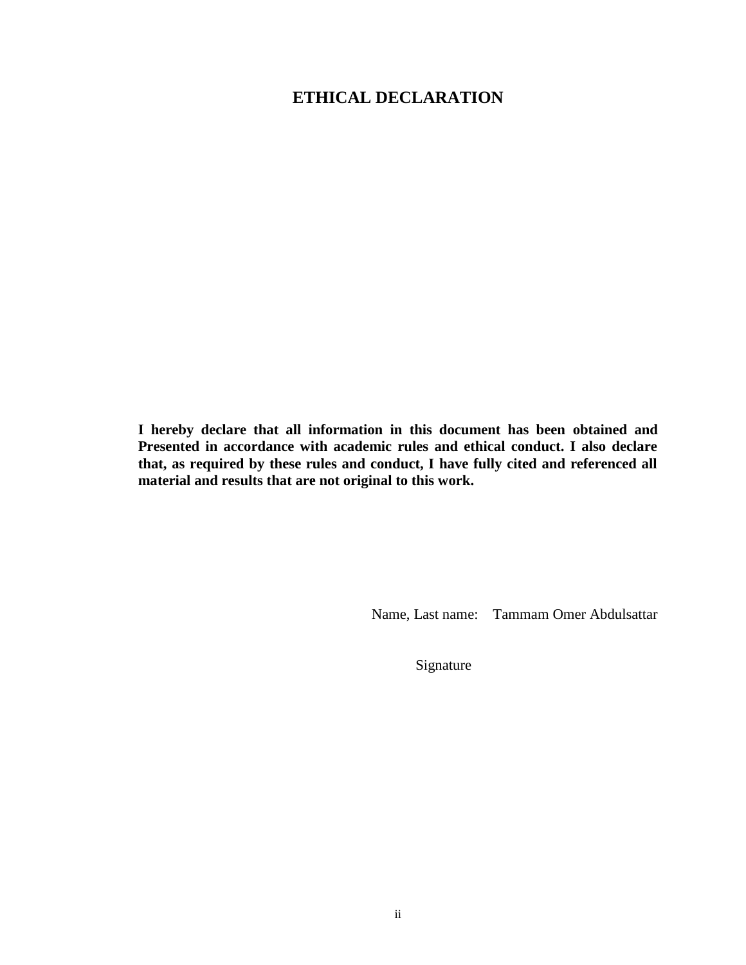## **ETHICAL DECLARATION**

**I hereby declare that all information in this document has been obtained and Presented in accordance with academic rules and ethical conduct. I also declare that, as required by these rules and conduct, I have fully cited and referenced all material and results that are not original to this work.**

Name, Last name: Tammam Omer Abdulsattar

Signature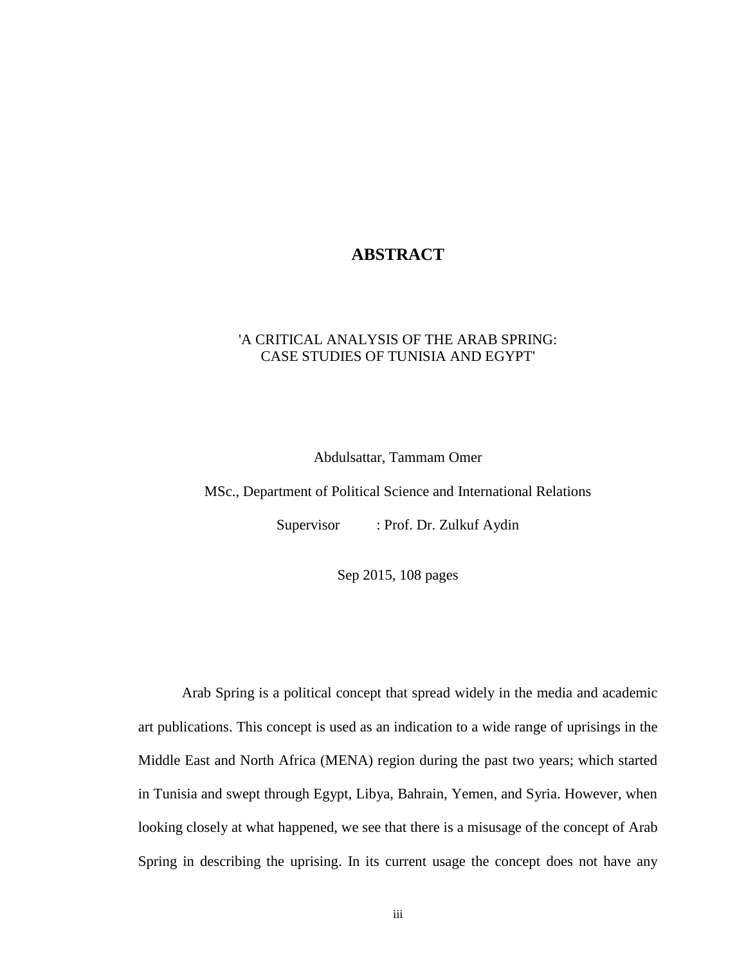### **ABSTRACT**

#### 'A CRITICAL ANALYSIS OF THE ARAB SPRING: CASE STUDIES OF TUNISIA AND EGYPT'

Abdulsattar, Tammam Omer

MSc., Department of Political Science and International Relations

Supervisor : Prof. Dr. Zulkuf Aydin

Sep 2015, 108 pages

Arab Spring is a political concept that spread widely in the media and academic art publications. This concept is used as an indication to a wide range of uprisings in the Middle East and North Africa (MENA) region during the past two years; which started in Tunisia and swept through Egypt, Libya, Bahrain, Yemen, and Syria. However, when looking closely at what happened, we see that there is a misusage of the concept of Arab Spring in describing the uprising. In its current usage the concept does not have any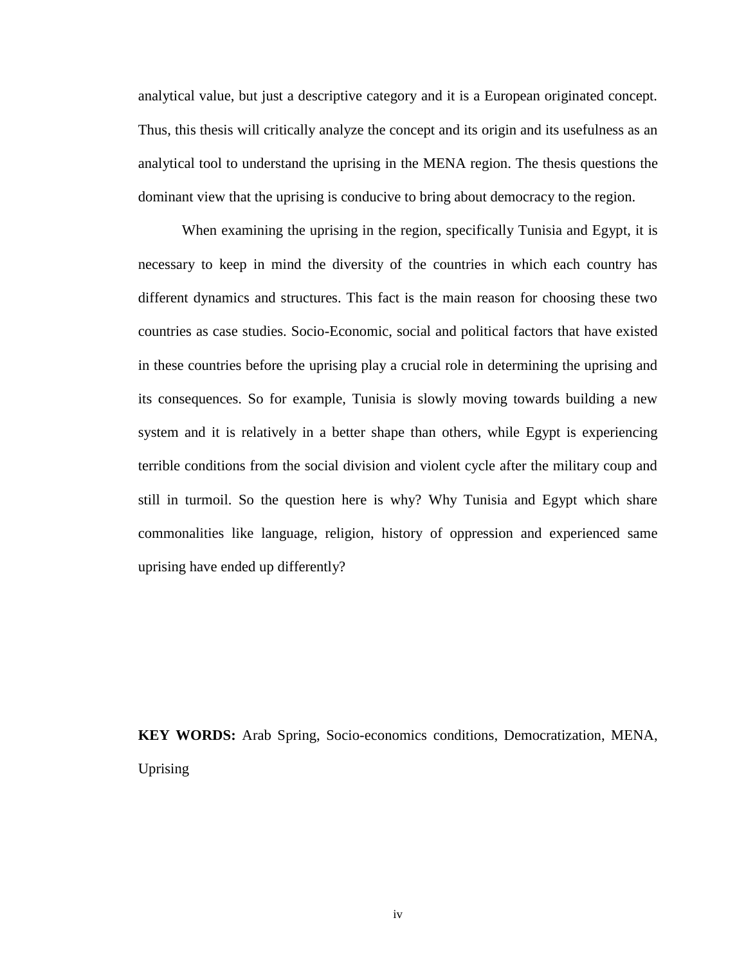analytical value, but just a descriptive category and it is a European originated concept. Thus, this thesis will critically analyze the concept and its origin and its usefulness as an analytical tool to understand the uprising in the MENA region. The thesis questions the dominant view that the uprising is conducive to bring about democracy to the region.

When examining the uprising in the region, specifically Tunisia and Egypt, it is necessary to keep in mind the diversity of the countries in which each country has different dynamics and structures. This fact is the main reason for choosing these two countries as case studies. Socio-Economic, social and political factors that have existed in these countries before the uprising play a crucial role in determining the uprising and its consequences. So for example, Tunisia is slowly moving towards building a new system and it is relatively in a better shape than others, while Egypt is experiencing terrible conditions from the social division and violent cycle after the military coup and still in turmoil. So the question here is why? Why Tunisia and Egypt which share commonalities like language, religion, history of oppression and experienced same uprising have ended up differently?

**KEY WORDS:** Arab Spring, Socio-economics conditions, Democratization, MENA, Uprising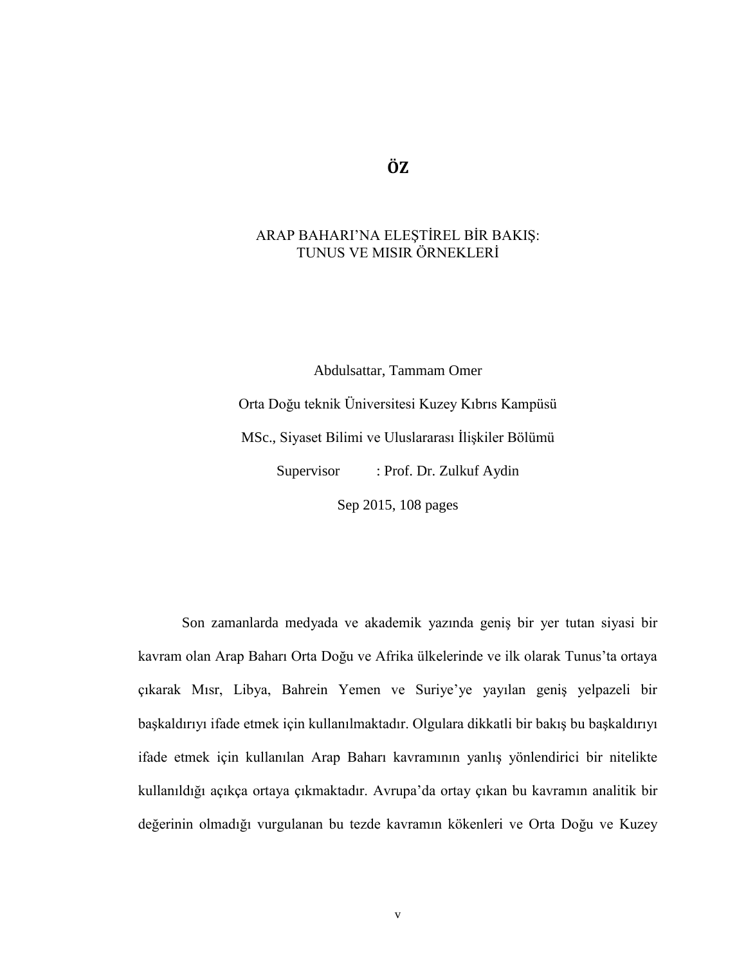## **ÖZ**

### ARAP BAHARI'NA ELEŞTİREL BİR BAKIŞ: TUNUS VE MISIR ÖRNEKLERİ

Abdulsattar, Tammam Omer

Orta Doğu teknik Üniversitesi Kuzey Kıbrıs Kampüsü MSc., Siyaset Bilimi ve Uluslararası İlişkiler Bölümü Supervisor : Prof. Dr. Zulkuf Aydin

Sep 2015, 108 pages

Son zamanlarda medyada ve akademik yazında geniş bir yer tutan siyasi bir kavram olan Arap Baharı Orta Doğu ve Afrika ülkelerinde ve ilk olarak Tunus'ta ortaya çıkarak Mısr, Libya, Bahrein Yemen ve Suriye'ye yayılan geniş yelpazeli bir başkaldırıyı ifade etmek için kullanılmaktadır. Olgulara dikkatli bir bakış bu başkaldırıyı ifade etmek için kullanılan Arap Baharı kavramının yanlış yönlendirici bir nitelikte kullanıldığı açıkça ortaya çıkmaktadır. Avrupa'da ortay çıkan bu kavramın analitik bir değerinin olmadığı vurgulanan bu tezde kavramın kökenleri ve Orta Doğu ve Kuzey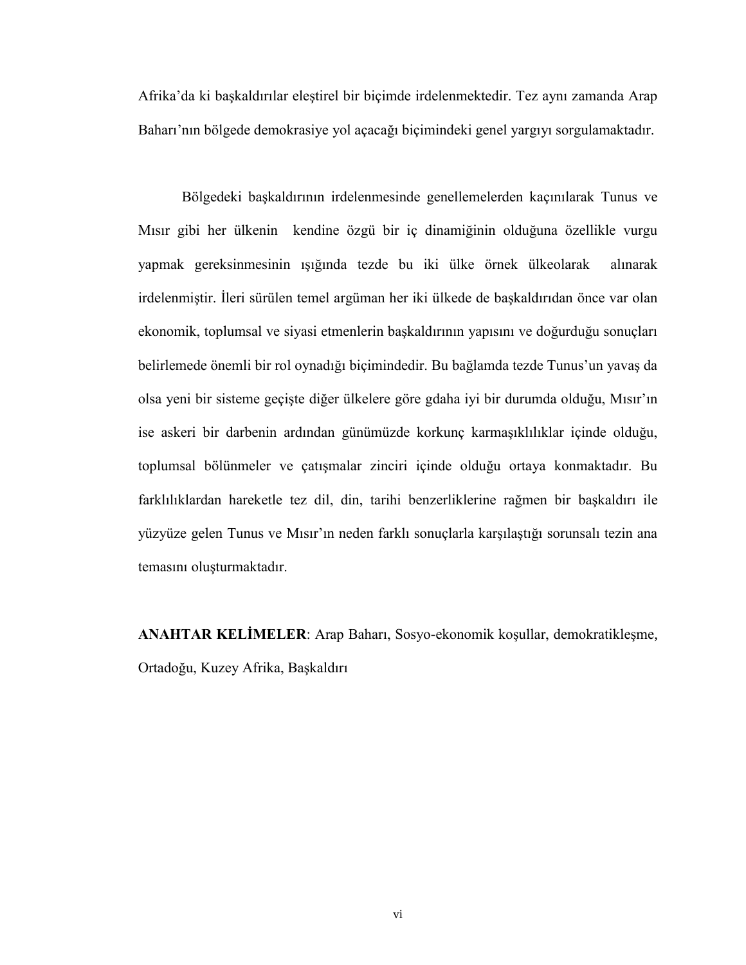Afrika'da ki başkaldırılar eleştirel bir biçimde irdelenmektedir. Tez aynı zamanda Arap Baharı'nın bölgede demokrasiye yol açacağı biçimindeki genel yargıyı sorgulamaktadır.

Bölgedeki başkaldırının irdelenmesinde genellemelerden kaçınılarak Tunus ve Mısır gibi her ülkenin kendine özgü bir iç dinamiğinin olduğuna özellikle vurgu yapmak gereksinmesinin ışığında tezde bu iki ülke örnek ülkeolarak alınarak irdelenmiştir. İleri sürülen temel argüman her iki ülkede de başkaldırıdan önce var olan ekonomik, toplumsal ve siyasi etmenlerin başkaldırının yapısını ve doğurduğu sonuçları belirlemede önemli bir rol oynadığı biçimindedir. Bu bağlamda tezde Tunus'un yavaş da olsa yeni bir sisteme geçişte diğer ülkelere göre gdaha iyi bir durumda olduğu, Mısır'ın ise askeri bir darbenin ardından günümüzde korkunç karmaşıklılıklar içinde olduğu, toplumsal bölünmeler ve çatışmalar zinciri içinde olduğu ortaya konmaktadır. Bu farklılıklardan hareketle tez dil, din, tarihi benzerliklerine rağmen bir başkaldırı ile yüzyüze gelen Tunus ve Mısır'ın neden farklı sonuçlarla karşılaştığı sorunsalı tezin ana temasını oluşturmaktadır.

**ANAHTAR KELİMELER**: Arap Baharı, Sosyo-ekonomik koşullar, demokratikleşme, Ortadoğu, Kuzey Afrika, Başkaldırı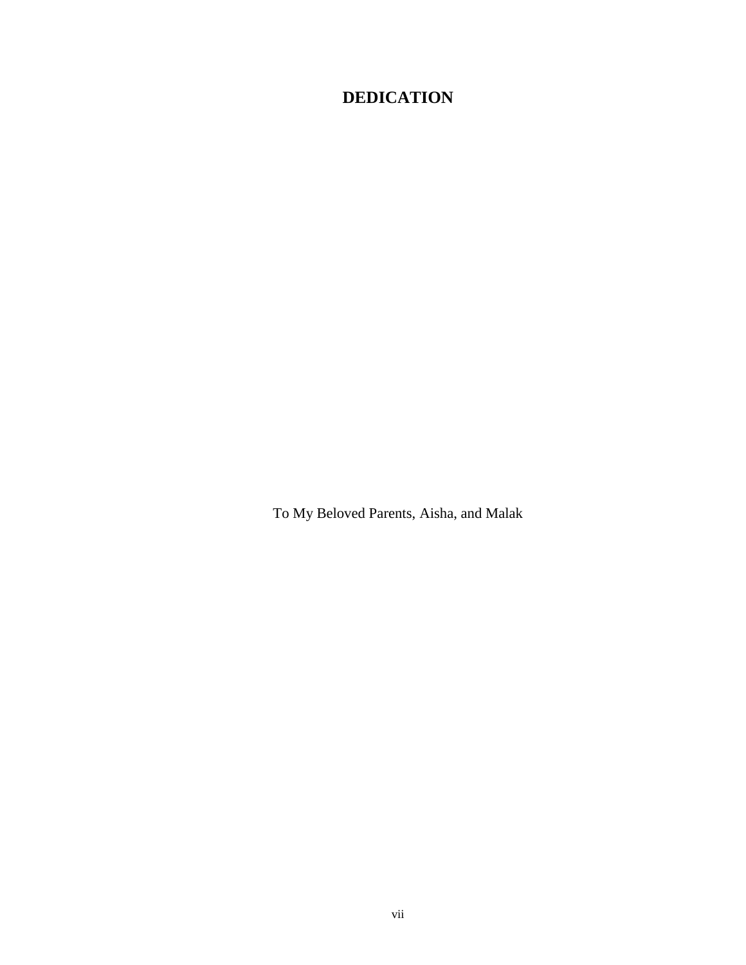# **DEDICATION**

To My Beloved Parents, Aisha, and Malak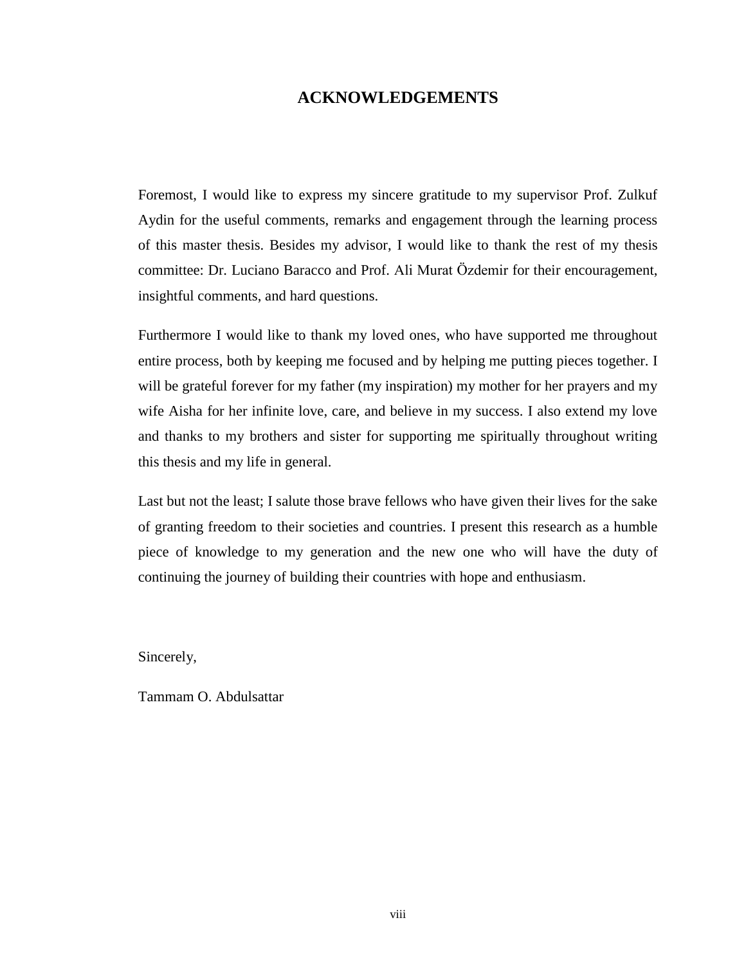### **ACKNOWLEDGEMENTS**

Foremost, I would like to express my sincere gratitude to my supervisor Prof. Zulkuf Aydin for the useful comments, remarks and engagement through the learning process of this master thesis. Besides my advisor, I would like to thank the rest of my thesis committee: Dr. Luciano Baracco and Prof. Ali Murat Özdemir for their encouragement, insightful comments, and hard questions.

Furthermore I would like to thank my loved ones, who have supported me throughout entire process, both by keeping me focused and by helping me putting pieces together. I will be grateful forever for my father (my inspiration) my mother for her prayers and my wife Aisha for her infinite love, care, and believe in my success. I also extend my love and thanks to my brothers and sister for supporting me spiritually throughout writing this thesis and my life in general.

Last but not the least; I salute those brave fellows who have given their lives for the sake of granting freedom to their societies and countries. I present this research as a humble piece of knowledge to my generation and the new one who will have the duty of continuing the journey of building their countries with hope and enthusiasm.

Sincerely,

Tammam O. Abdulsattar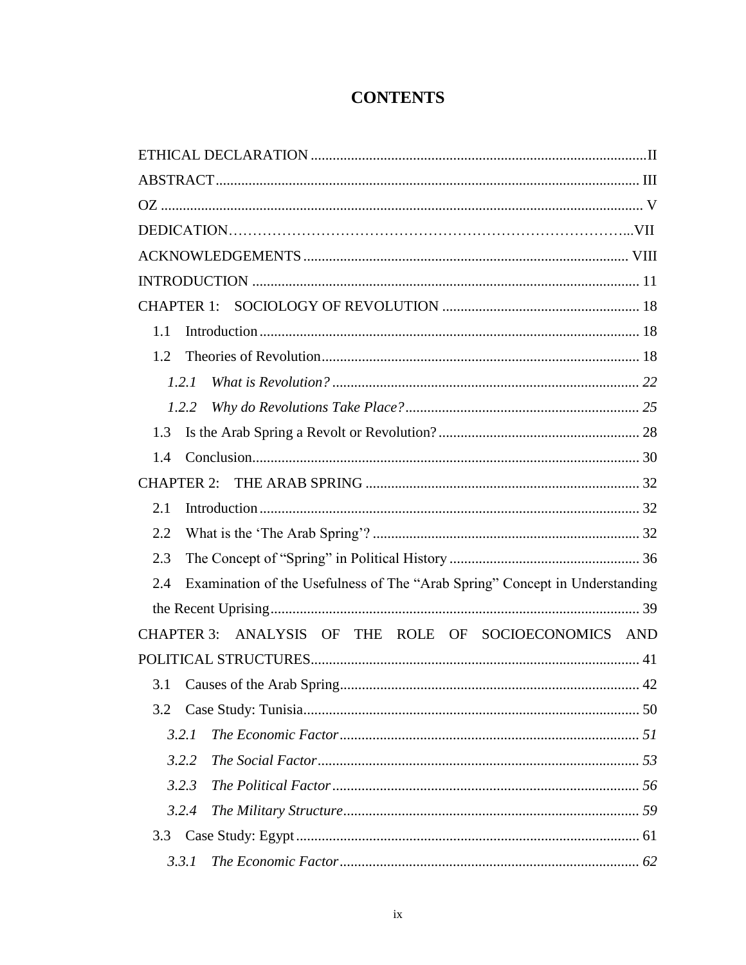# **CONTENTS**

| 1.1                                                                                |
|------------------------------------------------------------------------------------|
| 1.2                                                                                |
| 1.2.1                                                                              |
| 1.2.2                                                                              |
| 1.3                                                                                |
| 1.4                                                                                |
|                                                                                    |
| 2.1                                                                                |
| 2.2                                                                                |
| 2.3                                                                                |
| Examination of the Usefulness of The "Arab Spring" Concept in Understanding<br>2.4 |
|                                                                                    |
| CHAPTER 3: ANALYSIS OF THE ROLE OF SOCIOECONOMICS AND                              |
|                                                                                    |
| 3.1                                                                                |
| 3.2                                                                                |
| 3.2.1                                                                              |
| 3.2.2                                                                              |
| 3.2.3                                                                              |
| 3.2.4                                                                              |
| 3.3                                                                                |
| 3.3.1                                                                              |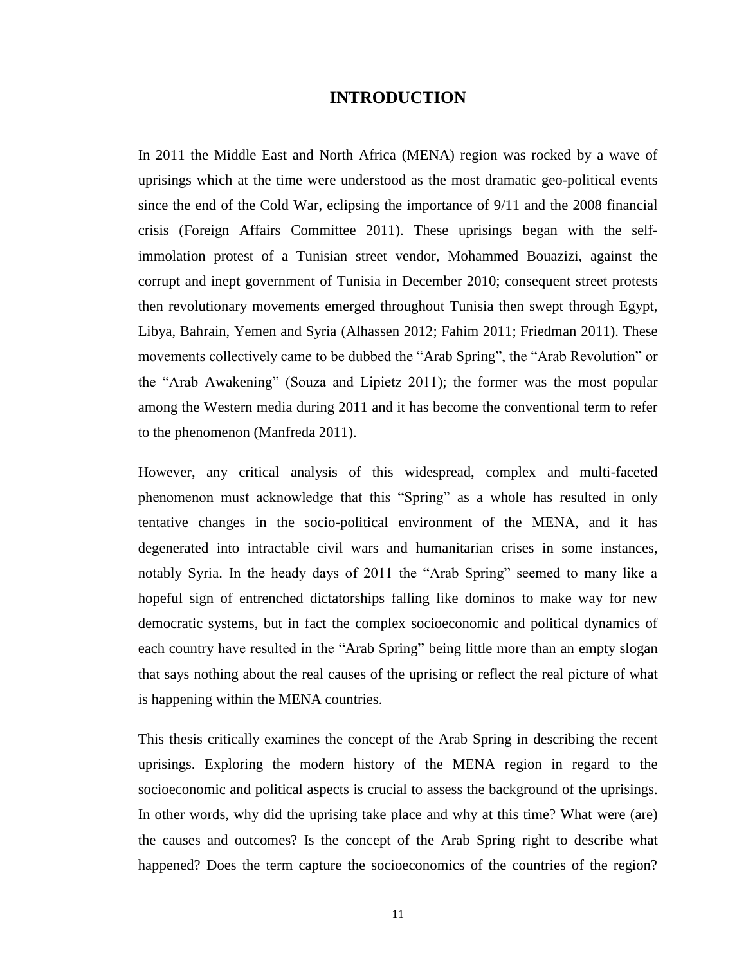#### **INTRODUCTION**

In 2011 the Middle East and North Africa (MENA) region was rocked by a wave of uprisings which at the time were understood as the most dramatic geo-political events since the end of the Cold War, eclipsing the importance of 9/11 and the 2008 financial crisis (Foreign Affairs Committee 2011). These uprisings began with the selfimmolation protest of a Tunisian street vendor, Mohammed Bouazizi, against the corrupt and inept government of Tunisia in December 2010; consequent street protests then revolutionary movements emerged throughout Tunisia then swept through Egypt, Libya, Bahrain, Yemen and Syria (Alhassen 2012; Fahim 2011; Friedman 2011). These movements collectively came to be dubbed the "Arab Spring", the "Arab Revolution" or the "Arab Awakening" (Souza and Lipietz 2011); the former was the most popular among the Western media during 2011 and it has become the conventional term to refer to the phenomenon (Manfreda 2011).

However, any critical analysis of this widespread, complex and multi-faceted phenomenon must acknowledge that this "Spring" as a whole has resulted in only tentative changes in the socio-political environment of the MENA, and it has degenerated into intractable civil wars and humanitarian crises in some instances, notably Syria. In the heady days of 2011 the "Arab Spring" seemed to many like a hopeful sign of entrenched dictatorships falling like dominos to make way for new democratic systems, but in fact the complex socioeconomic and political dynamics of each country have resulted in the "Arab Spring" being little more than an empty slogan that says nothing about the real causes of the uprising or reflect the real picture of what is happening within the MENA countries.

This thesis critically examines the concept of the Arab Spring in describing the recent uprisings. Exploring the modern history of the MENA region in regard to the socioeconomic and political aspects is crucial to assess the background of the uprisings. In other words, why did the uprising take place and why at this time? What were (are) the causes and outcomes? Is the concept of the Arab Spring right to describe what happened? Does the term capture the socioeconomics of the countries of the region?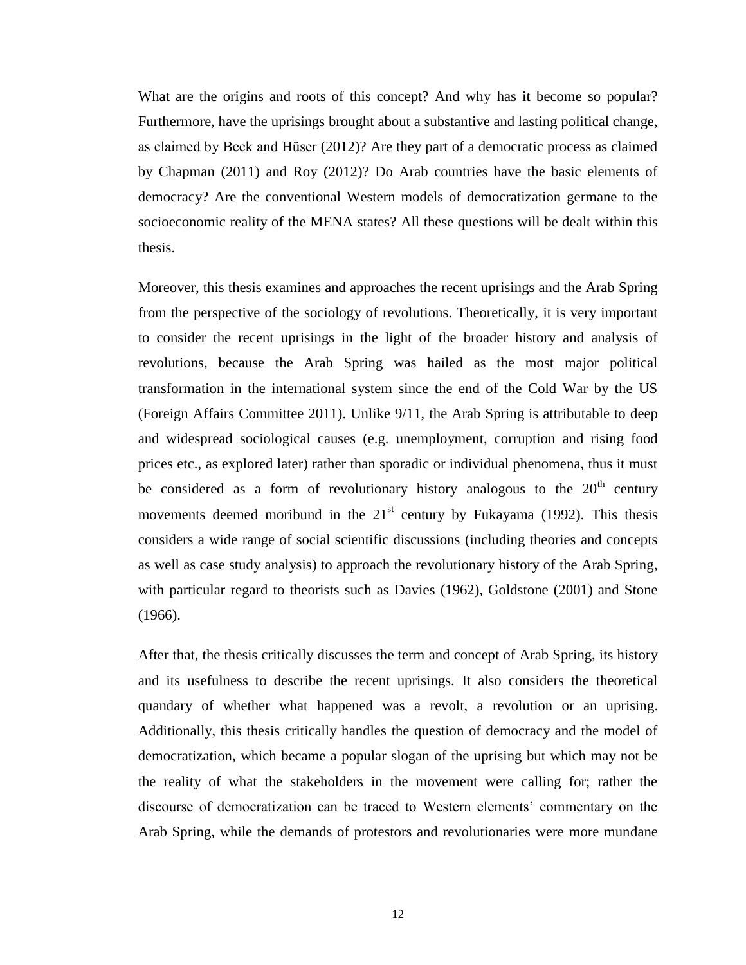What are the origins and roots of this concept? And why has it become so popular? Furthermore, have the uprisings brought about a substantive and lasting political change, as claimed by Beck and Hüser (2012)? Are they part of a democratic process as claimed by Chapman (2011) and Roy (2012)? Do Arab countries have the basic elements of democracy? Are the conventional Western models of democratization germane to the socioeconomic reality of the MENA states? All these questions will be dealt within this thesis.

Moreover, this thesis examines and approaches the recent uprisings and the Arab Spring from the perspective of the sociology of revolutions. Theoretically, it is very important to consider the recent uprisings in the light of the broader history and analysis of revolutions, because the Arab Spring was hailed as the most major political transformation in the international system since the end of the Cold War by the US (Foreign Affairs Committee 2011). Unlike 9/11, the Arab Spring is attributable to deep and widespread sociological causes (e.g. unemployment, corruption and rising food prices etc., as explored later) rather than sporadic or individual phenomena, thus it must be considered as a form of revolutionary history analogous to the  $20<sup>th</sup>$  century movements deemed moribund in the  $21<sup>st</sup>$  century by Fukayama (1992). This thesis considers a wide range of social scientific discussions (including theories and concepts as well as case study analysis) to approach the revolutionary history of the Arab Spring, with particular regard to theorists such as Davies (1962), Goldstone (2001) and Stone (1966).

After that, the thesis critically discusses the term and concept of Arab Spring, its history and its usefulness to describe the recent uprisings. It also considers the theoretical quandary of whether what happened was a revolt, a revolution or an uprising. Additionally, this thesis critically handles the question of democracy and the model of democratization, which became a popular slogan of the uprising but which may not be the reality of what the stakeholders in the movement were calling for; rather the discourse of democratization can be traced to Western elements' commentary on the Arab Spring, while the demands of protestors and revolutionaries were more mundane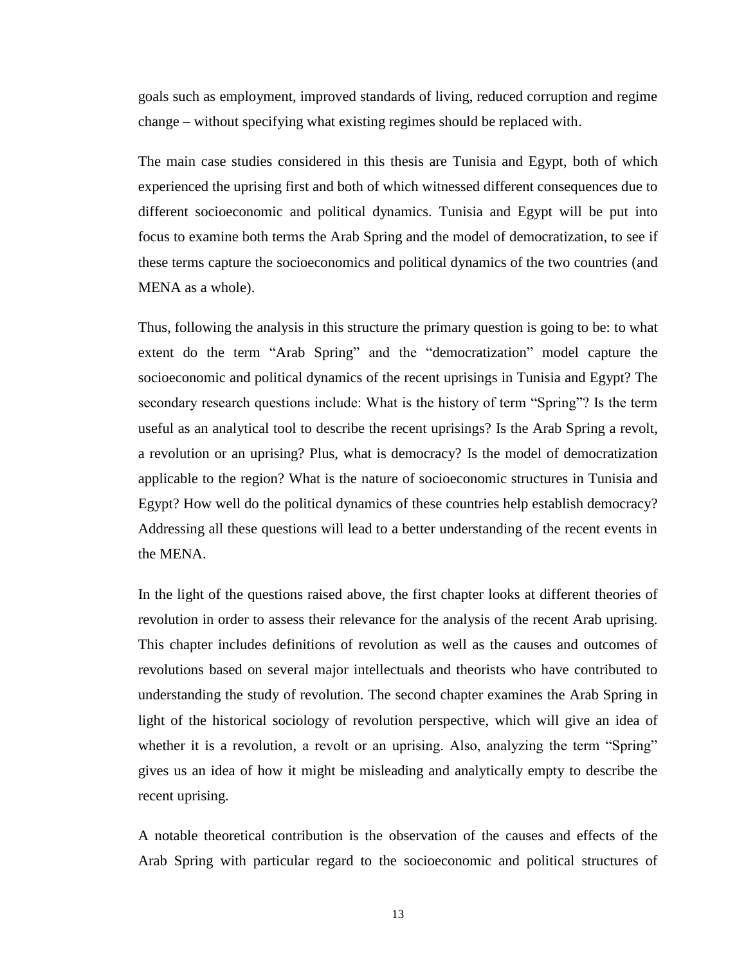goals such as employment, improved standards of living, reduced corruption and regime change – without specifying what existing regimes should be replaced with.

The main case studies considered in this thesis are Tunisia and Egypt, both of which experienced the uprising first and both of which witnessed different consequences due to different socioeconomic and political dynamics. Tunisia and Egypt will be put into focus to examine both terms the Arab Spring and the model of democratization, to see if these terms capture the socioeconomics and political dynamics of the two countries (and MENA as a whole).

Thus, following the analysis in this structure the primary question is going to be: to what extent do the term "Arab Spring" and the "democratization" model capture the socioeconomic and political dynamics of the recent uprisings in Tunisia and Egypt? The secondary research questions include: What is the history of term "Spring"? Is the term useful as an analytical tool to describe the recent uprisings? Is the Arab Spring a revolt, a revolution or an uprising? Plus, what is democracy? Is the model of democratization applicable to the region? What is the nature of socioeconomic structures in Tunisia and Egypt? How well do the political dynamics of these countries help establish democracy? Addressing all these questions will lead to a better understanding of the recent events in the MENA.

In the light of the questions raised above, the first chapter looks at different theories of revolution in order to assess their relevance for the analysis of the recent Arab uprising. This chapter includes definitions of revolution as well as the causes and outcomes of revolutions based on several major intellectuals and theorists who have contributed to understanding the study of revolution. The second chapter examines the Arab Spring in light of the historical sociology of revolution perspective, which will give an idea of whether it is a revolution, a revolt or an uprising. Also, analyzing the term "Spring" gives us an idea of how it might be misleading and analytically empty to describe the recent uprising.

A notable theoretical contribution is the observation of the causes and effects of the Arab Spring with particular regard to the socioeconomic and political structures of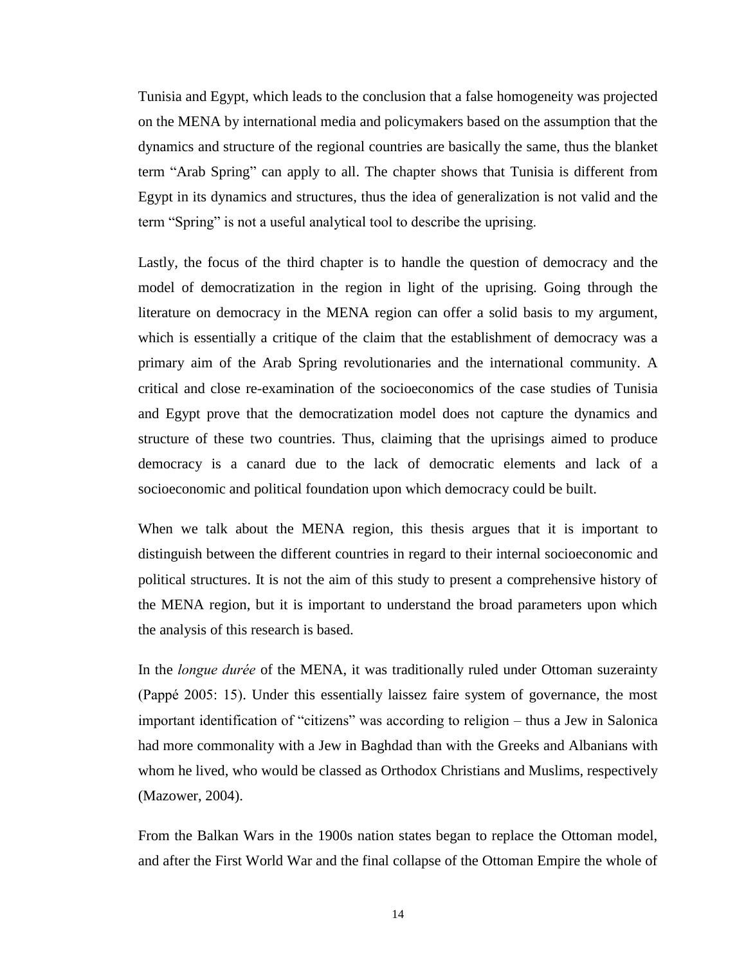Tunisia and Egypt, which leads to the conclusion that a false homogeneity was projected on the MENA by international media and policymakers based on the assumption that the dynamics and structure of the regional countries are basically the same, thus the blanket term "Arab Spring" can apply to all. The chapter shows that Tunisia is different from Egypt in its dynamics and structures, thus the idea of generalization is not valid and the term "Spring" is not a useful analytical tool to describe the uprising.

Lastly, the focus of the third chapter is to handle the question of democracy and the model of democratization in the region in light of the uprising. Going through the literature on democracy in the MENA region can offer a solid basis to my argument, which is essentially a critique of the claim that the establishment of democracy was a primary aim of the Arab Spring revolutionaries and the international community. A critical and close re-examination of the socioeconomics of the case studies of Tunisia and Egypt prove that the democratization model does not capture the dynamics and structure of these two countries. Thus, claiming that the uprisings aimed to produce democracy is a canard due to the lack of democratic elements and lack of a socioeconomic and political foundation upon which democracy could be built.

When we talk about the MENA region, this thesis argues that it is important to distinguish between the different countries in regard to their internal socioeconomic and political structures. It is not the aim of this study to present a comprehensive history of the MENA region, but it is important to understand the broad parameters upon which the analysis of this research is based.

In the *longue durée* of the MENA, it was traditionally ruled under Ottoman suzerainty (Pappé 2005: 15). Under this essentially laissez faire system of governance, the most important identification of "citizens" was according to religion – thus a Jew in Salonica had more commonality with a Jew in Baghdad than with the Greeks and Albanians with whom he lived, who would be classed as Orthodox Christians and Muslims, respectively (Mazower, 2004).

From the Balkan Wars in the 1900s nation states began to replace the Ottoman model, and after the First World War and the final collapse of the Ottoman Empire the whole of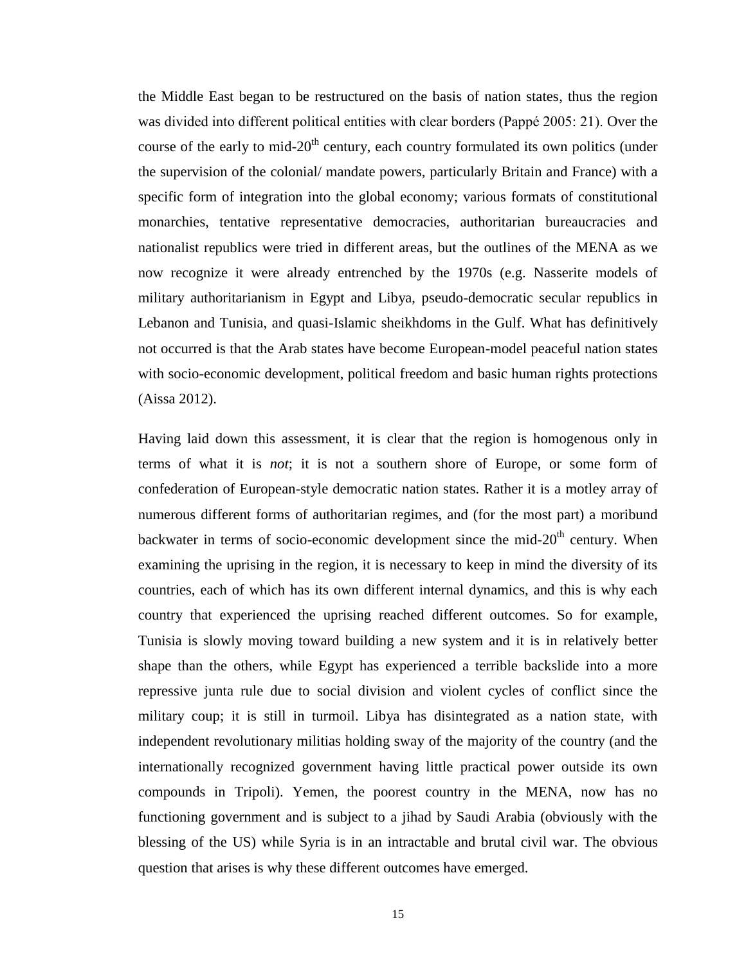the Middle East began to be restructured on the basis of nation states, thus the region was divided into different political entities with clear borders (Pappé 2005: 21). Over the course of the early to mid- $20<sup>th</sup>$  century, each country formulated its own politics (under the supervision of the colonial/ mandate powers, particularly Britain and France) with a specific form of integration into the global economy; various formats of constitutional monarchies, tentative representative democracies, authoritarian bureaucracies and nationalist republics were tried in different areas, but the outlines of the MENA as we now recognize it were already entrenched by the 1970s (e.g. Nasserite models of military authoritarianism in Egypt and Libya, pseudo-democratic secular republics in Lebanon and Tunisia, and quasi-Islamic sheikhdoms in the Gulf. What has definitively not occurred is that the Arab states have become European-model peaceful nation states with socio-economic development, political freedom and basic human rights protections (Aissa 2012).

Having laid down this assessment, it is clear that the region is homogenous only in terms of what it is *not*; it is not a southern shore of Europe, or some form of confederation of European-style democratic nation states. Rather it is a motley array of numerous different forms of authoritarian regimes, and (for the most part) a moribund backwater in terms of socio-economic development since the mid- $20<sup>th</sup>$  century. When examining the uprising in the region, it is necessary to keep in mind the diversity of its countries, each of which has its own different internal dynamics, and this is why each country that experienced the uprising reached different outcomes. So for example, Tunisia is slowly moving toward building a new system and it is in relatively better shape than the others, while Egypt has experienced a terrible backslide into a more repressive junta rule due to social division and violent cycles of conflict since the military coup; it is still in turmoil. Libya has disintegrated as a nation state, with independent revolutionary militias holding sway of the majority of the country (and the internationally recognized government having little practical power outside its own compounds in Tripoli). Yemen, the poorest country in the MENA, now has no functioning government and is subject to a jihad by Saudi Arabia (obviously with the blessing of the US) while Syria is in an intractable and brutal civil war. The obvious question that arises is why these different outcomes have emerged.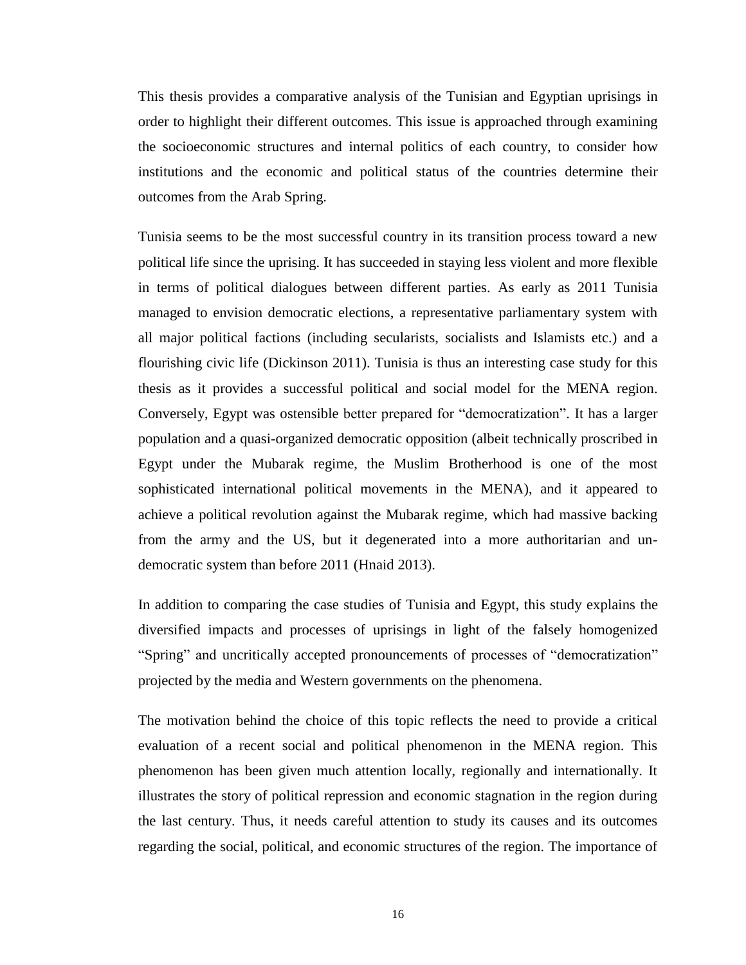This thesis provides a comparative analysis of the Tunisian and Egyptian uprisings in order to highlight their different outcomes. This issue is approached through examining the socioeconomic structures and internal politics of each country, to consider how institutions and the economic and political status of the countries determine their outcomes from the Arab Spring.

Tunisia seems to be the most successful country in its transition process toward a new political life since the uprising. It has succeeded in staying less violent and more flexible in terms of political dialogues between different parties. As early as 2011 Tunisia managed to envision democratic elections, a representative parliamentary system with all major political factions (including secularists, socialists and Islamists etc.) and a flourishing civic life (Dickinson 2011). Tunisia is thus an interesting case study for this thesis as it provides a successful political and social model for the MENA region. Conversely, Egypt was ostensible better prepared for "democratization". It has a larger population and a quasi-organized democratic opposition (albeit technically proscribed in Egypt under the Mubarak regime, the Muslim Brotherhood is one of the most sophisticated international political movements in the MENA), and it appeared to achieve a political revolution against the Mubarak regime, which had massive backing from the army and the US, but it degenerated into a more authoritarian and undemocratic system than before 2011 (Hnaid 2013).

In addition to comparing the case studies of Tunisia and Egypt, this study explains the diversified impacts and processes of uprisings in light of the falsely homogenized "Spring" and uncritically accepted pronouncements of processes of "democratization" projected by the media and Western governments on the phenomena.

The motivation behind the choice of this topic reflects the need to provide a critical evaluation of a recent social and political phenomenon in the MENA region. This phenomenon has been given much attention locally, regionally and internationally. It illustrates the story of political repression and economic stagnation in the region during the last century. Thus, it needs careful attention to study its causes and its outcomes regarding the social, political, and economic structures of the region. The importance of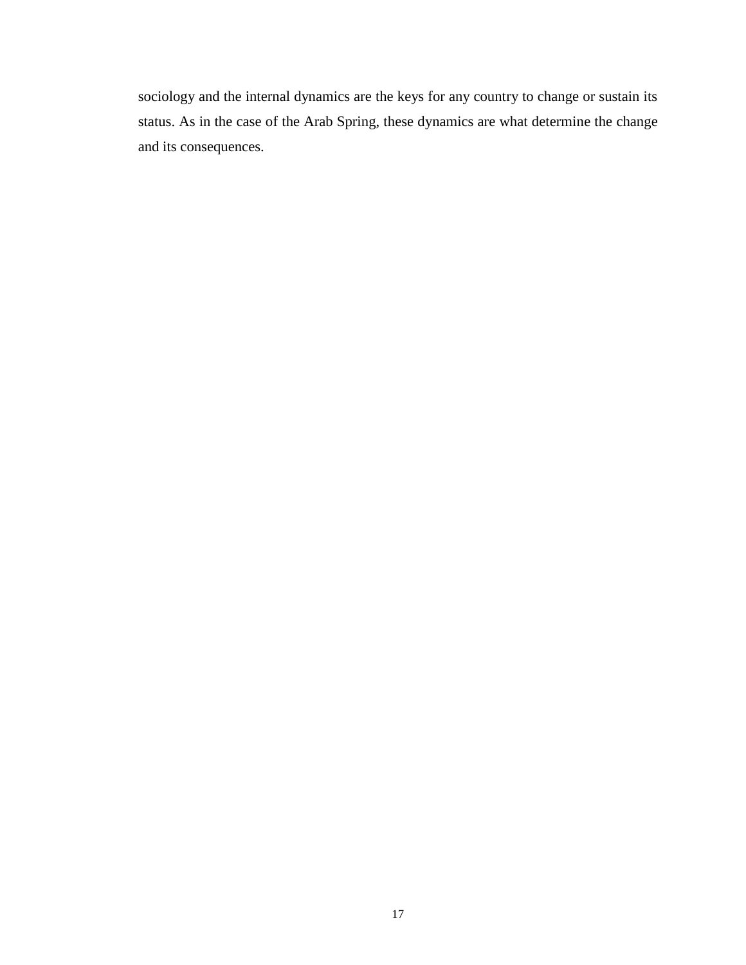sociology and the internal dynamics are the keys for any country to change or sustain its status. As in the case of the Arab Spring, these dynamics are what determine the change and its consequences.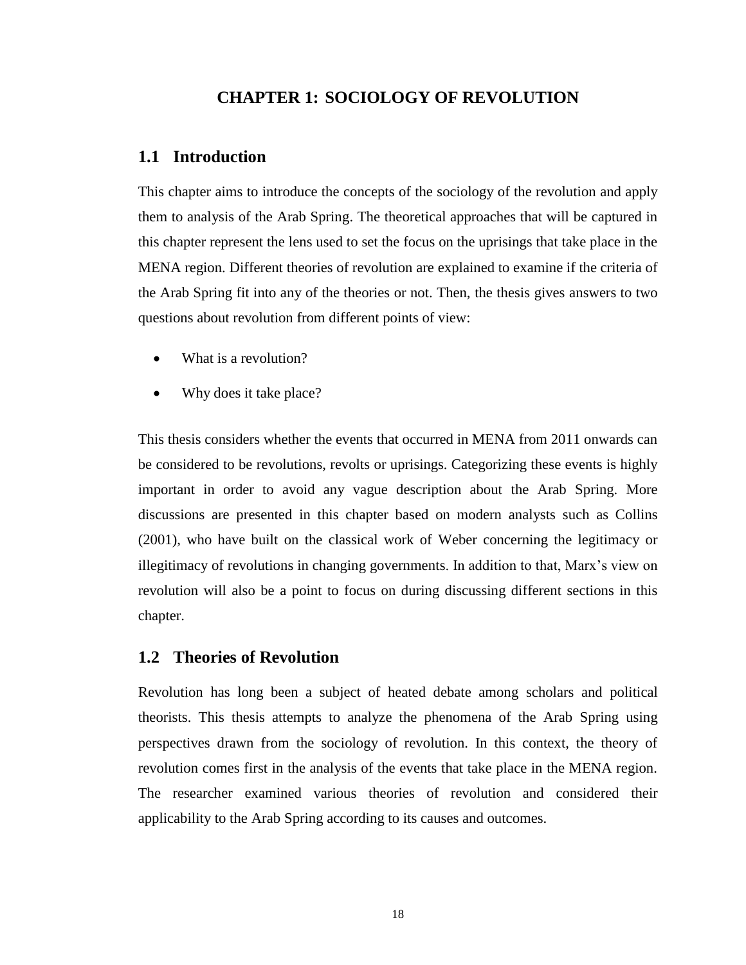### **CHAPTER 1: SOCIOLOGY OF REVOLUTION**

### **1.1 Introduction**

This chapter aims to introduce the concepts of the sociology of the revolution and apply them to analysis of the Arab Spring. The theoretical approaches that will be captured in this chapter represent the lens used to set the focus on the uprisings that take place in the MENA region. Different theories of revolution are explained to examine if the criteria of the Arab Spring fit into any of the theories or not. Then, the thesis gives answers to two questions about revolution from different points of view:

- What is a revolution?
- Why does it take place?

This thesis considers whether the events that occurred in MENA from 2011 onwards can be considered to be revolutions, revolts or uprisings. Categorizing these events is highly important in order to avoid any vague description about the Arab Spring. More discussions are presented in this chapter based on modern analysts such as Collins (2001), who have built on the classical work of Weber concerning the legitimacy or illegitimacy of revolutions in changing governments. In addition to that, Marx's view on revolution will also be a point to focus on during discussing different sections in this chapter.

#### **1.2 Theories of Revolution**

Revolution has long been a subject of heated debate among scholars and political theorists. This thesis attempts to analyze the phenomena of the Arab Spring using perspectives drawn from the sociology of revolution. In this context, the theory of revolution comes first in the analysis of the events that take place in the MENA region. The researcher examined various theories of revolution and considered their applicability to the Arab Spring according to its causes and outcomes.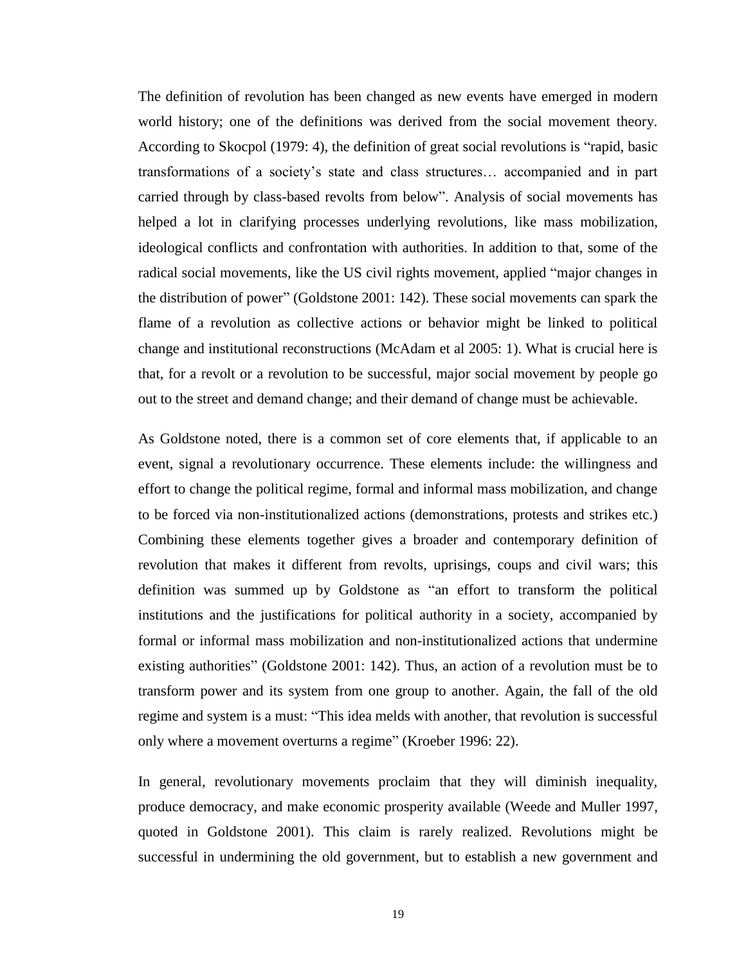The definition of revolution has been changed as new events have emerged in modern world history; one of the definitions was derived from the social movement theory. According to Skocpol (1979: 4), the definition of great social revolutions is "rapid, basic transformations of a society's state and class structures… accompanied and in part carried through by class-based revolts from below". Analysis of social movements has helped a lot in clarifying processes underlying revolutions, like mass mobilization, ideological conflicts and confrontation with authorities. In addition to that, some of the radical social movements, like the US civil rights movement, applied "major changes in the distribution of power" (Goldstone 2001: 142). These social movements can spark the flame of a revolution as collective actions or behavior might be linked to political change and institutional reconstructions (McAdam et al 2005: 1). What is crucial here is that, for a revolt or a revolution to be successful, major social movement by people go out to the street and demand change; and their demand of change must be achievable.

As Goldstone noted, there is a common set of core elements that, if applicable to an event, signal a revolutionary occurrence. These elements include: the willingness and effort to change the political regime, formal and informal mass mobilization, and change to be forced via non-institutionalized actions (demonstrations, protests and strikes etc.) Combining these elements together gives a broader and contemporary definition of revolution that makes it different from revolts, uprisings, coups and civil wars; this definition was summed up by Goldstone as "an effort to transform the political institutions and the justifications for political authority in a society, accompanied by formal or informal mass mobilization and non-institutionalized actions that undermine existing authorities" (Goldstone 2001: 142). Thus, an action of a revolution must be to transform power and its system from one group to another. Again, the fall of the old regime and system is a must: "This idea melds with another, that revolution is successful only where a movement overturns a regime" (Kroeber 1996: 22).

In general, revolutionary movements proclaim that they will diminish inequality, produce democracy, and make economic prosperity available (Weede and Muller 1997, quoted in Goldstone 2001). This claim is rarely realized. Revolutions might be successful in undermining the old government, but to establish a new government and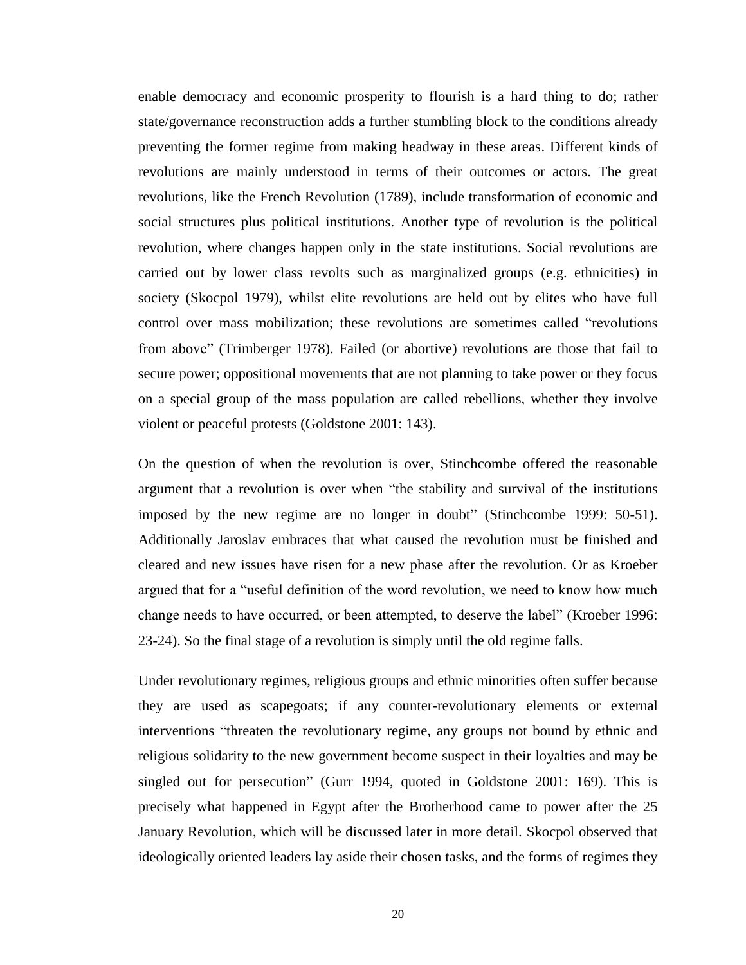enable democracy and economic prosperity to flourish is a hard thing to do; rather state/governance reconstruction adds a further stumbling block to the conditions already preventing the former regime from making headway in these areas. Different kinds of revolutions are mainly understood in terms of their outcomes or actors. The great revolutions, like the French Revolution (1789), include transformation of economic and social structures plus political institutions. Another type of revolution is the political revolution, where changes happen only in the state institutions. Social revolutions are carried out by lower class revolts such as marginalized groups (e.g. ethnicities) in society (Skocpol 1979), whilst elite revolutions are held out by elites who have full control over mass mobilization; these revolutions are sometimes called "revolutions from above" (Trimberger 1978). Failed (or abortive) revolutions are those that fail to secure power; oppositional movements that are not planning to take power or they focus on a special group of the mass population are called rebellions, whether they involve violent or peaceful protests (Goldstone 2001: 143).

On the question of when the revolution is over, Stinchcombe offered the reasonable argument that a revolution is over when "the stability and survival of the institutions imposed by the new regime are no longer in doubt" (Stinchcombe 1999: 50-51). Additionally Jaroslav embraces that what caused the revolution must be finished and cleared and new issues have risen for a new phase after the revolution. Or as Kroeber argued that for a "useful definition of the word revolution, we need to know how much change needs to have occurred, or been attempted, to deserve the label" (Kroeber 1996: 23-24). So the final stage of a revolution is simply until the old regime falls.

Under revolutionary regimes, religious groups and ethnic minorities often suffer because they are used as scapegoats; if any counter-revolutionary elements or external interventions "threaten the revolutionary regime, any groups not bound by ethnic and religious solidarity to the new government become suspect in their loyalties and may be singled out for persecution" (Gurr 1994, quoted in Goldstone 2001: 169). This is precisely what happened in Egypt after the Brotherhood came to power after the 25 January Revolution, which will be discussed later in more detail. Skocpol observed that ideologically oriented leaders lay aside their chosen tasks, and the forms of regimes they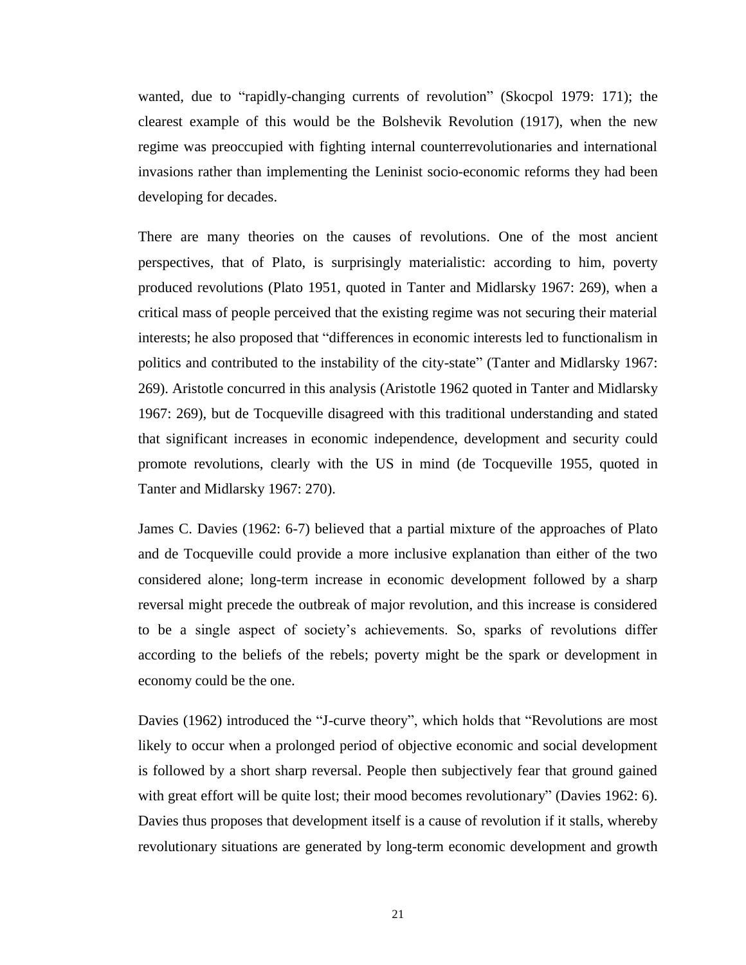wanted, due to "rapidly-changing currents of revolution" (Skocpol 1979: 171); the clearest example of this would be the Bolshevik Revolution (1917), when the new regime was preoccupied with fighting internal counterrevolutionaries and international invasions rather than implementing the Leninist socio-economic reforms they had been developing for decades.

There are many theories on the causes of revolutions. One of the most ancient perspectives, that of Plato, is surprisingly materialistic: according to him, poverty produced revolutions (Plato 1951, quoted in Tanter and Midlarsky 1967: 269), when a critical mass of people perceived that the existing regime was not securing their material interests; he also proposed that "differences in economic interests led to functionalism in politics and contributed to the instability of the city-state" (Tanter and Midlarsky 1967: 269). Aristotle concurred in this analysis (Aristotle 1962 quoted in Tanter and Midlarsky 1967: 269), but de Tocqueville disagreed with this traditional understanding and stated that significant increases in economic independence, development and security could promote revolutions, clearly with the US in mind (de Tocqueville 1955, quoted in Tanter and Midlarsky 1967: 270).

James C. Davies (1962: 6-7) believed that a partial mixture of the approaches of Plato and de Tocqueville could provide a more inclusive explanation than either of the two considered alone; long-term increase in economic development followed by a sharp reversal might precede the outbreak of major revolution, and this increase is considered to be a single aspect of society's achievements. So, sparks of revolutions differ according to the beliefs of the rebels; poverty might be the spark or development in economy could be the one.

Davies (1962) introduced the "J-curve theory", which holds that "Revolutions are most likely to occur when a prolonged period of objective economic and social development is followed by a short sharp reversal. People then subjectively fear that ground gained with great effort will be quite lost; their mood becomes revolutionary" (Davies 1962: 6). Davies thus proposes that development itself is a cause of revolution if it stalls, whereby revolutionary situations are generated by long-term economic development and growth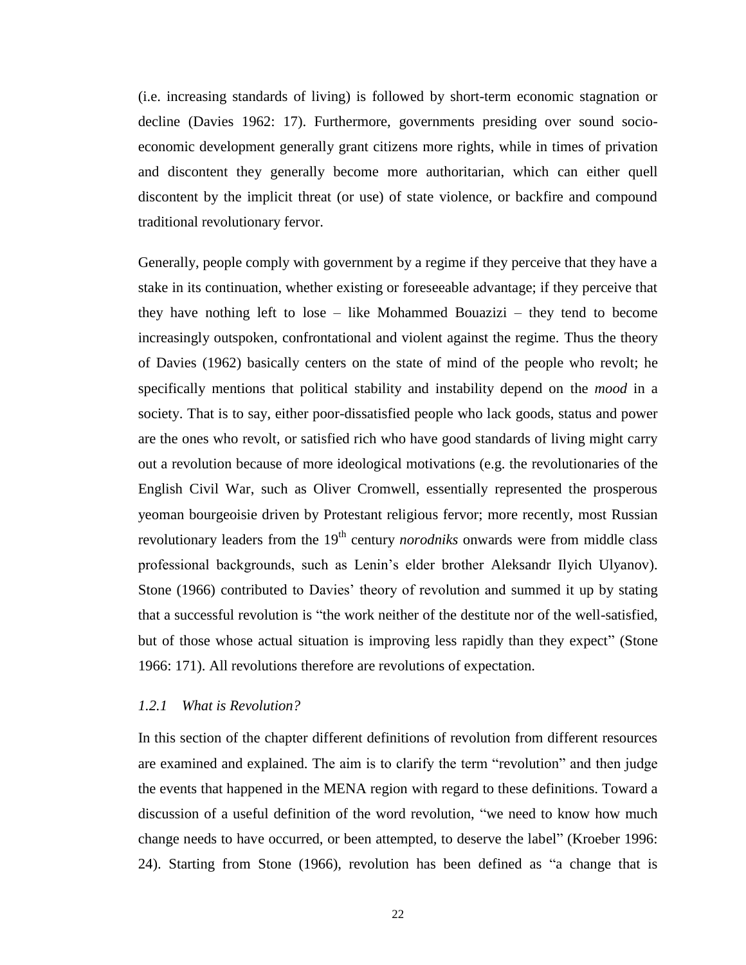(i.e. increasing standards of living) is followed by short-term economic stagnation or decline (Davies 1962: 17). Furthermore, governments presiding over sound socioeconomic development generally grant citizens more rights, while in times of privation and discontent they generally become more authoritarian, which can either quell discontent by the implicit threat (or use) of state violence, or backfire and compound traditional revolutionary fervor.

Generally, people comply with government by a regime if they perceive that they have a stake in its continuation, whether existing or foreseeable advantage; if they perceive that they have nothing left to lose – like Mohammed Bouazizi – they tend to become increasingly outspoken, confrontational and violent against the regime. Thus the theory of Davies (1962) basically centers on the state of mind of the people who revolt; he specifically mentions that political stability and instability depend on the *mood* in a society. That is to say, either poor-dissatisfied people who lack goods, status and power are the ones who revolt, or satisfied rich who have good standards of living might carry out a revolution because of more ideological motivations (e.g. the revolutionaries of the English Civil War, such as Oliver Cromwell, essentially represented the prosperous yeoman bourgeoisie driven by Protestant religious fervor; more recently, most Russian revolutionary leaders from the 19<sup>th</sup> century *norodniks* onwards were from middle class professional backgrounds, such as Lenin's elder brother Aleksandr Ilyich Ulyanov). Stone (1966) contributed to Davies' theory of revolution and summed it up by stating that a successful revolution is "the work neither of the destitute nor of the well-satisfied, but of those whose actual situation is improving less rapidly than they expect" (Stone 1966: 171). All revolutions therefore are revolutions of expectation.

#### *1.2.1 What is Revolution?*

In this section of the chapter different definitions of revolution from different resources are examined and explained. The aim is to clarify the term "revolution" and then judge the events that happened in the MENA region with regard to these definitions. Toward a discussion of a useful definition of the word revolution, "we need to know how much change needs to have occurred, or been attempted, to deserve the label" (Kroeber 1996: 24). Starting from Stone (1966), revolution has been defined as "a change that is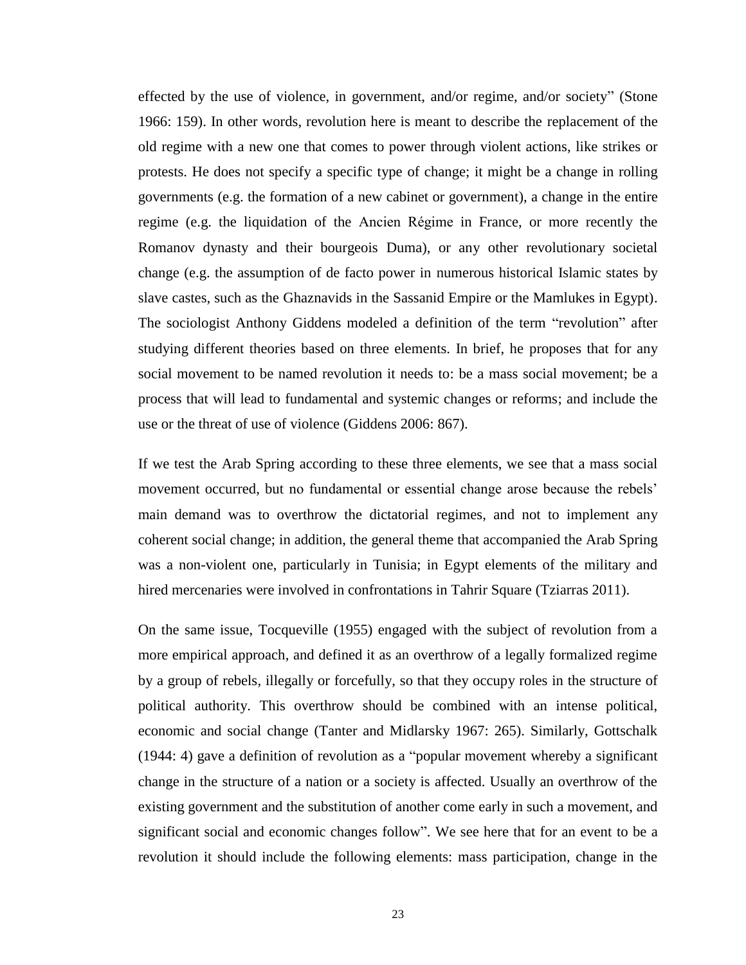effected by the use of violence, in government, and/or regime, and/or society" (Stone 1966: 159). In other words, revolution here is meant to describe the replacement of the old regime with a new one that comes to power through violent actions, like strikes or protests. He does not specify a specific type of change; it might be a change in rolling governments (e.g. the formation of a new cabinet or government), a change in the entire regime (e.g. the liquidation of the Ancien Régime in France, or more recently the Romanov dynasty and their bourgeois Duma), or any other revolutionary societal change (e.g. the assumption of de facto power in numerous historical Islamic states by slave castes, such as the Ghaznavids in the Sassanid Empire or the Mamlukes in Egypt). The sociologist Anthony Giddens modeled a definition of the term "revolution" after studying different theories based on three elements. In brief, he proposes that for any social movement to be named revolution it needs to: be a mass social movement; be a process that will lead to fundamental and systemic changes or reforms; and include the use or the threat of use of violence (Giddens 2006: 867).

If we test the Arab Spring according to these three elements, we see that a mass social movement occurred, but no fundamental or essential change arose because the rebels' main demand was to overthrow the dictatorial regimes, and not to implement any coherent social change; in addition, the general theme that accompanied the Arab Spring was a non-violent one, particularly in Tunisia; in Egypt elements of the military and hired mercenaries were involved in confrontations in Tahrir Square (Tziarras 2011).

On the same issue, Tocqueville (1955) engaged with the subject of revolution from a more empirical approach, and defined it as an overthrow of a legally formalized regime by a group of rebels, illegally or forcefully, so that they occupy roles in the structure of political authority. This overthrow should be combined with an intense political, economic and social change (Tanter and Midlarsky 1967: 265). Similarly, Gottschalk (1944: 4) gave a definition of revolution as a "popular movement whereby a significant change in the structure of a nation or a society is affected. Usually an overthrow of the existing government and the substitution of another come early in such a movement, and significant social and economic changes follow". We see here that for an event to be a revolution it should include the following elements: mass participation, change in the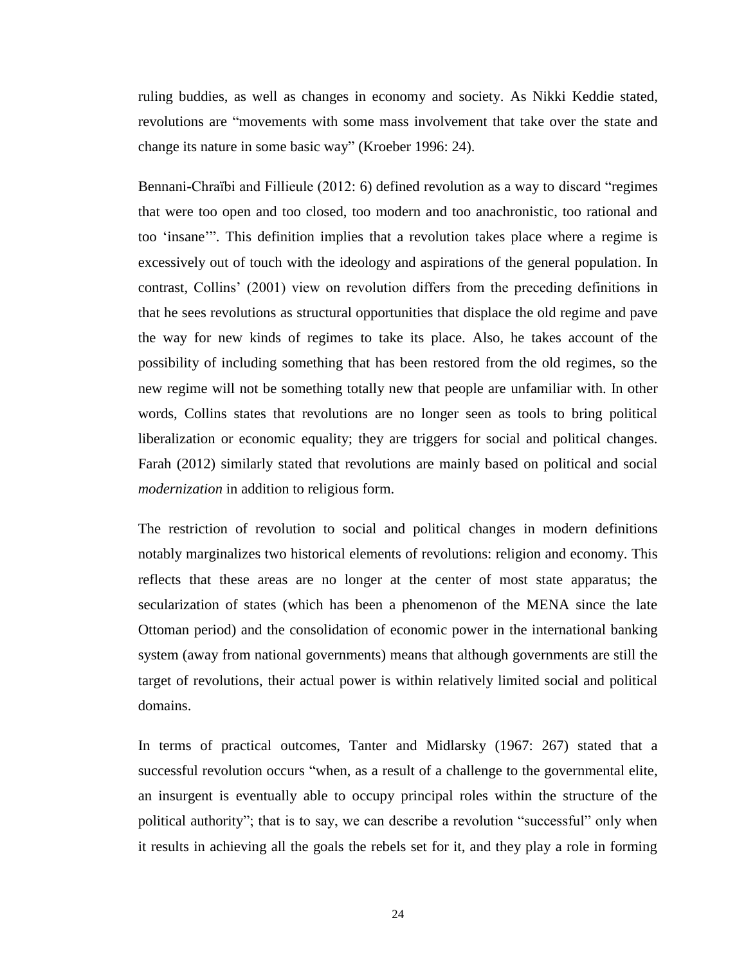ruling buddies, as well as changes in economy and society. As Nikki Keddie stated, revolutions are "movements with some mass involvement that take over the state and change its nature in some basic way" (Kroeber 1996: 24).

Bennani-Chraïbi and Fillieule (2012: 6) defined revolution as a way to discard "regimes that were too open and too closed, too modern and too anachronistic, too rational and too 'insane'". This definition implies that a revolution takes place where a regime is excessively out of touch with the ideology and aspirations of the general population. In contrast, Collins' (2001) view on revolution differs from the preceding definitions in that he sees revolutions as structural opportunities that displace the old regime and pave the way for new kinds of regimes to take its place. Also, he takes account of the possibility of including something that has been restored from the old regimes, so the new regime will not be something totally new that people are unfamiliar with. In other words, Collins states that revolutions are no longer seen as tools to bring political liberalization or economic equality; they are triggers for social and political changes. Farah (2012) similarly stated that revolutions are mainly based on political and social *modernization* in addition to religious form.

The restriction of revolution to social and political changes in modern definitions notably marginalizes two historical elements of revolutions: religion and economy. This reflects that these areas are no longer at the center of most state apparatus; the secularization of states (which has been a phenomenon of the MENA since the late Ottoman period) and the consolidation of economic power in the international banking system (away from national governments) means that although governments are still the target of revolutions, their actual power is within relatively limited social and political domains.

In terms of practical outcomes, Tanter and Midlarsky (1967: 267) stated that a successful revolution occurs "when, as a result of a challenge to the governmental elite, an insurgent is eventually able to occupy principal roles within the structure of the political authority"; that is to say, we can describe a revolution "successful" only when it results in achieving all the goals the rebels set for it, and they play a role in forming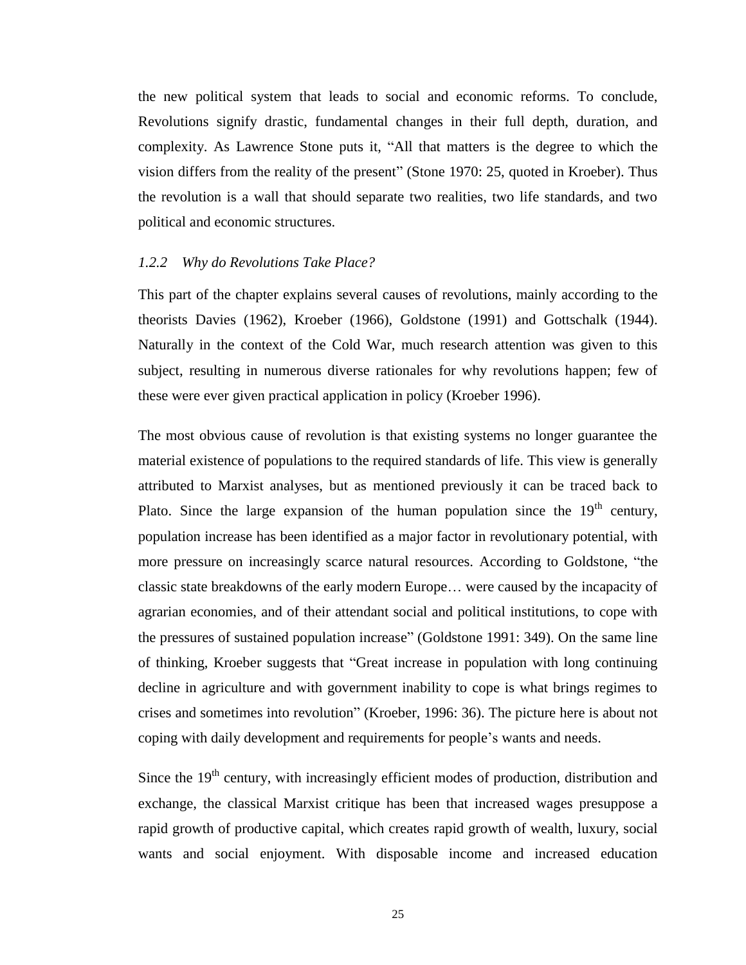the new political system that leads to social and economic reforms. To conclude, Revolutions signify drastic, fundamental changes in their full depth, duration, and complexity. As Lawrence Stone puts it, "All that matters is the degree to which the vision differs from the reality of the present" (Stone 1970: 25, quoted in Kroeber). Thus the revolution is a wall that should separate two realities, two life standards, and two political and economic structures.

#### *1.2.2 Why do Revolutions Take Place?*

This part of the chapter explains several causes of revolutions, mainly according to the theorists Davies (1962), Kroeber (1966), Goldstone (1991) and Gottschalk (1944). Naturally in the context of the Cold War, much research attention was given to this subject, resulting in numerous diverse rationales for why revolutions happen; few of these were ever given practical application in policy (Kroeber 1996).

The most obvious cause of revolution is that existing systems no longer guarantee the material existence of populations to the required standards of life. This view is generally attributed to Marxist analyses, but as mentioned previously it can be traced back to Plato. Since the large expansion of the human population since the  $19<sup>th</sup>$  century, population increase has been identified as a major factor in revolutionary potential, with more pressure on increasingly scarce natural resources. According to Goldstone, "the classic state breakdowns of the early modern Europe… were caused by the incapacity of agrarian economies, and of their attendant social and political institutions, to cope with the pressures of sustained population increase" (Goldstone 1991: 349). On the same line of thinking, Kroeber suggests that "Great increase in population with long continuing decline in agriculture and with government inability to cope is what brings regimes to crises and sometimes into revolution" (Kroeber, 1996: 36). The picture here is about not coping with daily development and requirements for people's wants and needs.

Since the 19<sup>th</sup> century, with increasingly efficient modes of production, distribution and exchange, the classical Marxist critique has been that increased wages presuppose a rapid growth of productive capital, which creates rapid growth of wealth, luxury, social wants and social enjoyment. With disposable income and increased education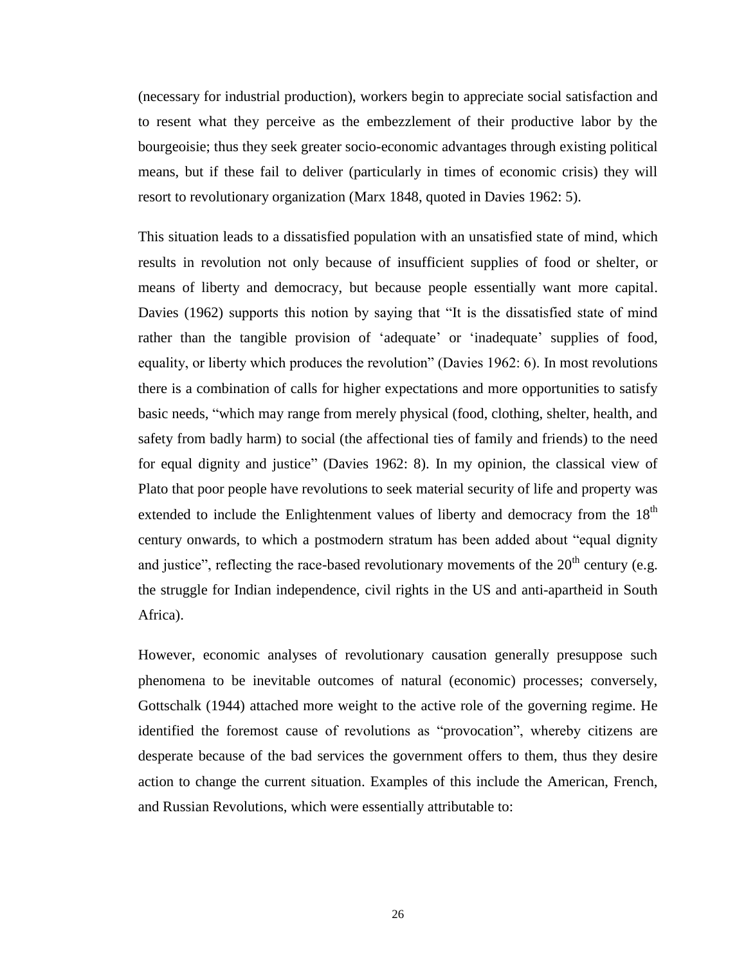(necessary for industrial production), workers begin to appreciate social satisfaction and to resent what they perceive as the embezzlement of their productive labor by the bourgeoisie; thus they seek greater socio-economic advantages through existing political means, but if these fail to deliver (particularly in times of economic crisis) they will resort to revolutionary organization (Marx 1848, quoted in Davies 1962: 5).

This situation leads to a dissatisfied population with an unsatisfied state of mind, which results in revolution not only because of insufficient supplies of food or shelter, or means of liberty and democracy, but because people essentially want more capital. Davies (1962) supports this notion by saying that "It is the dissatisfied state of mind rather than the tangible provision of 'adequate' or 'inadequate' supplies of food, equality, or liberty which produces the revolution" (Davies 1962: 6). In most revolutions there is a combination of calls for higher expectations and more opportunities to satisfy basic needs, "which may range from merely physical (food, clothing, shelter, health, and safety from badly harm) to social (the affectional ties of family and friends) to the need for equal dignity and justice" (Davies 1962: 8). In my opinion, the classical view of Plato that poor people have revolutions to seek material security of life and property was extended to include the Enlightenment values of liberty and democracy from the  $18<sup>th</sup>$ century onwards, to which a postmodern stratum has been added about "equal dignity and justice", reflecting the race-based revolutionary movements of the  $20<sup>th</sup>$  century (e.g. the struggle for Indian independence, civil rights in the US and anti-apartheid in South Africa).

However, economic analyses of revolutionary causation generally presuppose such phenomena to be inevitable outcomes of natural (economic) processes; conversely, Gottschalk (1944) attached more weight to the active role of the governing regime. He identified the foremost cause of revolutions as "provocation", whereby citizens are desperate because of the bad services the government offers to them, thus they desire action to change the current situation. Examples of this include the American, French, and Russian Revolutions, which were essentially attributable to: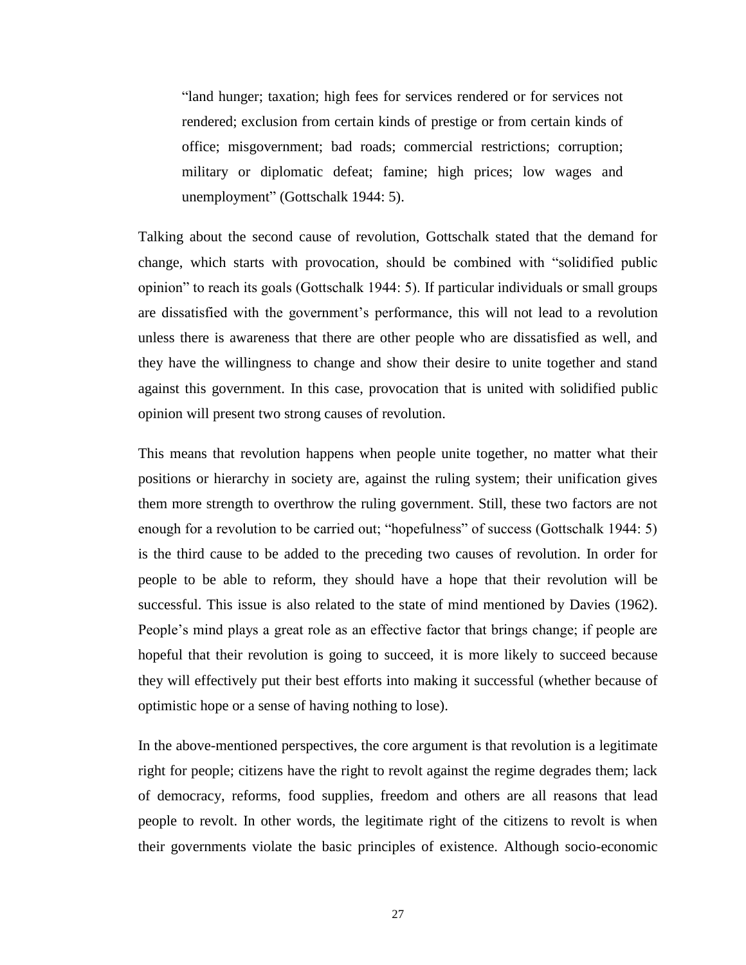"land hunger; taxation; high fees for services rendered or for services not rendered; exclusion from certain kinds of prestige or from certain kinds of office; misgovernment; bad roads; commercial restrictions; corruption; military or diplomatic defeat; famine; high prices; low wages and unemployment" (Gottschalk 1944: 5).

Talking about the second cause of revolution, Gottschalk stated that the demand for change, which starts with provocation, should be combined with "solidified public opinion" to reach its goals (Gottschalk 1944: 5). If particular individuals or small groups are dissatisfied with the government's performance, this will not lead to a revolution unless there is awareness that there are other people who are dissatisfied as well, and they have the willingness to change and show their desire to unite together and stand against this government. In this case, provocation that is united with solidified public opinion will present two strong causes of revolution.

This means that revolution happens when people unite together, no matter what their positions or hierarchy in society are, against the ruling system; their unification gives them more strength to overthrow the ruling government. Still, these two factors are not enough for a revolution to be carried out; "hopefulness" of success (Gottschalk 1944: 5) is the third cause to be added to the preceding two causes of revolution. In order for people to be able to reform, they should have a hope that their revolution will be successful. This issue is also related to the state of mind mentioned by Davies (1962). People's mind plays a great role as an effective factor that brings change; if people are hopeful that their revolution is going to succeed, it is more likely to succeed because they will effectively put their best efforts into making it successful (whether because of optimistic hope or a sense of having nothing to lose).

In the above-mentioned perspectives, the core argument is that revolution is a legitimate right for people; citizens have the right to revolt against the regime degrades them; lack of democracy, reforms, food supplies, freedom and others are all reasons that lead people to revolt. In other words, the legitimate right of the citizens to revolt is when their governments violate the basic principles of existence. Although socio-economic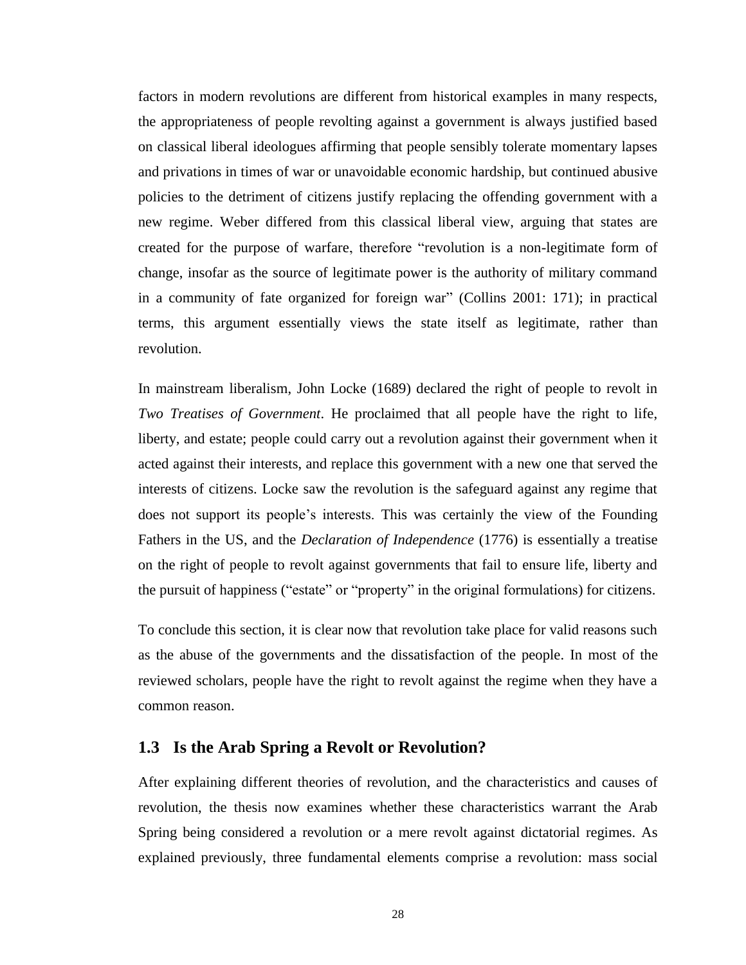factors in modern revolutions are different from historical examples in many respects, the appropriateness of people revolting against a government is always justified based on classical liberal ideologues affirming that people sensibly tolerate momentary lapses and privations in times of war or unavoidable economic hardship, but continued abusive policies to the detriment of citizens justify replacing the offending government with a new regime. Weber differed from this classical liberal view, arguing that states are created for the purpose of warfare, therefore "revolution is a non-legitimate form of change, insofar as the source of legitimate power is the authority of military command in a community of fate organized for foreign war" (Collins 2001: 171); in practical terms, this argument essentially views the state itself as legitimate, rather than revolution.

In mainstream liberalism, John Locke (1689) declared the right of people to revolt in *Two Treatises of Government*. He proclaimed that all people have the right to life, liberty, and estate; people could carry out a revolution against their government when it acted against their interests, and replace this government with a new one that served the interests of citizens. Locke saw the revolution is the safeguard against any regime that does not support its people's interests. This was certainly the view of the Founding Fathers in the US, and the *Declaration of Independence* (1776) is essentially a treatise on the right of people to revolt against governments that fail to ensure life, liberty and the pursuit of happiness ("estate" or "property" in the original formulations) for citizens.

To conclude this section, it is clear now that revolution take place for valid reasons such as the abuse of the governments and the dissatisfaction of the people. In most of the reviewed scholars, people have the right to revolt against the regime when they have a common reason.

#### **1.3 Is the Arab Spring a Revolt or Revolution?**

After explaining different theories of revolution, and the characteristics and causes of revolution, the thesis now examines whether these characteristics warrant the Arab Spring being considered a revolution or a mere revolt against dictatorial regimes. As explained previously, three fundamental elements comprise a revolution: mass social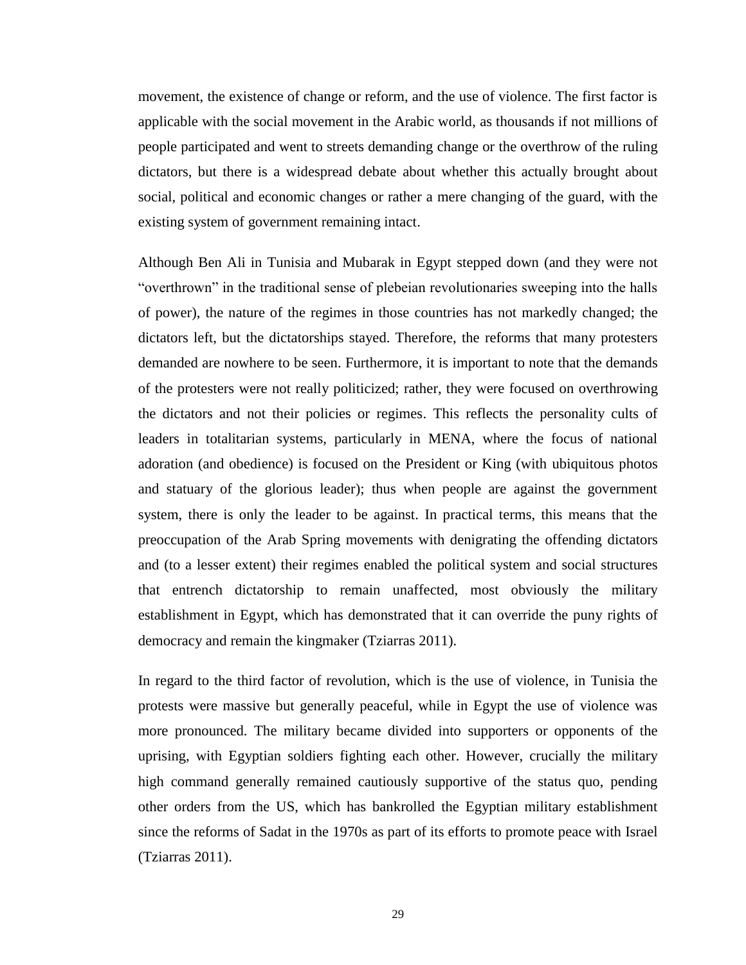movement, the existence of change or reform, and the use of violence. The first factor is applicable with the social movement in the Arabic world, as thousands if not millions of people participated and went to streets demanding change or the overthrow of the ruling dictators, but there is a widespread debate about whether this actually brought about social, political and economic changes or rather a mere changing of the guard, with the existing system of government remaining intact.

Although Ben Ali in Tunisia and Mubarak in Egypt stepped down (and they were not "overthrown" in the traditional sense of plebeian revolutionaries sweeping into the halls of power), the nature of the regimes in those countries has not markedly changed; the dictators left, but the dictatorships stayed. Therefore, the reforms that many protesters demanded are nowhere to be seen. Furthermore, it is important to note that the demands of the protesters were not really politicized; rather, they were focused on overthrowing the dictators and not their policies or regimes. This reflects the personality cults of leaders in totalitarian systems, particularly in MENA, where the focus of national adoration (and obedience) is focused on the President or King (with ubiquitous photos and statuary of the glorious leader); thus when people are against the government system, there is only the leader to be against. In practical terms, this means that the preoccupation of the Arab Spring movements with denigrating the offending dictators and (to a lesser extent) their regimes enabled the political system and social structures that entrench dictatorship to remain unaffected, most obviously the military establishment in Egypt, which has demonstrated that it can override the puny rights of democracy and remain the kingmaker (Tziarras 2011).

In regard to the third factor of revolution, which is the use of violence, in Tunisia the protests were massive but generally peaceful, while in Egypt the use of violence was more pronounced. The military became divided into supporters or opponents of the uprising, with Egyptian soldiers fighting each other. However, crucially the military high command generally remained cautiously supportive of the status quo, pending other orders from the US, which has bankrolled the Egyptian military establishment since the reforms of Sadat in the 1970s as part of its efforts to promote peace with Israel (Tziarras 2011).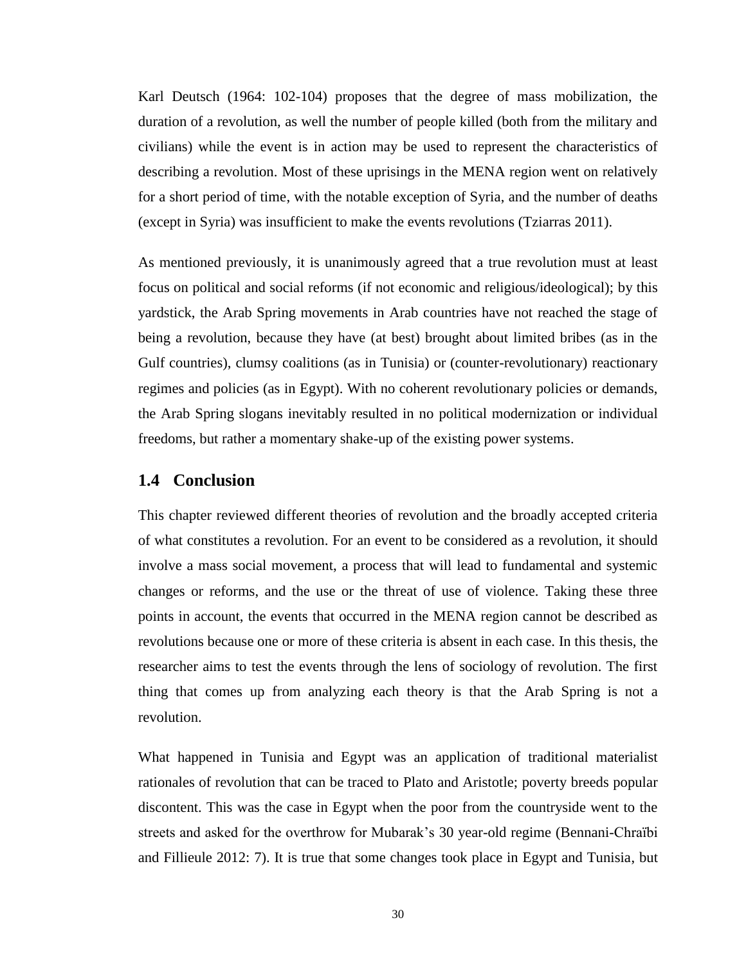Karl Deutsch (1964: 102-104) proposes that the degree of mass mobilization, the duration of a revolution, as well the number of people killed (both from the military and civilians) while the event is in action may be used to represent the characteristics of describing a revolution. Most of these uprisings in the MENA region went on relatively for a short period of time, with the notable exception of Syria, and the number of deaths (except in Syria) was insufficient to make the events revolutions (Tziarras 2011).

As mentioned previously, it is unanimously agreed that a true revolution must at least focus on political and social reforms (if not economic and religious/ideological); by this yardstick, the Arab Spring movements in Arab countries have not reached the stage of being a revolution, because they have (at best) brought about limited bribes (as in the Gulf countries), clumsy coalitions (as in Tunisia) or (counter-revolutionary) reactionary regimes and policies (as in Egypt). With no coherent revolutionary policies or demands, the Arab Spring slogans inevitably resulted in no political modernization or individual freedoms, but rather a momentary shake-up of the existing power systems.

#### **1.4 Conclusion**

This chapter reviewed different theories of revolution and the broadly accepted criteria of what constitutes a revolution. For an event to be considered as a revolution, it should involve a mass social movement, a process that will lead to fundamental and systemic changes or reforms, and the use or the threat of use of violence. Taking these three points in account, the events that occurred in the MENA region cannot be described as revolutions because one or more of these criteria is absent in each case. In this thesis, the researcher aims to test the events through the lens of sociology of revolution. The first thing that comes up from analyzing each theory is that the Arab Spring is not a revolution.

What happened in Tunisia and Egypt was an application of traditional materialist rationales of revolution that can be traced to Plato and Aristotle; poverty breeds popular discontent. This was the case in Egypt when the poor from the countryside went to the streets and asked for the overthrow for Mubarak's 30 year-old regime (Bennani-Chraïbi and Fillieule 2012: 7). It is true that some changes took place in Egypt and Tunisia, but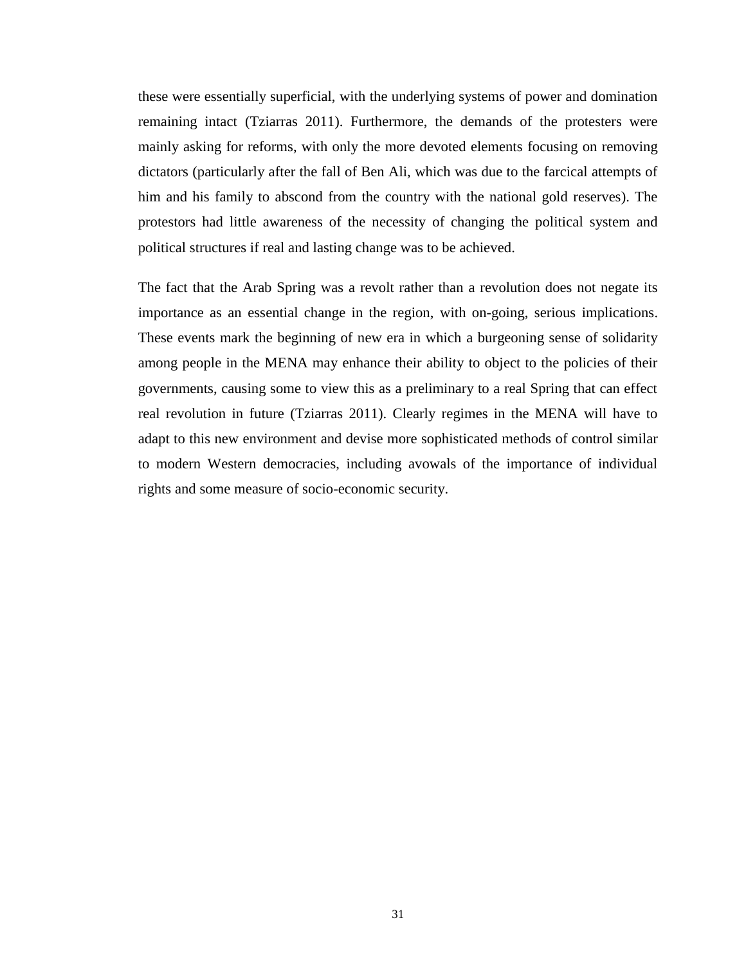these were essentially superficial, with the underlying systems of power and domination remaining intact (Tziarras 2011). Furthermore, the demands of the protesters were mainly asking for reforms, with only the more devoted elements focusing on removing dictators (particularly after the fall of Ben Ali, which was due to the farcical attempts of him and his family to abscond from the country with the national gold reserves). The protestors had little awareness of the necessity of changing the political system and political structures if real and lasting change was to be achieved.

The fact that the Arab Spring was a revolt rather than a revolution does not negate its importance as an essential change in the region, with on-going, serious implications. These events mark the beginning of new era in which a burgeoning sense of solidarity among people in the MENA may enhance their ability to object to the policies of their governments, causing some to view this as a preliminary to a real Spring that can effect real revolution in future (Tziarras 2011). Clearly regimes in the MENA will have to adapt to this new environment and devise more sophisticated methods of control similar to modern Western democracies, including avowals of the importance of individual rights and some measure of socio-economic security.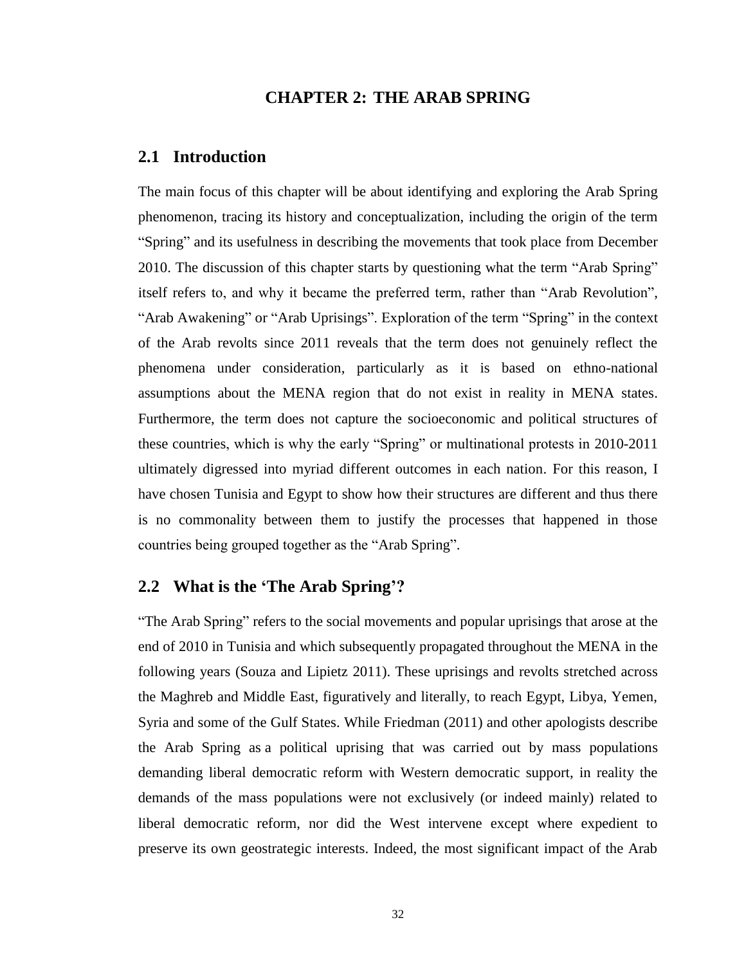#### **CHAPTER 2: THE ARAB SPRING**

#### **2.1 Introduction**

The main focus of this chapter will be about identifying and exploring the Arab Spring phenomenon, tracing its history and conceptualization, including the origin of the term "Spring" and its usefulness in describing the movements that took place from December 2010. The discussion of this chapter starts by questioning what the term "Arab Spring" itself refers to, and why it became the preferred term, rather than "Arab Revolution", "Arab Awakening" or "Arab Uprisings". Exploration of the term "Spring" in the context of the Arab revolts since 2011 reveals that the term does not genuinely reflect the phenomena under consideration, particularly as it is based on ethno-national assumptions about the MENA region that do not exist in reality in MENA states. Furthermore, the term does not capture the socioeconomic and political structures of these countries, which is why the early "Spring" or multinational protests in 2010-2011 ultimately digressed into myriad different outcomes in each nation. For this reason, I have chosen Tunisia and Egypt to show how their structures are different and thus there is no commonality between them to justify the processes that happened in those countries being grouped together as the "Arab Spring".

### **2.2 What is the 'The Arab Spring'?**

"The Arab Spring" refers to the social movements and popular uprisings that arose at the end of 2010 in Tunisia and which subsequently propagated throughout the MENA in the following years (Souza and Lipietz 2011). These uprisings and revolts stretched across the Maghreb and Middle East, figuratively and literally, to reach Egypt, Libya, Yemen, Syria and some of the Gulf States. While Friedman (2011) and other apologists describe the Arab Spring as a political uprising that was carried out by mass populations demanding liberal democratic reform with Western democratic support, in reality the demands of the mass populations were not exclusively (or indeed mainly) related to liberal democratic reform, nor did the West intervene except where expedient to preserve its own geostrategic interests. Indeed, the most significant impact of the Arab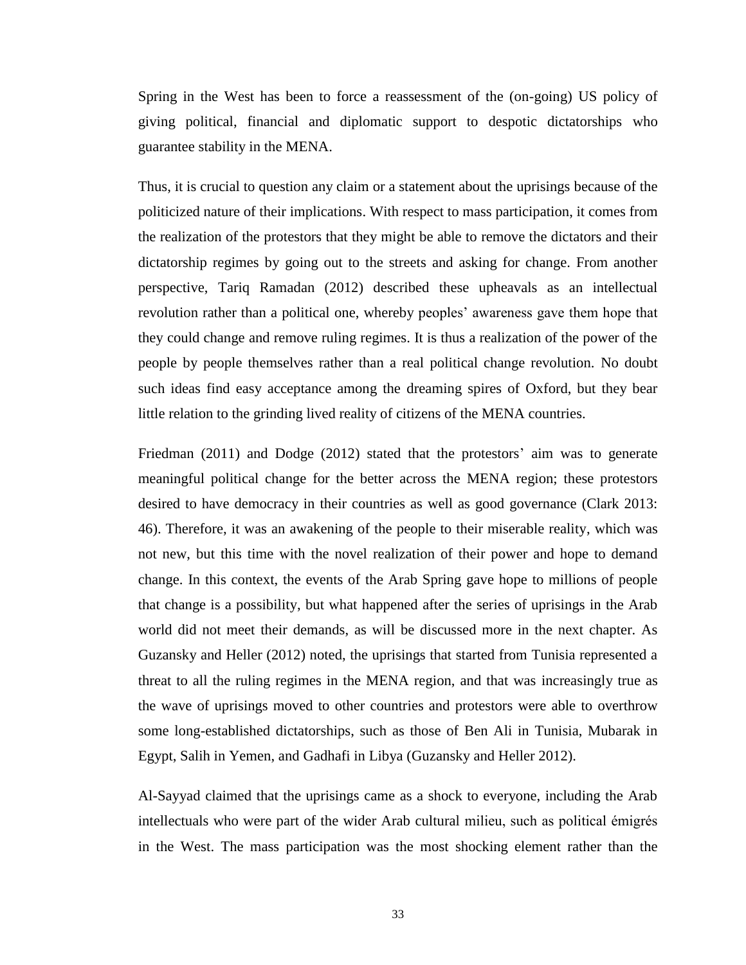Spring in the West has been to force a reassessment of the (on-going) US policy of giving political, financial and diplomatic support to despotic dictatorships who guarantee stability in the MENA.

Thus, it is crucial to question any claim or a statement about the uprisings because of the politicized nature of their implications. With respect to mass participation, it comes from the realization of the protestors that they might be able to remove the dictators and their dictatorship regimes by going out to the streets and asking for change. From another perspective, Tariq Ramadan (2012) described these upheavals as an intellectual revolution rather than a political one, whereby peoples' awareness gave them hope that they could change and remove ruling regimes. It is thus a realization of the power of the people by people themselves rather than a real political change revolution. No doubt such ideas find easy acceptance among the dreaming spires of Oxford, but they bear little relation to the grinding lived reality of citizens of the MENA countries.

Friedman (2011) and Dodge (2012) stated that the protestors' aim was to generate meaningful political change for the better across the MENA region; these protestors desired to have democracy in their countries as well as good governance (Clark 2013: 46). Therefore, it was an awakening of the people to their miserable reality, which was not new, but this time with the novel realization of their power and hope to demand change. In this context, the events of the Arab Spring gave hope to millions of people that change is a possibility, but what happened after the series of uprisings in the Arab world did not meet their demands, as will be discussed more in the next chapter. As Guzansky and Heller (2012) noted, the uprisings that started from Tunisia represented a threat to all the ruling regimes in the MENA region, and that was increasingly true as the wave of uprisings moved to other countries and protestors were able to overthrow some long-established dictatorships, such as those of Ben Ali in Tunisia, Mubarak in Egypt, Salih in Yemen, and Gadhafi in Libya (Guzansky and Heller 2012).

Al-Sayyad claimed that the uprisings came as a shock to everyone, including the Arab intellectuals who were part of the wider Arab cultural milieu, such as political émigrés in the West. The mass participation was the most shocking element rather than the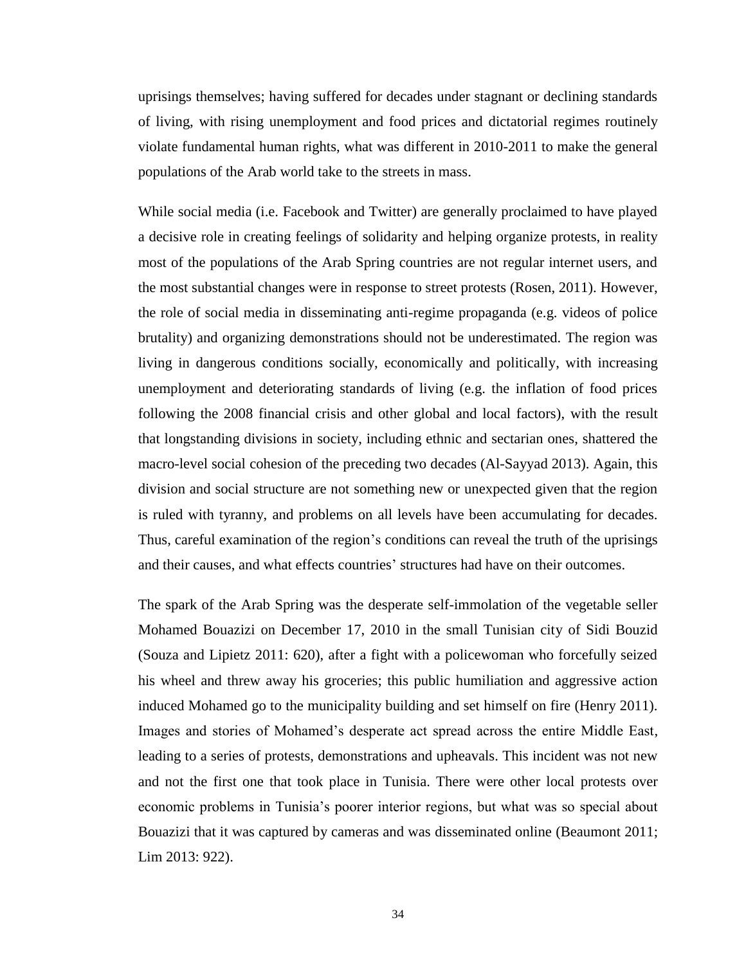uprisings themselves; having suffered for decades under stagnant or declining standards of living, with rising unemployment and food prices and dictatorial regimes routinely violate fundamental human rights, what was different in 2010-2011 to make the general populations of the Arab world take to the streets in mass.

While social media (i.e. Facebook and Twitter) are generally proclaimed to have played a decisive role in creating feelings of solidarity and helping organize protests, in reality most of the populations of the Arab Spring countries are not regular internet users, and the most substantial changes were in response to street protests (Rosen, 2011). However, the role of social media in disseminating anti-regime propaganda (e.g. videos of police brutality) and organizing demonstrations should not be underestimated. The region was living in dangerous conditions socially, economically and politically, with increasing unemployment and deteriorating standards of living (e.g. the inflation of food prices following the 2008 financial crisis and other global and local factors), with the result that longstanding divisions in society, including ethnic and sectarian ones, shattered the macro-level social cohesion of the preceding two decades (Al-Sayyad 2013). Again, this division and social structure are not something new or unexpected given that the region is ruled with tyranny, and problems on all levels have been accumulating for decades. Thus, careful examination of the region's conditions can reveal the truth of the uprisings and their causes, and what effects countries' structures had have on their outcomes.

The spark of the Arab Spring was the desperate self-immolation of the vegetable seller Mohamed Bouazizi on December 17, 2010 in the small Tunisian city of Sidi Bouzid (Souza and Lipietz 2011: 620), after a fight with a policewoman who forcefully seized his wheel and threw away his groceries; this public humiliation and aggressive action induced Mohamed go to the municipality building and set himself on fire (Henry 2011). Images and stories of Mohamed's desperate act spread across the entire Middle East, leading to a series of protests, demonstrations and upheavals. This incident was not new and not the first one that took place in Tunisia. There were other local protests over economic problems in Tunisia's poorer interior regions, but what was so special about Bouazizi that it was captured by cameras and was disseminated online (Beaumont 2011; Lim 2013: 922).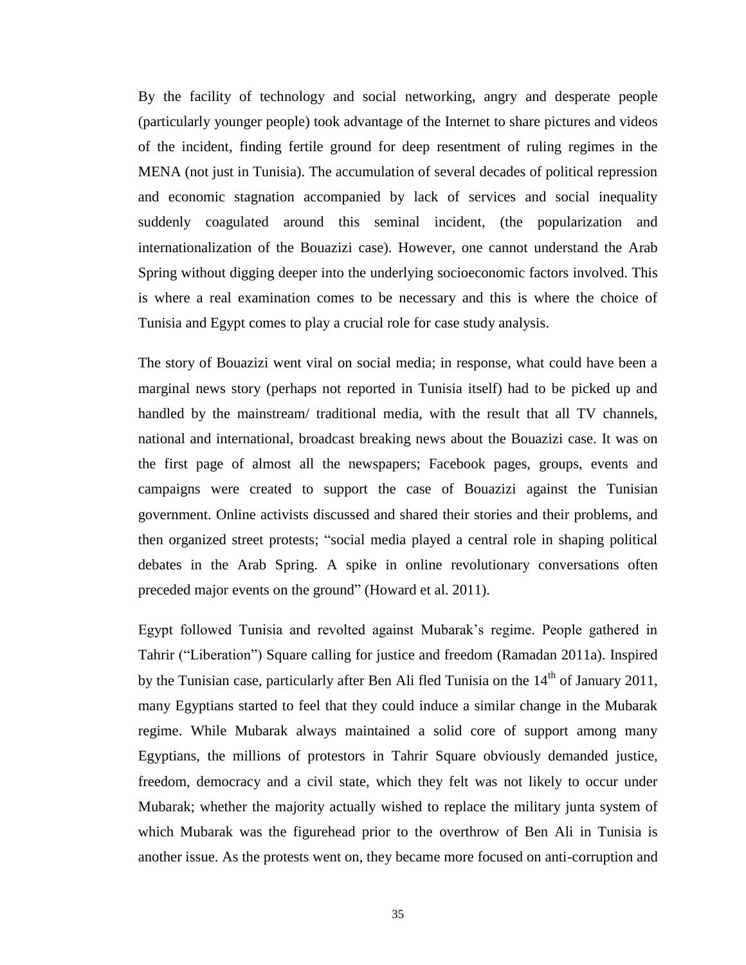By the facility of technology and social networking, angry and desperate people (particularly younger people) took advantage of the Internet to share pictures and videos of the incident, finding fertile ground for deep resentment of ruling regimes in the MENA (not just in Tunisia). The accumulation of several decades of political repression and economic stagnation accompanied by lack of services and social inequality suddenly coagulated around this seminal incident, (the popularization and internationalization of the Bouazizi case). However, one cannot understand the Arab Spring without digging deeper into the underlying socioeconomic factors involved. This is where a real examination comes to be necessary and this is where the choice of Tunisia and Egypt comes to play a crucial role for case study analysis.

The story of Bouazizi went viral on social media; in response, what could have been a marginal news story (perhaps not reported in Tunisia itself) had to be picked up and handled by the mainstream/ traditional media, with the result that all TV channels, national and international, broadcast breaking news about the Bouazizi case. It was on the first page of almost all the newspapers; Facebook pages, groups, events and campaigns were created to support the case of Bouazizi against the Tunisian government. Online activists discussed and shared their stories and their problems, and then organized street protests; "social media played a central role in shaping political debates in the Arab Spring. A spike in online revolutionary conversations often preceded major events on the ground" (Howard et al. 2011).

Egypt followed Tunisia and revolted against Mubarak's regime. People gathered in Tahrir ("Liberation") Square calling for justice and freedom (Ramadan 2011a). Inspired by the Tunisian case, particularly after Ben Ali fled Tunisia on the  $14<sup>th</sup>$  of January 2011, many Egyptians started to feel that they could induce a similar change in the Mubarak regime. While Mubarak always maintained a solid core of support among many Egyptians, the millions of protestors in Tahrir Square obviously demanded justice, freedom, democracy and a civil state, which they felt was not likely to occur under Mubarak; whether the majority actually wished to replace the military junta system of which Mubarak was the figurehead prior to the overthrow of Ben Ali in Tunisia is another issue. As the protests went on, they became more focused on anti-corruption and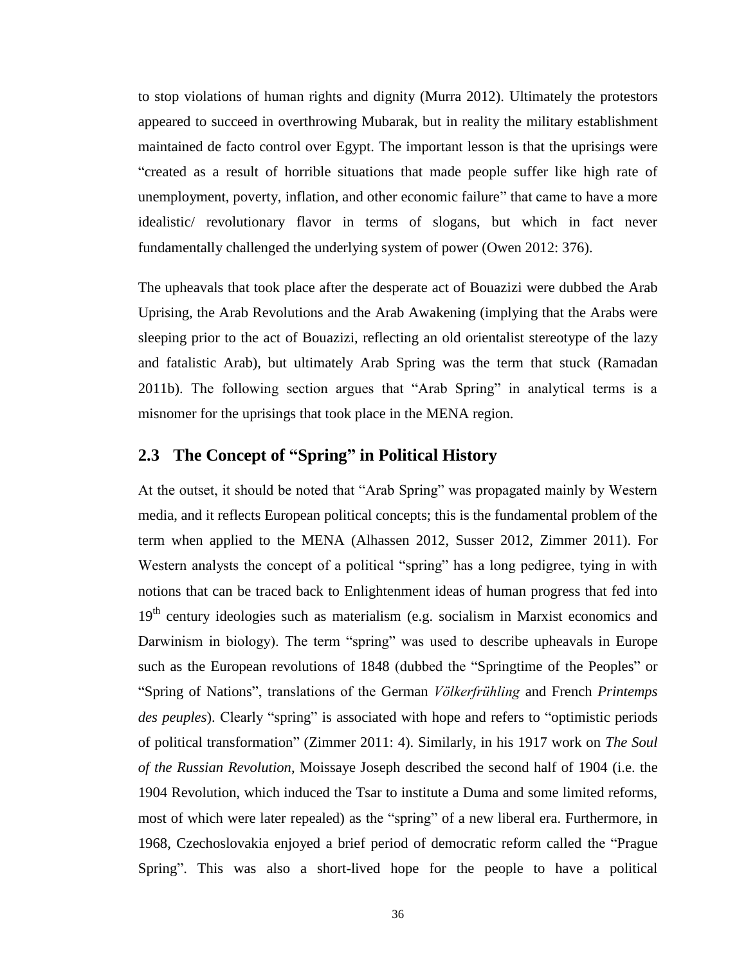to stop violations of human rights and dignity (Murra 2012). Ultimately the protestors appeared to succeed in overthrowing Mubarak, but in reality the military establishment maintained de facto control over Egypt. The important lesson is that the uprisings were "created as a result of horrible situations that made people suffer like high rate of unemployment, poverty, inflation, and other economic failure" that came to have a more idealistic/ revolutionary flavor in terms of slogans, but which in fact never fundamentally challenged the underlying system of power (Owen 2012: 376).

The upheavals that took place after the desperate act of Bouazizi were dubbed the Arab Uprising, the Arab Revolutions and the Arab Awakening (implying that the Arabs were sleeping prior to the act of Bouazizi, reflecting an old orientalist stereotype of the lazy and fatalistic Arab), but ultimately Arab Spring was the term that stuck (Ramadan 2011b). The following section argues that "Arab Spring" in analytical terms is a misnomer for the uprisings that took place in the MENA region.

### **2.3 The Concept of "Spring" in Political History**

At the outset, it should be noted that "Arab Spring" was propagated mainly by Western media, and it reflects European political concepts; this is the fundamental problem of the term when applied to the MENA (Alhassen 2012, Susser 2012, Zimmer 2011). For Western analysts the concept of a political "spring" has a long pedigree, tying in with notions that can be traced back to Enlightenment ideas of human progress that fed into 19<sup>th</sup> century ideologies such as materialism (e.g. socialism in Marxist economics and Darwinism in biology). The term "spring" was used to describe upheavals in Europe such as the European revolutions of 1848 (dubbed the "Springtime of the Peoples" or "Spring of Nations", translations of the German *Völkerfrühling* and French *Printemps des peuples*). Clearly "spring" is associated with hope and refers to "optimistic periods of political transformation" (Zimmer 2011: 4). Similarly, in his 1917 work on *The Soul of the Russian Revolution*, Moissaye Joseph described the second half of 1904 (i.e. the 1904 Revolution, which induced the Tsar to institute a Duma and some limited reforms, most of which were later repealed) as the "spring" of a new liberal era. Furthermore, in 1968, Czechoslovakia enjoyed a brief period of democratic reform called the "Prague Spring". This was also a short-lived hope for the people to have a political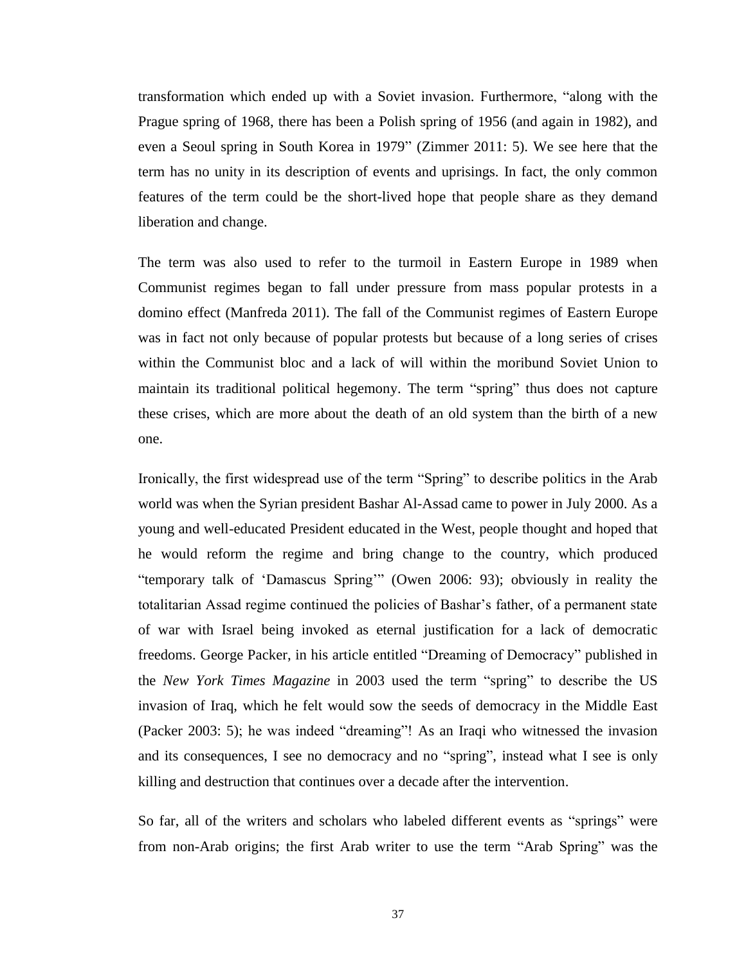transformation which ended up with a Soviet invasion. Furthermore, "along with the Prague spring of 1968, there has been a Polish spring of 1956 (and again in 1982), and even a Seoul spring in South Korea in 1979" (Zimmer 2011: 5). We see here that the term has no unity in its description of events and uprisings. In fact, the only common features of the term could be the short-lived hope that people share as they demand liberation and change.

The term was also used to refer to the turmoil in Eastern Europe in 1989 when Communist regimes began to fall under pressure from mass popular protests in a domino effect (Manfreda 2011). The fall of the Communist regimes of Eastern Europe was in fact not only because of popular protests but because of a long series of crises within the Communist bloc and a lack of will within the moribund Soviet Union to maintain its traditional political hegemony. The term "spring" thus does not capture these crises, which are more about the death of an old system than the birth of a new one.

Ironically, the first widespread use of the term "Spring" to describe politics in the Arab world was when the Syrian president Bashar Al-Assad came to power in July 2000. As a young and well-educated President educated in the West, people thought and hoped that he would reform the regime and bring change to the country, which produced "temporary talk of 'Damascus Spring'" (Owen 2006: 93); obviously in reality the totalitarian Assad regime continued the policies of Bashar's father, of a permanent state of war with Israel being invoked as eternal justification for a lack of democratic freedoms. George Packer, in his article entitled "Dreaming of Democracy" published in the *New York Times Magazine* in 2003 used the term "spring" to describe the US invasion of Iraq, which he felt would sow the seeds of democracy in the Middle East (Packer 2003: 5); he was indeed "dreaming"! As an Iraqi who witnessed the invasion and its consequences, I see no democracy and no "spring", instead what I see is only killing and destruction that continues over a decade after the intervention.

So far, all of the writers and scholars who labeled different events as "springs" were from non-Arab origins; the first Arab writer to use the term "Arab Spring" was the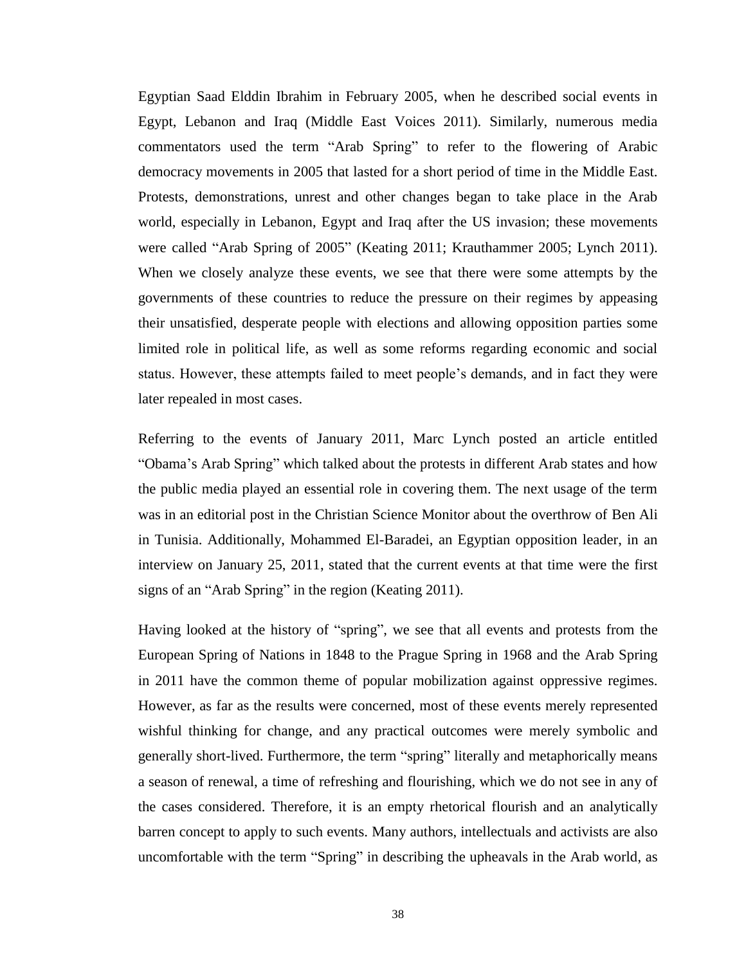Egyptian Saad Elddin Ibrahim in February 2005, when he described social events in Egypt, Lebanon and Iraq (Middle East Voices 2011). Similarly, numerous media commentators used the term "Arab Spring" to refer to the flowering of Arabic democracy movements in 2005 that lasted for a short period of time in the Middle East. Protests, demonstrations, unrest and other changes began to take place in the Arab world, especially in Lebanon, Egypt and Iraq after the US invasion; these movements were called "Arab Spring of 2005" (Keating 2011; Krauthammer 2005; Lynch 2011). When we closely analyze these events, we see that there were some attempts by the governments of these countries to reduce the pressure on their regimes by appeasing their unsatisfied, desperate people with elections and allowing opposition parties some limited role in political life, as well as some reforms regarding economic and social status. However, these attempts failed to meet people's demands, and in fact they were later repealed in most cases.

Referring to the events of January 2011, Marc Lynch posted an article entitled "Obama's Arab Spring" which talked about the protests in different Arab states and how the public media played an essential role in covering them. The next usage of the term was in an editorial post in the Christian Science Monitor about the overthrow of Ben Ali in Tunisia. Additionally, Mohammed El-Baradei, an Egyptian opposition leader, in an interview on January 25, 2011, stated that the current events at that time were the first signs of an "Arab Spring" in the region (Keating 2011).

Having looked at the history of "spring", we see that all events and protests from the European Spring of Nations in 1848 to the Prague Spring in 1968 and the Arab Spring in 2011 have the common theme of popular mobilization against oppressive regimes. However, as far as the results were concerned, most of these events merely represented wishful thinking for change, and any practical outcomes were merely symbolic and generally short-lived. Furthermore, the term "spring" literally and metaphorically means a season of renewal, a time of refreshing and flourishing, which we do not see in any of the cases considered. Therefore, it is an empty rhetorical flourish and an analytically barren concept to apply to such events. Many authors, intellectuals and activists are also uncomfortable with the term "Spring" in describing the upheavals in the Arab world, as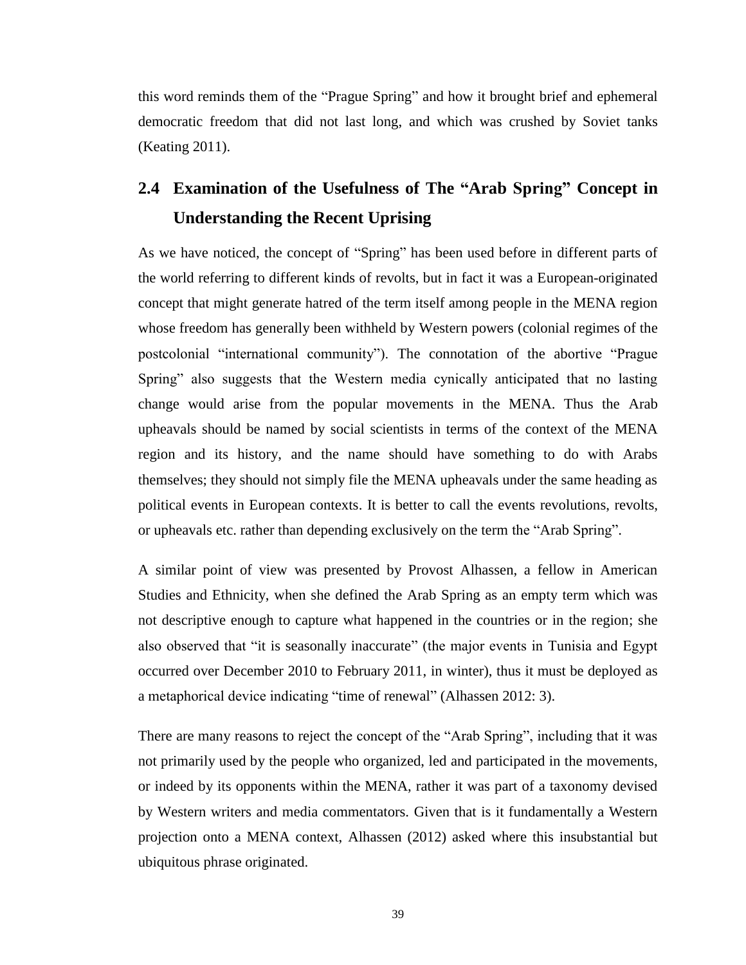this word reminds them of the "Prague Spring" and how it brought brief and ephemeral democratic freedom that did not last long, and which was crushed by Soviet tanks (Keating 2011).

# **2.4 Examination of the Usefulness of The "Arab Spring" Concept in Understanding the Recent Uprising**

As we have noticed, the concept of "Spring" has been used before in different parts of the world referring to different kinds of revolts, but in fact it was a European-originated concept that might generate hatred of the term itself among people in the MENA region whose freedom has generally been withheld by Western powers (colonial regimes of the postcolonial "international community"). The connotation of the abortive "Prague Spring" also suggests that the Western media cynically anticipated that no lasting change would arise from the popular movements in the MENA. Thus the Arab upheavals should be named by social scientists in terms of the context of the MENA region and its history, and the name should have something to do with Arabs themselves; they should not simply file the MENA upheavals under the same heading as political events in European contexts. It is better to call the events revolutions, revolts, or upheavals etc. rather than depending exclusively on the term the "Arab Spring".

A similar point of view was presented by Provost Alhassen, a fellow in American Studies and Ethnicity, when she defined the Arab Spring as an empty term which was not descriptive enough to capture what happened in the countries or in the region; she also observed that "it is seasonally inaccurate" (the major events in Tunisia and Egypt occurred over December 2010 to February 2011, in winter), thus it must be deployed as a metaphorical device indicating "time of renewal" (Alhassen 2012: 3).

There are many reasons to reject the concept of the "Arab Spring", including that it was not primarily used by the people who organized, led and participated in the movements, or indeed by its opponents within the MENA, rather it was part of a taxonomy devised by Western writers and media commentators. Given that is it fundamentally a Western projection onto a MENA context, Alhassen (2012) asked where this insubstantial but ubiquitous phrase originated.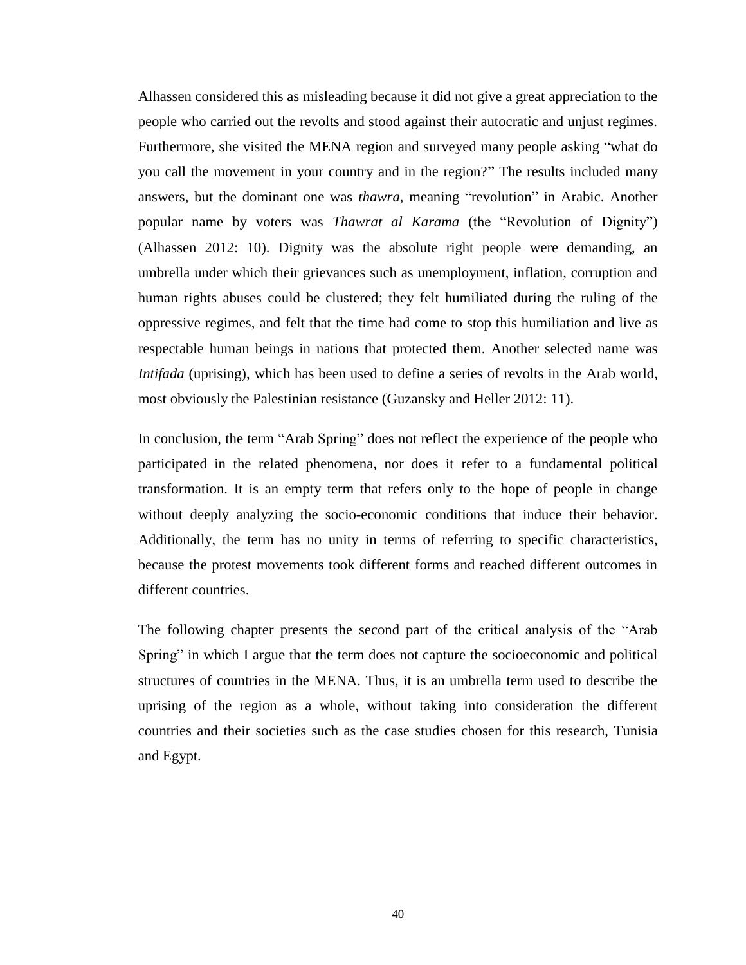Alhassen considered this as misleading because it did not give a great appreciation to the people who carried out the revolts and stood against their autocratic and unjust regimes. Furthermore, she visited the MENA region and surveyed many people asking "what do you call the movement in your country and in the region?" The results included many answers, but the dominant one was *thawra*, meaning "revolution" in Arabic. Another popular name by voters was *Thawrat al Karama* (the "Revolution of Dignity") (Alhassen 2012: 10). Dignity was the absolute right people were demanding, an umbrella under which their grievances such as unemployment, inflation, corruption and human rights abuses could be clustered; they felt humiliated during the ruling of the oppressive regimes, and felt that the time had come to stop this humiliation and live as respectable human beings in nations that protected them. Another selected name was *Intifada* (uprising), which has been used to define a series of revolts in the Arab world, most obviously the Palestinian resistance (Guzansky and Heller 2012: 11).

In conclusion, the term "Arab Spring" does not reflect the experience of the people who participated in the related phenomena, nor does it refer to a fundamental political transformation. It is an empty term that refers only to the hope of people in change without deeply analyzing the socio-economic conditions that induce their behavior. Additionally, the term has no unity in terms of referring to specific characteristics, because the protest movements took different forms and reached different outcomes in different countries.

The following chapter presents the second part of the critical analysis of the "Arab Spring" in which I argue that the term does not capture the socioeconomic and political structures of countries in the MENA. Thus, it is an umbrella term used to describe the uprising of the region as a whole, without taking into consideration the different countries and their societies such as the case studies chosen for this research, Tunisia and Egypt.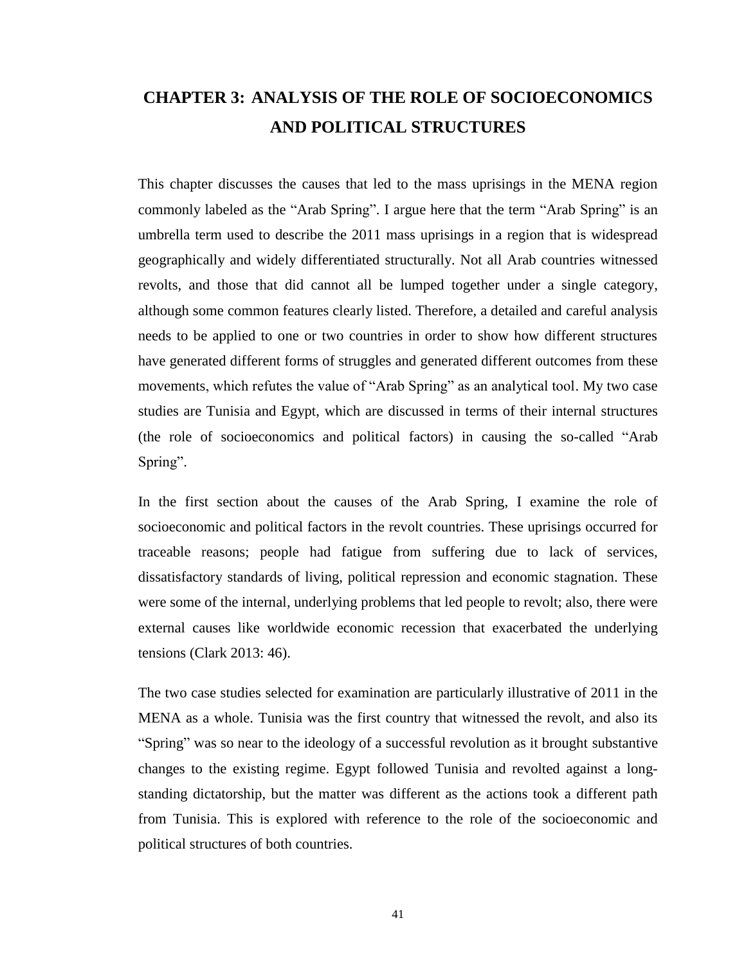# **CHAPTER 3: ANALYSIS OF THE ROLE OF SOCIOECONOMICS AND POLITICAL STRUCTURES**

This chapter discusses the causes that led to the mass uprisings in the MENA region commonly labeled as the "Arab Spring". I argue here that the term "Arab Spring" is an umbrella term used to describe the 2011 mass uprisings in a region that is widespread geographically and widely differentiated structurally. Not all Arab countries witnessed revolts, and those that did cannot all be lumped together under a single category, although some common features clearly listed. Therefore, a detailed and careful analysis needs to be applied to one or two countries in order to show how different structures have generated different forms of struggles and generated different outcomes from these movements, which refutes the value of "Arab Spring" as an analytical tool. My two case studies are Tunisia and Egypt, which are discussed in terms of their internal structures (the role of socioeconomics and political factors) in causing the so-called "Arab Spring".

In the first section about the causes of the Arab Spring, I examine the role of socioeconomic and political factors in the revolt countries. These uprisings occurred for traceable reasons; people had fatigue from suffering due to lack of services, dissatisfactory standards of living, political repression and economic stagnation. These were some of the internal, underlying problems that led people to revolt; also, there were external causes like worldwide economic recession that exacerbated the underlying tensions (Clark 2013: 46).

The two case studies selected for examination are particularly illustrative of 2011 in the MENA as a whole. Tunisia was the first country that witnessed the revolt, and also its "Spring" was so near to the ideology of a successful revolution as it brought substantive changes to the existing regime. Egypt followed Tunisia and revolted against a longstanding dictatorship, but the matter was different as the actions took a different path from Tunisia. This is explored with reference to the role of the socioeconomic and political structures of both countries.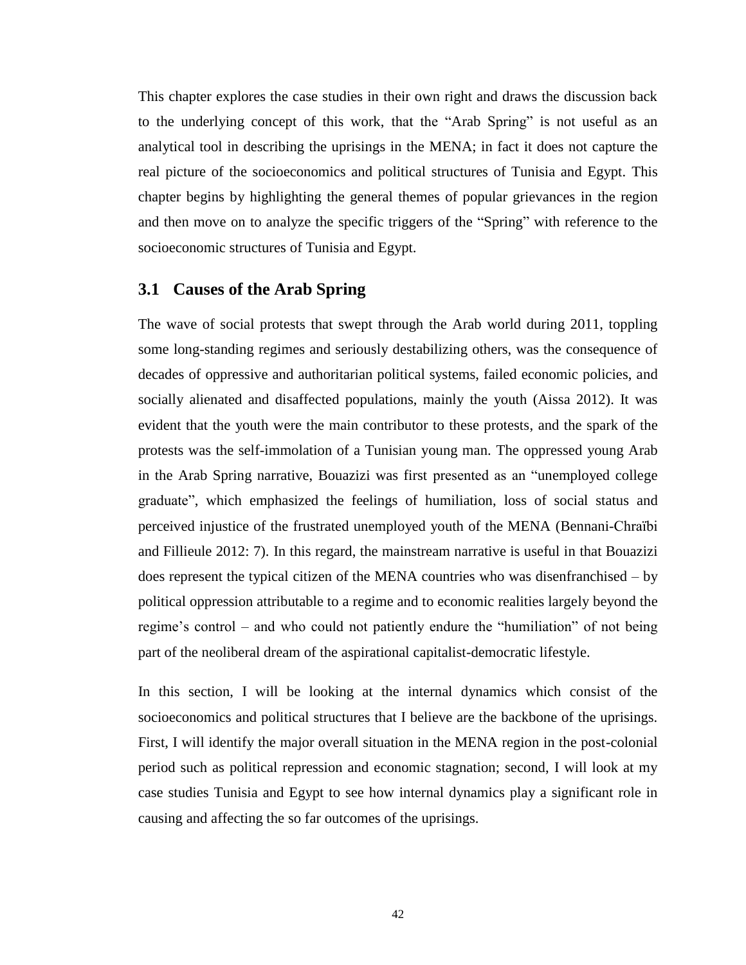This chapter explores the case studies in their own right and draws the discussion back to the underlying concept of this work, that the "Arab Spring" is not useful as an analytical tool in describing the uprisings in the MENA; in fact it does not capture the real picture of the socioeconomics and political structures of Tunisia and Egypt. This chapter begins by highlighting the general themes of popular grievances in the region and then move on to analyze the specific triggers of the "Spring" with reference to the socioeconomic structures of Tunisia and Egypt.

# **3.1 Causes of the Arab Spring**

The wave of social protests that swept through the Arab world during 2011, toppling some long-standing regimes and seriously destabilizing others, was the consequence of decades of oppressive and authoritarian political systems, failed economic policies, and socially alienated and disaffected populations, mainly the youth (Aissa 2012). It was evident that the youth were the main contributor to these protests, and the spark of the protests was the self-immolation of a Tunisian young man. The oppressed young Arab in the Arab Spring narrative, Bouazizi was first presented as an "unemployed college graduate", which emphasized the feelings of humiliation, loss of social status and perceived injustice of the frustrated unemployed youth of the MENA (Bennani-Chraïbi and Fillieule 2012: 7). In this regard, the mainstream narrative is useful in that Bouazizi does represent the typical citizen of the MENA countries who was disenfranchised – by political oppression attributable to a regime and to economic realities largely beyond the regime's control – and who could not patiently endure the "humiliation" of not being part of the neoliberal dream of the aspirational capitalist-democratic lifestyle.

In this section, I will be looking at the internal dynamics which consist of the socioeconomics and political structures that I believe are the backbone of the uprisings. First, I will identify the major overall situation in the MENA region in the post-colonial period such as political repression and economic stagnation; second, I will look at my case studies Tunisia and Egypt to see how internal dynamics play a significant role in causing and affecting the so far outcomes of the uprisings.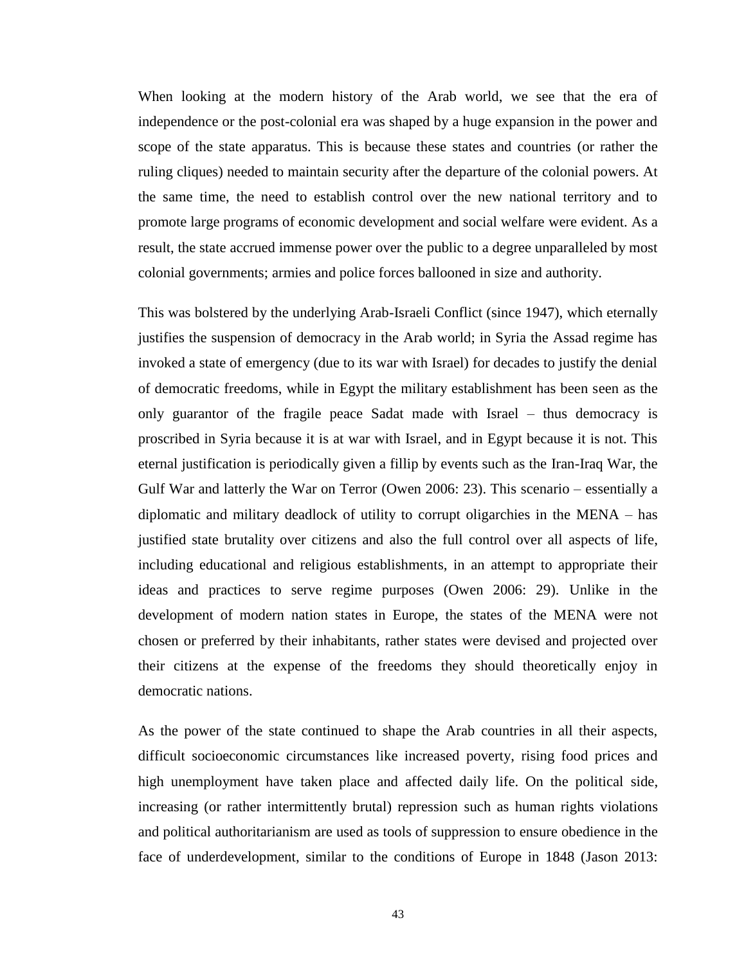When looking at the modern history of the Arab world, we see that the era of independence or the post-colonial era was shaped by a huge expansion in the power and scope of the state apparatus. This is because these states and countries (or rather the ruling cliques) needed to maintain security after the departure of the colonial powers. At the same time, the need to establish control over the new national territory and to promote large programs of economic development and social welfare were evident. As a result, the state accrued immense power over the public to a degree unparalleled by most colonial governments; armies and police forces ballooned in size and authority.

This was bolstered by the underlying Arab-Israeli Conflict (since 1947), which eternally justifies the suspension of democracy in the Arab world; in Syria the Assad regime has invoked a state of emergency (due to its war with Israel) for decades to justify the denial of democratic freedoms, while in Egypt the military establishment has been seen as the only guarantor of the fragile peace Sadat made with Israel – thus democracy is proscribed in Syria because it is at war with Israel, and in Egypt because it is not. This eternal justification is periodically given a fillip by events such as the Iran-Iraq War, the Gulf War and latterly the War on Terror (Owen 2006: 23). This scenario – essentially a diplomatic and military deadlock of utility to corrupt oligarchies in the MENA – has justified state brutality over citizens and also the full control over all aspects of life, including educational and religious establishments, in an attempt to appropriate their ideas and practices to serve regime purposes (Owen 2006: 29). Unlike in the development of modern nation states in Europe, the states of the MENA were not chosen or preferred by their inhabitants, rather states were devised and projected over their citizens at the expense of the freedoms they should theoretically enjoy in democratic nations.

As the power of the state continued to shape the Arab countries in all their aspects, difficult socioeconomic circumstances like increased poverty, rising food prices and high unemployment have taken place and affected daily life. On the political side, increasing (or rather intermittently brutal) repression such as human rights violations and political authoritarianism are used as tools of suppression to ensure obedience in the face of underdevelopment, similar to the conditions of Europe in 1848 (Jason 2013: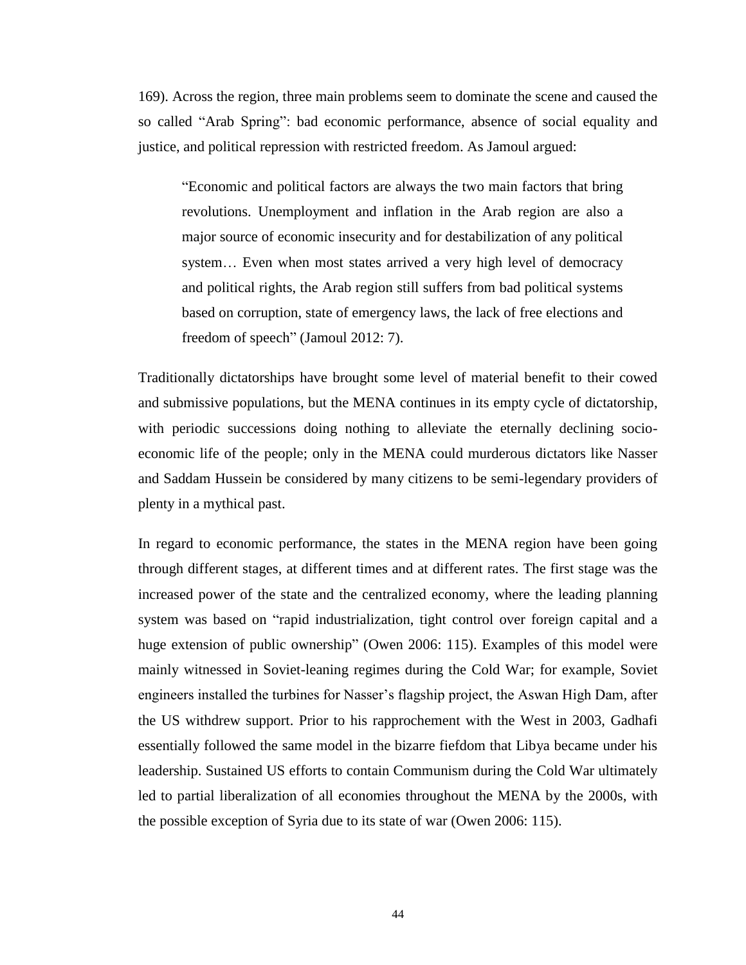169). Across the region, three main problems seem to dominate the scene and caused the so called "Arab Spring": bad economic performance, absence of social equality and justice, and political repression with restricted freedom. As Jamoul argued:

"Economic and political factors are always the two main factors that bring revolutions. Unemployment and inflation in the Arab region are also a major source of economic insecurity and for destabilization of any political system… Even when most states arrived a very high level of democracy and political rights, the Arab region still suffers from bad political systems based on corruption, state of emergency laws, the lack of free elections and freedom of speech" (Jamoul 2012: 7).

Traditionally dictatorships have brought some level of material benefit to their cowed and submissive populations, but the MENA continues in its empty cycle of dictatorship, with periodic successions doing nothing to alleviate the eternally declining socioeconomic life of the people; only in the MENA could murderous dictators like Nasser and Saddam Hussein be considered by many citizens to be semi-legendary providers of plenty in a mythical past.

In regard to economic performance, the states in the MENA region have been going through different stages, at different times and at different rates. The first stage was the increased power of the state and the centralized economy, where the leading planning system was based on "rapid industrialization, tight control over foreign capital and a huge extension of public ownership" (Owen 2006: 115). Examples of this model were mainly witnessed in Soviet-leaning regimes during the Cold War; for example, Soviet engineers installed the turbines for Nasser's flagship project, the Aswan High Dam, after the US withdrew support. Prior to his rapprochement with the West in 2003, Gadhafi essentially followed the same model in the bizarre fiefdom that Libya became under his leadership. Sustained US efforts to contain Communism during the Cold War ultimately led to partial liberalization of all economies throughout the MENA by the 2000s, with the possible exception of Syria due to its state of war (Owen 2006: 115).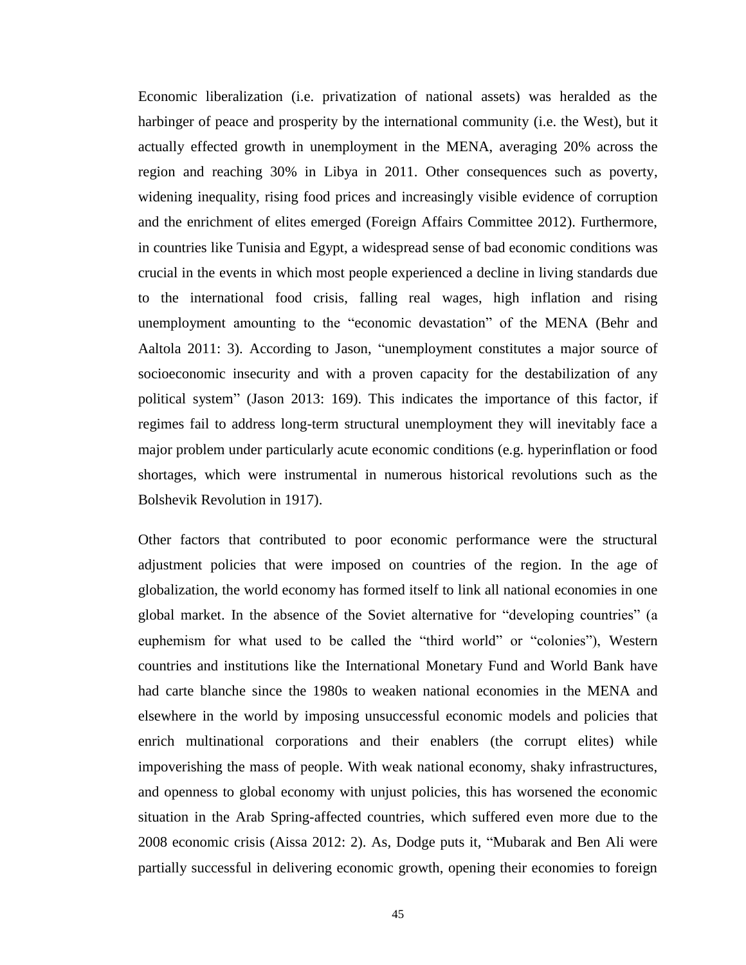Economic liberalization (i.e. privatization of national assets) was heralded as the harbinger of peace and prosperity by the international community (i.e. the West), but it actually effected growth in unemployment in the MENA, averaging 20% across the region and reaching 30% in Libya in 2011. Other consequences such as poverty, widening inequality, rising food prices and increasingly visible evidence of corruption and the enrichment of elites emerged (Foreign Affairs Committee 2012). Furthermore, in countries like Tunisia and Egypt, a widespread sense of bad economic conditions was crucial in the events in which most people experienced a decline in living standards due to the international food crisis, falling real wages, high inflation and rising unemployment amounting to the "economic devastation" of the MENA (Behr and Aaltola 2011: 3). According to Jason, "unemployment constitutes a major source of socioeconomic insecurity and with a proven capacity for the destabilization of any political system" (Jason 2013: 169). This indicates the importance of this factor, if regimes fail to address long-term structural unemployment they will inevitably face a major problem under particularly acute economic conditions (e.g. hyperinflation or food shortages, which were instrumental in numerous historical revolutions such as the Bolshevik Revolution in 1917).

Other factors that contributed to poor economic performance were the structural adjustment policies that were imposed on countries of the region. In the age of globalization, the world economy has formed itself to link all national economies in one global market. In the absence of the Soviet alternative for "developing countries" (a euphemism for what used to be called the "third world" or "colonies"), Western countries and institutions like the International Monetary Fund and World Bank have had carte blanche since the 1980s to weaken national economies in the MENA and elsewhere in the world by imposing unsuccessful economic models and policies that enrich multinational corporations and their enablers (the corrupt elites) while impoverishing the mass of people. With weak national economy, shaky infrastructures, and openness to global economy with unjust policies, this has worsened the economic situation in the Arab Spring-affected countries, which suffered even more due to the 2008 economic crisis (Aissa 2012: 2). As, Dodge puts it, "Mubarak and Ben Ali were partially successful in delivering economic growth, opening their economies to foreign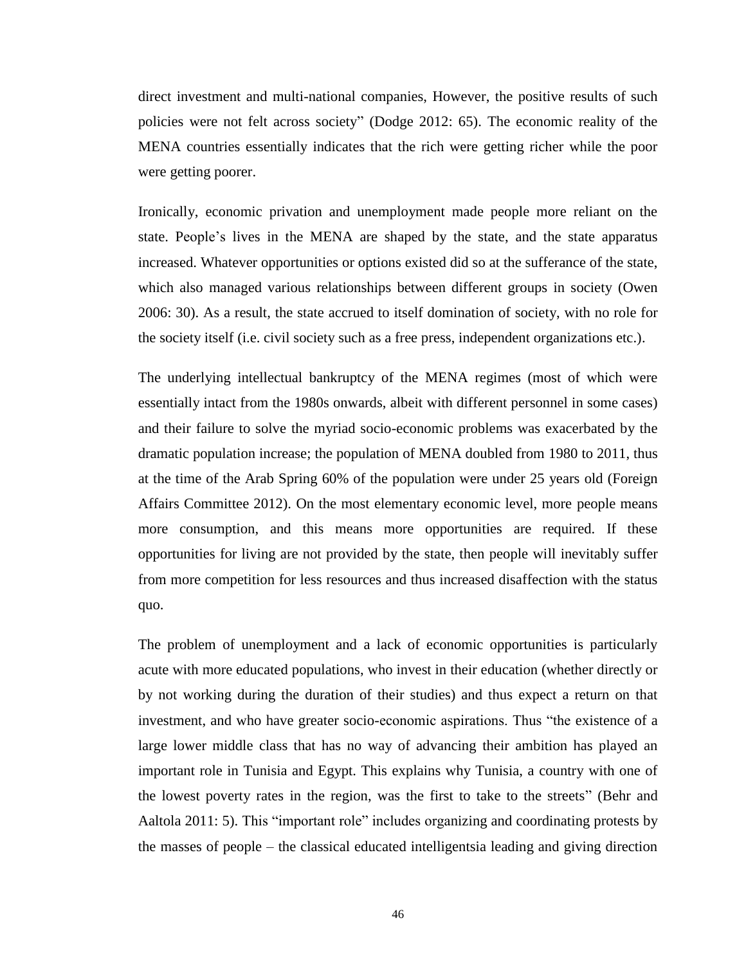direct investment and multi-national companies, However, the positive results of such policies were not felt across society" (Dodge 2012: 65). The economic reality of the MENA countries essentially indicates that the rich were getting richer while the poor were getting poorer.

Ironically, economic privation and unemployment made people more reliant on the state. People's lives in the MENA are shaped by the state, and the state apparatus increased. Whatever opportunities or options existed did so at the sufferance of the state, which also managed various relationships between different groups in society (Owen 2006: 30). As a result, the state accrued to itself domination of society, with no role for the society itself (i.e. civil society such as a free press, independent organizations etc.).

The underlying intellectual bankruptcy of the MENA regimes (most of which were essentially intact from the 1980s onwards, albeit with different personnel in some cases) and their failure to solve the myriad socio-economic problems was exacerbated by the dramatic population increase; the population of MENA doubled from 1980 to 2011, thus at the time of the Arab Spring 60% of the population were under 25 years old (Foreign Affairs Committee 2012). On the most elementary economic level, more people means more consumption, and this means more opportunities are required. If these opportunities for living are not provided by the state, then people will inevitably suffer from more competition for less resources and thus increased disaffection with the status quo.

The problem of unemployment and a lack of economic opportunities is particularly acute with more educated populations, who invest in their education (whether directly or by not working during the duration of their studies) and thus expect a return on that investment, and who have greater socio-economic aspirations. Thus "the existence of a large lower middle class that has no way of advancing their ambition has played an important role in Tunisia and Egypt. This explains why Tunisia, a country with one of the lowest poverty rates in the region, was the first to take to the streets" (Behr and Aaltola 2011: 5). This "important role" includes organizing and coordinating protests by the masses of people – the classical educated intelligentsia leading and giving direction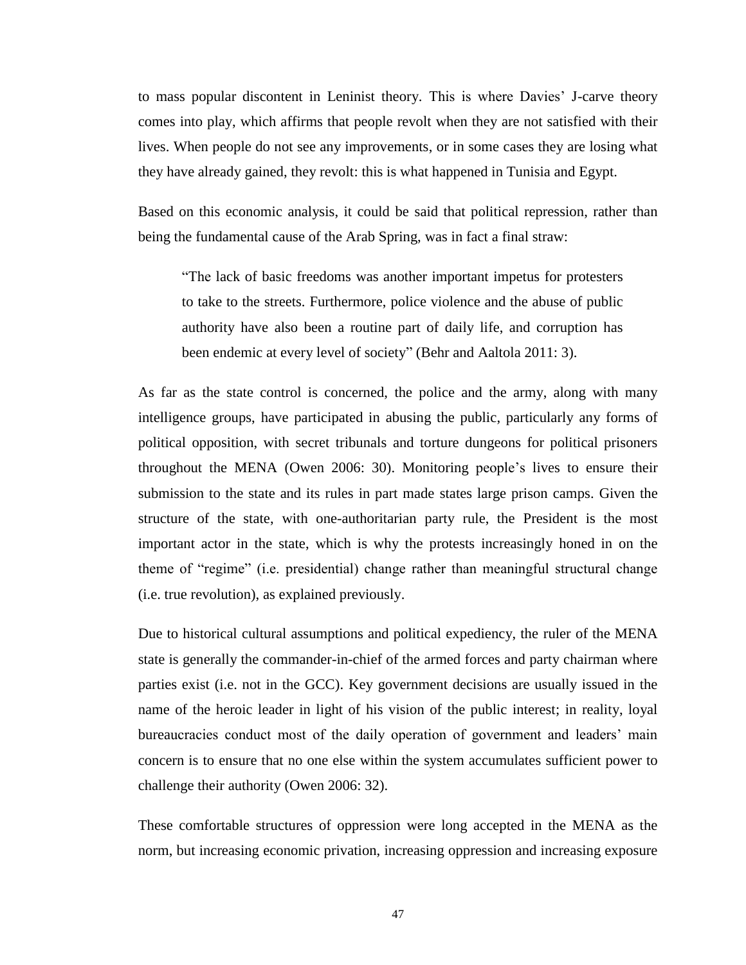to mass popular discontent in Leninist theory. This is where Davies' J-carve theory comes into play, which affirms that people revolt when they are not satisfied with their lives. When people do not see any improvements, or in some cases they are losing what they have already gained, they revolt: this is what happened in Tunisia and Egypt.

Based on this economic analysis, it could be said that political repression, rather than being the fundamental cause of the Arab Spring, was in fact a final straw:

"The lack of basic freedoms was another important impetus for protesters to take to the streets. Furthermore, police violence and the abuse of public authority have also been a routine part of daily life, and corruption has been endemic at every level of society" (Behr and Aaltola 2011: 3).

As far as the state control is concerned, the police and the army, along with many intelligence groups, have participated in abusing the public, particularly any forms of political opposition, with secret tribunals and torture dungeons for political prisoners throughout the MENA (Owen 2006: 30). Monitoring people's lives to ensure their submission to the state and its rules in part made states large prison camps. Given the structure of the state, with one-authoritarian party rule, the President is the most important actor in the state, which is why the protests increasingly honed in on the theme of "regime" (i.e. presidential) change rather than meaningful structural change (i.e. true revolution), as explained previously.

Due to historical cultural assumptions and political expediency, the ruler of the MENA state is generally the commander-in-chief of the armed forces and party chairman where parties exist (i.e. not in the GCC). Key government decisions are usually issued in the name of the heroic leader in light of his vision of the public interest; in reality, loyal bureaucracies conduct most of the daily operation of government and leaders' main concern is to ensure that no one else within the system accumulates sufficient power to challenge their authority (Owen 2006: 32).

These comfortable structures of oppression were long accepted in the MENA as the norm, but increasing economic privation, increasing oppression and increasing exposure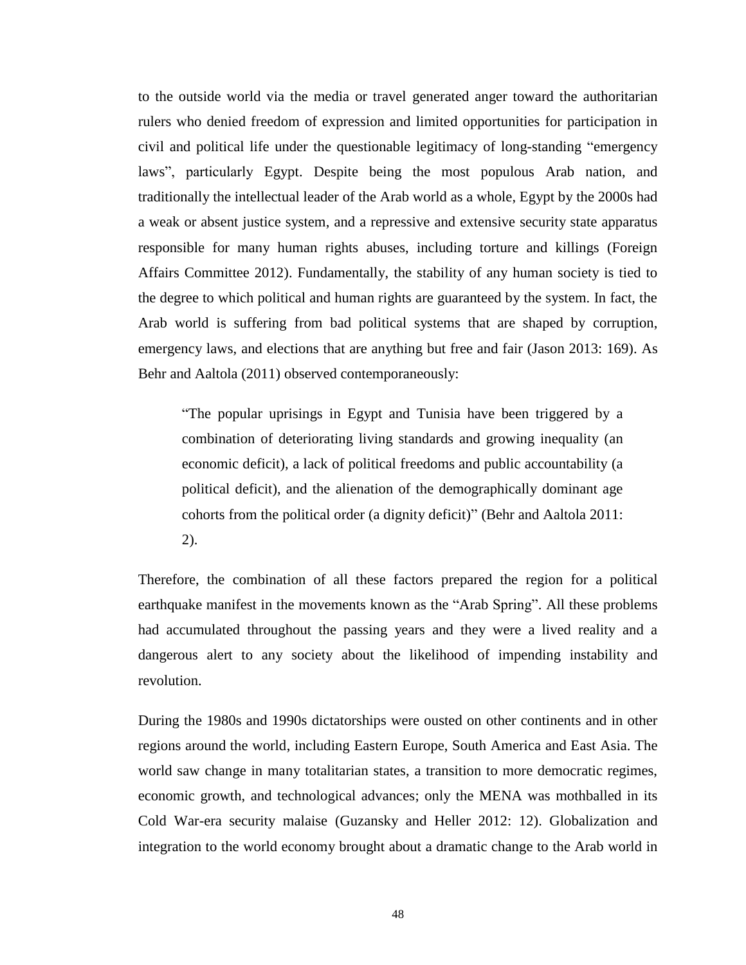to the outside world via the media or travel generated anger toward the authoritarian rulers who denied freedom of expression and limited opportunities for participation in civil and political life under the questionable legitimacy of long-standing "emergency laws", particularly Egypt. Despite being the most populous Arab nation, and traditionally the intellectual leader of the Arab world as a whole, Egypt by the 2000s had a weak or absent justice system, and a repressive and extensive security state apparatus responsible for many human rights abuses, including torture and killings (Foreign Affairs Committee 2012). Fundamentally, the stability of any human society is tied to the degree to which political and human rights are guaranteed by the system. In fact, the Arab world is suffering from bad political systems that are shaped by corruption, emergency laws, and elections that are anything but free and fair (Jason 2013: 169). As Behr and Aaltola (2011) observed contemporaneously:

"The popular uprisings in Egypt and Tunisia have been triggered by a combination of deteriorating living standards and growing inequality (an economic deficit), a lack of political freedoms and public accountability (a political deficit), and the alienation of the demographically dominant age cohorts from the political order (a dignity deficit)" (Behr and Aaltola 2011: 2).

Therefore, the combination of all these factors prepared the region for a political earthquake manifest in the movements known as the "Arab Spring". All these problems had accumulated throughout the passing years and they were a lived reality and a dangerous alert to any society about the likelihood of impending instability and revolution.

During the 1980s and 1990s dictatorships were ousted on other continents and in other regions around the world, including Eastern Europe, South America and East Asia. The world saw change in many totalitarian states, a transition to more democratic regimes, economic growth, and technological advances; only the MENA was mothballed in its Cold War-era security malaise (Guzansky and Heller 2012: 12). Globalization and integration to the world economy brought about a dramatic change to the Arab world in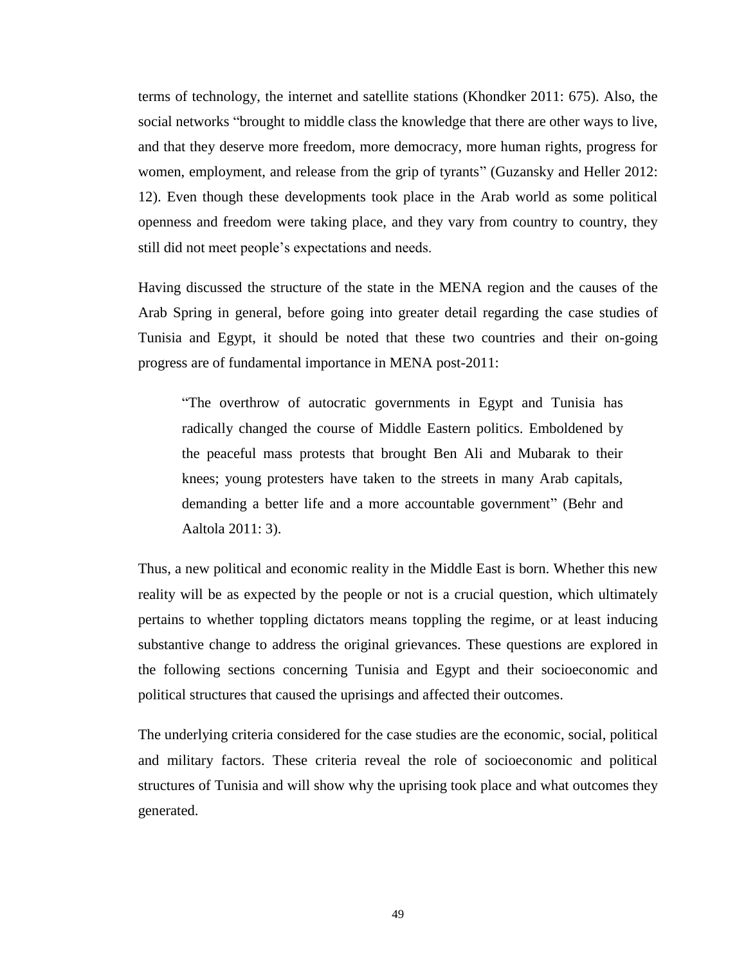terms of technology, the internet and satellite stations (Khondker 2011: 675). Also, the social networks "brought to middle class the knowledge that there are other ways to live, and that they deserve more freedom, more democracy, more human rights, progress for women, employment, and release from the grip of tyrants" (Guzansky and Heller 2012: 12). Even though these developments took place in the Arab world as some political openness and freedom were taking place, and they vary from country to country, they still did not meet people's expectations and needs.

Having discussed the structure of the state in the MENA region and the causes of the Arab Spring in general, before going into greater detail regarding the case studies of Tunisia and Egypt, it should be noted that these two countries and their on-going progress are of fundamental importance in MENA post-2011:

"The overthrow of autocratic governments in Egypt and Tunisia has radically changed the course of Middle Eastern politics. Emboldened by the peaceful mass protests that brought Ben Ali and Mubarak to their knees; young protesters have taken to the streets in many Arab capitals, demanding a better life and a more accountable government" (Behr and Aaltola 2011: 3).

Thus, a new political and economic reality in the Middle East is born. Whether this new reality will be as expected by the people or not is a crucial question, which ultimately pertains to whether toppling dictators means toppling the regime, or at least inducing substantive change to address the original grievances. These questions are explored in the following sections concerning Tunisia and Egypt and their socioeconomic and political structures that caused the uprisings and affected their outcomes.

The underlying criteria considered for the case studies are the economic, social, political and military factors. These criteria reveal the role of socioeconomic and political structures of Tunisia and will show why the uprising took place and what outcomes they generated.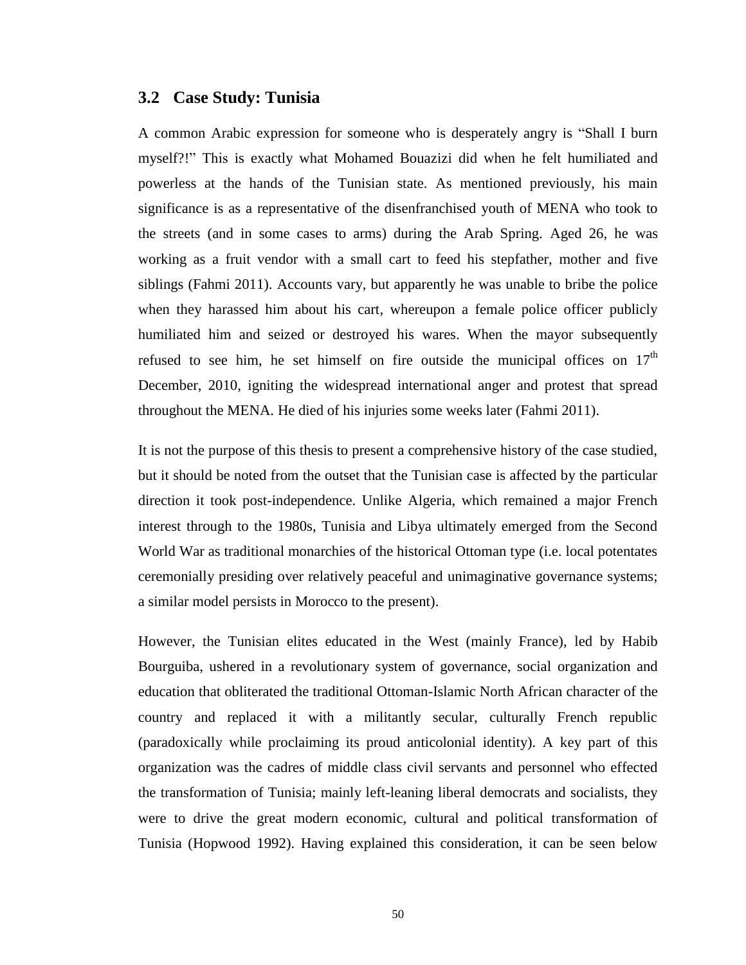## **3.2 Case Study: Tunisia**

A common Arabic expression for someone who is desperately angry is "Shall I burn myself?!" This is exactly what Mohamed Bouazizi did when he felt humiliated and powerless at the hands of the Tunisian state. As mentioned previously, his main significance is as a representative of the disenfranchised youth of MENA who took to the streets (and in some cases to arms) during the Arab Spring. Aged 26, he was working as a fruit vendor with a small cart to feed his stepfather, mother and five siblings (Fahmi 2011). Accounts vary, but apparently he was unable to bribe the police when they harassed him about his cart, whereupon a female police officer publicly humiliated him and seized or destroyed his wares. When the mayor subsequently refused to see him, he set himself on fire outside the municipal offices on  $17<sup>th</sup>$ December, 2010, igniting the widespread international anger and protest that spread throughout the MENA. He died of his injuries some weeks later (Fahmi 2011).

It is not the purpose of this thesis to present a comprehensive history of the case studied, but it should be noted from the outset that the Tunisian case is affected by the particular direction it took post-independence. Unlike Algeria, which remained a major French interest through to the 1980s, Tunisia and Libya ultimately emerged from the Second World War as traditional monarchies of the historical Ottoman type (i.e. local potentates ceremonially presiding over relatively peaceful and unimaginative governance systems; a similar model persists in Morocco to the present).

However, the Tunisian elites educated in the West (mainly France), led by Habib Bourguiba, ushered in a revolutionary system of governance, social organization and education that obliterated the traditional Ottoman-Islamic North African character of the country and replaced it with a militantly secular, culturally French republic (paradoxically while proclaiming its proud anticolonial identity). A key part of this organization was the cadres of middle class civil servants and personnel who effected the transformation of Tunisia; mainly left-leaning liberal democrats and socialists, they were to drive the great modern economic, cultural and political transformation of Tunisia (Hopwood 1992). Having explained this consideration, it can be seen below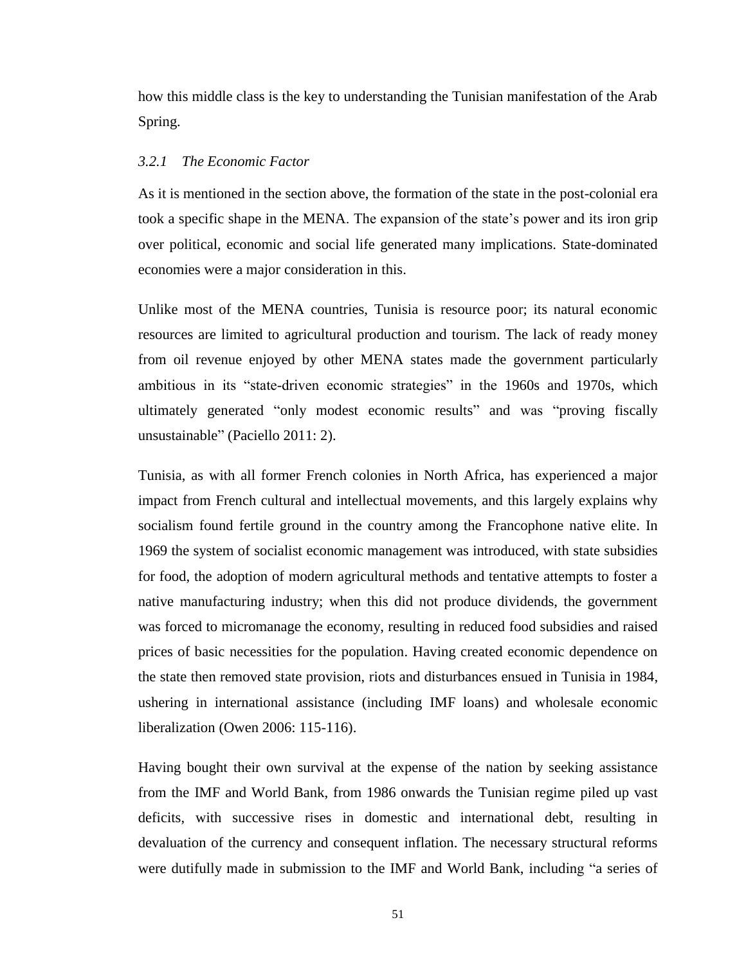how this middle class is the key to understanding the Tunisian manifestation of the Arab Spring.

#### *3.2.1 The Economic Factor*

As it is mentioned in the section above, the formation of the state in the post-colonial era took a specific shape in the MENA. The expansion of the state's power and its iron grip over political, economic and social life generated many implications. State-dominated economies were a major consideration in this.

Unlike most of the MENA countries, Tunisia is resource poor; its natural economic resources are limited to agricultural production and tourism. The lack of ready money from oil revenue enjoyed by other MENA states made the government particularly ambitious in its "state-driven economic strategies" in the 1960s and 1970s, which ultimately generated "only modest economic results" and was "proving fiscally unsustainable" (Paciello 2011: 2).

Tunisia, as with all former French colonies in North Africa, has experienced a major impact from French cultural and intellectual movements, and this largely explains why socialism found fertile ground in the country among the Francophone native elite. In 1969 the system of socialist economic management was introduced, with state subsidies for food, the adoption of modern agricultural methods and tentative attempts to foster a native manufacturing industry; when this did not produce dividends, the government was forced to micromanage the economy, resulting in reduced food subsidies and raised prices of basic necessities for the population. Having created economic dependence on the state then removed state provision, riots and disturbances ensued in Tunisia in 1984, ushering in international assistance (including IMF loans) and wholesale economic liberalization (Owen 2006: 115-116).

Having bought their own survival at the expense of the nation by seeking assistance from the IMF and World Bank, from 1986 onwards the Tunisian regime piled up vast deficits, with successive rises in domestic and international debt, resulting in devaluation of the currency and consequent inflation. The necessary structural reforms were dutifully made in submission to the IMF and World Bank, including "a series of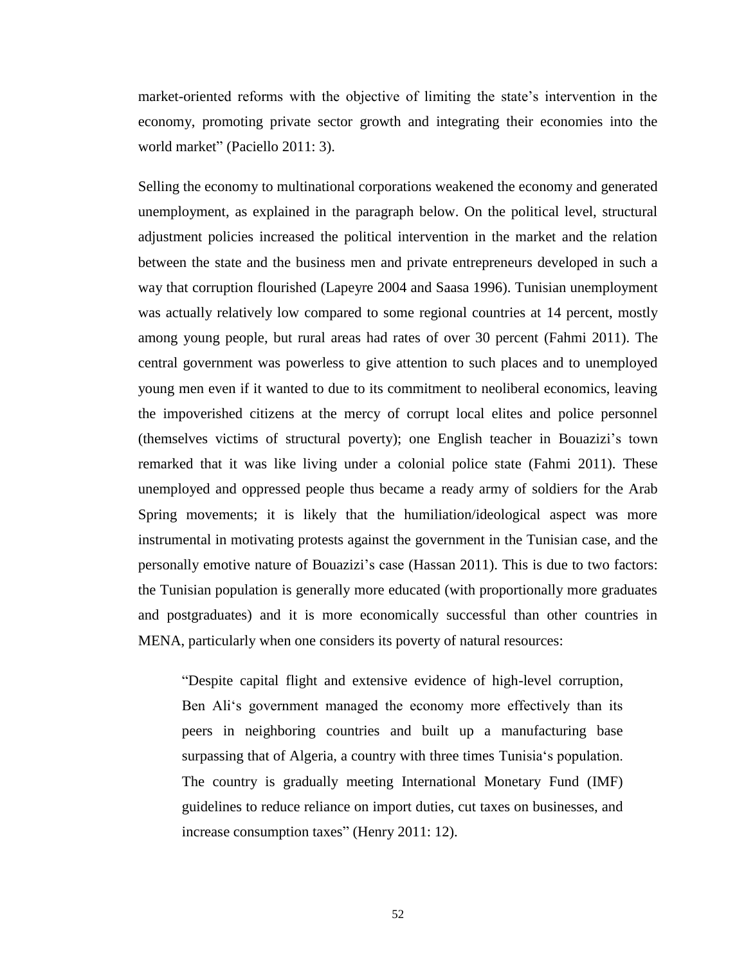market-oriented reforms with the objective of limiting the state's intervention in the economy, promoting private sector growth and integrating their economies into the world market" (Paciello 2011: 3).

Selling the economy to multinational corporations weakened the economy and generated unemployment, as explained in the paragraph below. On the political level, structural adjustment policies increased the political intervention in the market and the relation between the state and the business men and private entrepreneurs developed in such a way that corruption flourished (Lapeyre 2004 and Saasa 1996). Tunisian unemployment was actually relatively low compared to some regional countries at 14 percent, mostly among young people, but rural areas had rates of over 30 percent (Fahmi 2011). The central government was powerless to give attention to such places and to unemployed young men even if it wanted to due to its commitment to neoliberal economics, leaving the impoverished citizens at the mercy of corrupt local elites and police personnel (themselves victims of structural poverty); one English teacher in Bouazizi's town remarked that it was like living under a colonial police state (Fahmi 2011). These unemployed and oppressed people thus became a ready army of soldiers for the Arab Spring movements; it is likely that the humiliation/ideological aspect was more instrumental in motivating protests against the government in the Tunisian case, and the personally emotive nature of Bouazizi's case (Hassan 2011). This is due to two factors: the Tunisian population is generally more educated (with proportionally more graduates and postgraduates) and it is more economically successful than other countries in MENA, particularly when one considers its poverty of natural resources:

"Despite capital flight and extensive evidence of high-level corruption, Ben Ali's government managed the economy more effectively than its peers in neighboring countries and built up a manufacturing base surpassing that of Algeria, a country with three times Tunisia's population. The country is gradually meeting International Monetary Fund (IMF) guidelines to reduce reliance on import duties, cut taxes on businesses, and increase consumption taxes" (Henry 2011: 12).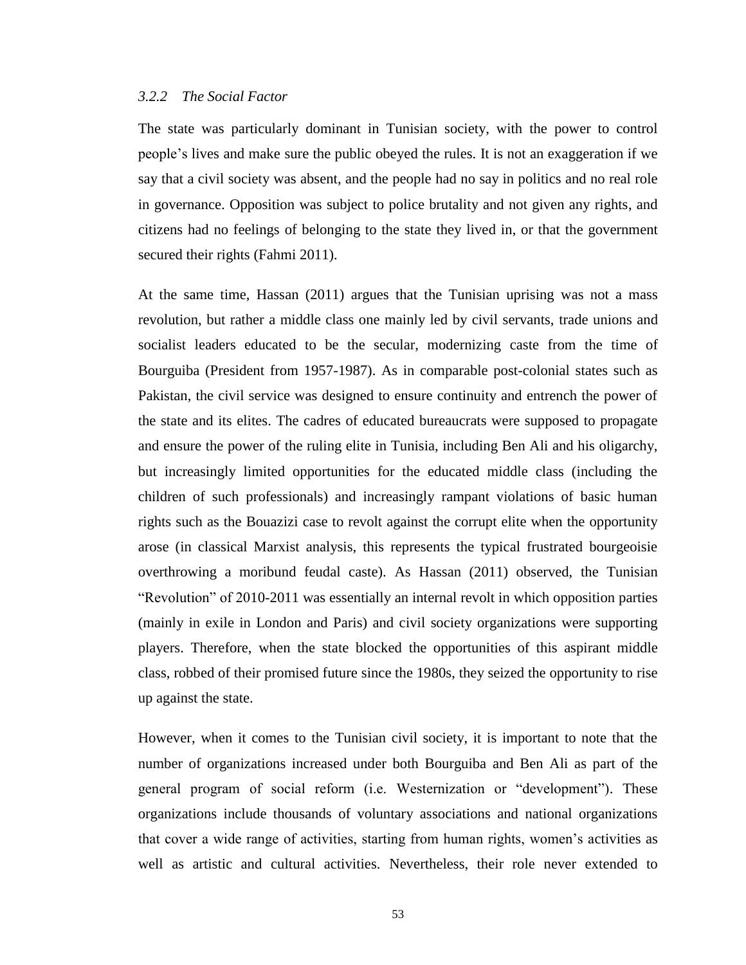#### *3.2.2 The Social Factor*

The state was particularly dominant in Tunisian society, with the power to control people's lives and make sure the public obeyed the rules. It is not an exaggeration if we say that a civil society was absent, and the people had no say in politics and no real role in governance. Opposition was subject to police brutality and not given any rights, and citizens had no feelings of belonging to the state they lived in, or that the government secured their rights (Fahmi 2011).

At the same time, Hassan (2011) argues that the Tunisian uprising was not a mass revolution, but rather a middle class one mainly led by civil servants, trade unions and socialist leaders educated to be the secular, modernizing caste from the time of Bourguiba (President from 1957-1987). As in comparable post-colonial states such as Pakistan, the civil service was designed to ensure continuity and entrench the power of the state and its elites. The cadres of educated bureaucrats were supposed to propagate and ensure the power of the ruling elite in Tunisia, including Ben Ali and his oligarchy, but increasingly limited opportunities for the educated middle class (including the children of such professionals) and increasingly rampant violations of basic human rights such as the Bouazizi case to revolt against the corrupt elite when the opportunity arose (in classical Marxist analysis, this represents the typical frustrated bourgeoisie overthrowing a moribund feudal caste). As Hassan (2011) observed, the Tunisian "Revolution" of 2010-2011 was essentially an internal revolt in which opposition parties (mainly in exile in London and Paris) and civil society organizations were supporting players. Therefore, when the state blocked the opportunities of this aspirant middle class, robbed of their promised future since the 1980s, they seized the opportunity to rise up against the state.

However, when it comes to the Tunisian civil society, it is important to note that the number of organizations increased under both Bourguiba and Ben Ali as part of the general program of social reform (i.e. Westernization or "development"). These organizations include thousands of voluntary associations and national organizations that cover a wide range of activities, starting from human rights, women's activities as well as artistic and cultural activities. Nevertheless, their role never extended to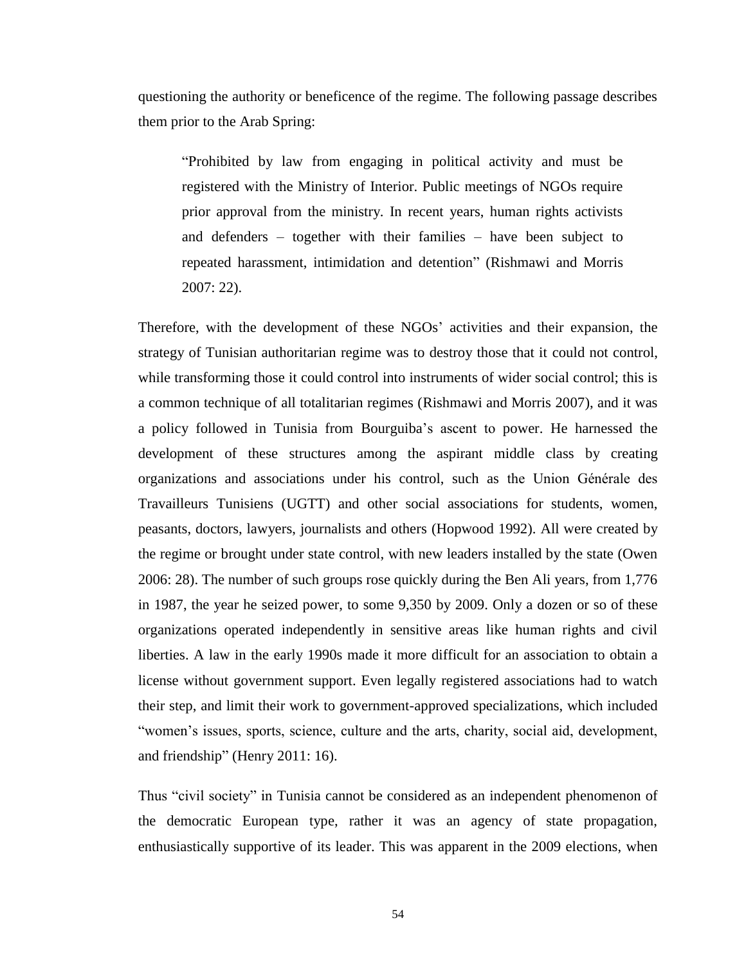questioning the authority or beneficence of the regime. The following passage describes them prior to the Arab Spring:

"Prohibited by law from engaging in political activity and must be registered with the Ministry of Interior. Public meetings of NGOs require prior approval from the ministry. In recent years, human rights activists and defenders – together with their families – have been subject to repeated harassment, intimidation and detention" (Rishmawi and Morris 2007: 22).

Therefore, with the development of these NGOs' activities and their expansion, the strategy of Tunisian authoritarian regime was to destroy those that it could not control, while transforming those it could control into instruments of wider social control; this is a common technique of all totalitarian regimes (Rishmawi and Morris 2007), and it was a policy followed in Tunisia from Bourguiba's ascent to power. He harnessed the development of these structures among the aspirant middle class by creating organizations and associations under his control, such as the Union Générale des Travailleurs Tunisiens (UGTT) and other social associations for students, women, peasants, doctors, lawyers, journalists and others (Hopwood 1992). All were created by the regime or brought under state control, with new leaders installed by the state (Owen 2006: 28). The number of such groups rose quickly during the Ben Ali years, from 1,776 in 1987, the year he seized power, to some 9,350 by 2009. Only a dozen or so of these organizations operated independently in sensitive areas like human rights and civil liberties. A law in the early 1990s made it more difficult for an association to obtain a license without government support. Even legally registered associations had to watch their step, and limit their work to government-approved specializations, which included "women's issues, sports, science, culture and the arts, charity, social aid, development, and friendship" (Henry 2011: 16).

Thus "civil society" in Tunisia cannot be considered as an independent phenomenon of the democratic European type, rather it was an agency of state propagation, enthusiastically supportive of its leader. This was apparent in the 2009 elections, when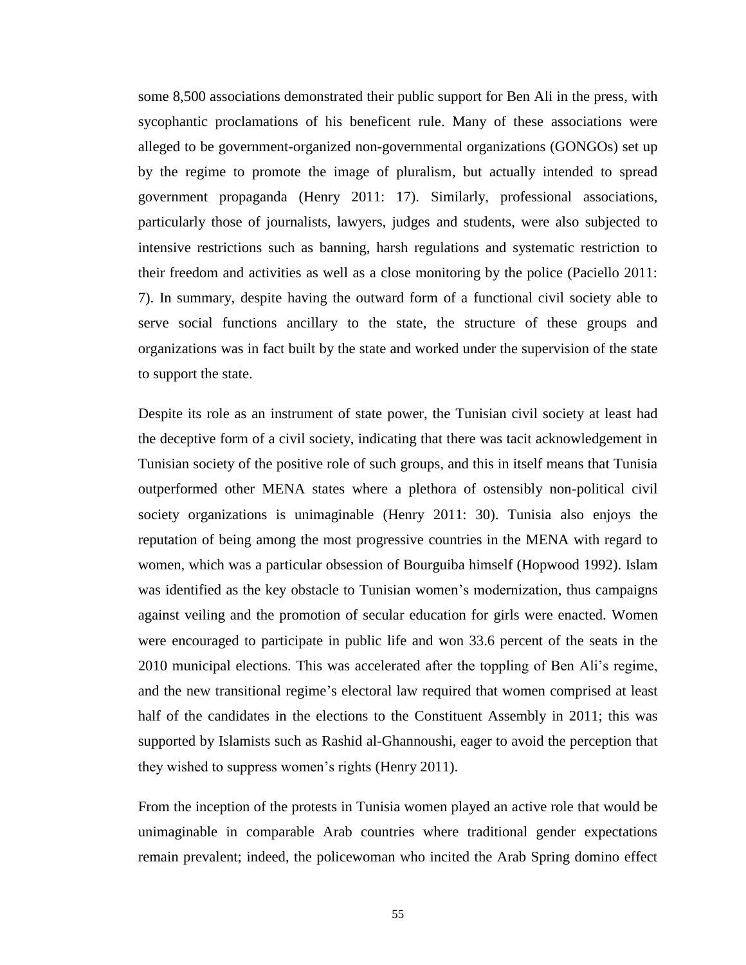some 8,500 associations demonstrated their public support for Ben Ali in the press, with sycophantic proclamations of his beneficent rule. Many of these associations were alleged to be government-organized non-governmental organizations (GONGOs) set up by the regime to promote the image of pluralism, but actually intended to spread government propaganda (Henry 2011: 17). Similarly, professional associations, particularly those of journalists, lawyers, judges and students, were also subjected to intensive restrictions such as banning, harsh regulations and systematic restriction to their freedom and activities as well as a close monitoring by the police (Paciello 2011: 7). In summary, despite having the outward form of a functional civil society able to serve social functions ancillary to the state, the structure of these groups and organizations was in fact built by the state and worked under the supervision of the state to support the state.

Despite its role as an instrument of state power, the Tunisian civil society at least had the deceptive form of a civil society, indicating that there was tacit acknowledgement in Tunisian society of the positive role of such groups, and this in itself means that Tunisia outperformed other MENA states where a plethora of ostensibly non-political civil society organizations is unimaginable (Henry 2011: 30). Tunisia also enjoys the reputation of being among the most progressive countries in the MENA with regard to women, which was a particular obsession of Bourguiba himself (Hopwood 1992). Islam was identified as the key obstacle to Tunisian women's modernization, thus campaigns against veiling and the promotion of secular education for girls were enacted. Women were encouraged to participate in public life and won 33.6 percent of the seats in the 2010 municipal elections. This was accelerated after the toppling of Ben Ali's regime, and the new transitional regime's electoral law required that women comprised at least half of the candidates in the elections to the Constituent Assembly in 2011; this was supported by Islamists such as Rashid al-Ghannoushi, eager to avoid the perception that they wished to suppress women's rights (Henry 2011).

From the inception of the protests in Tunisia women played an active role that would be unimaginable in comparable Arab countries where traditional gender expectations remain prevalent; indeed, the policewoman who incited the Arab Spring domino effect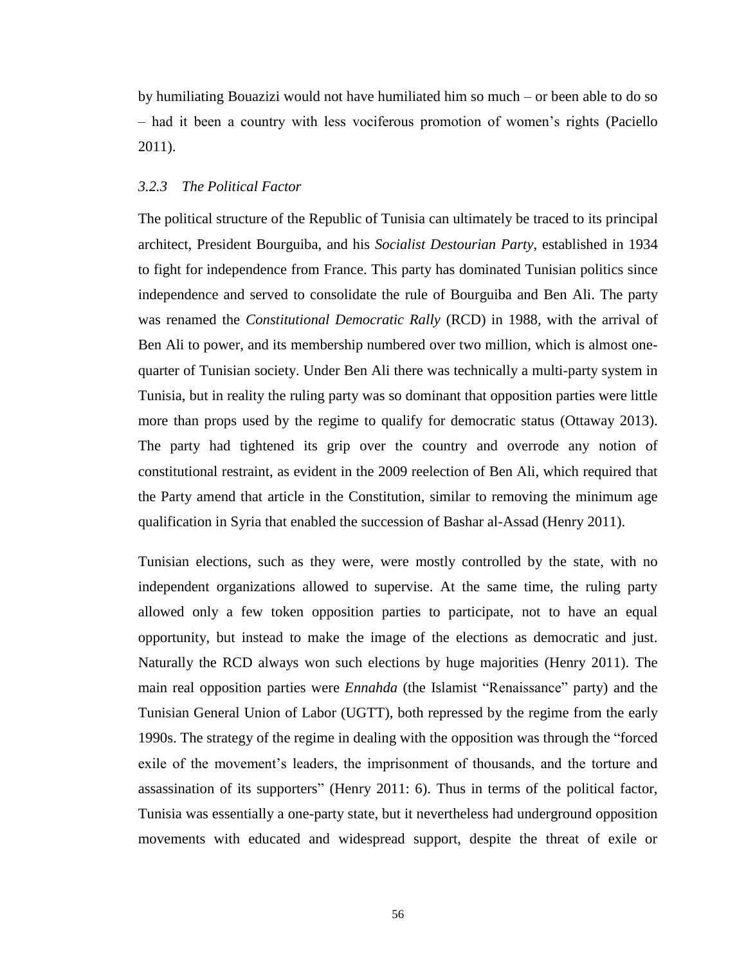by humiliating Bouazizi would not have humiliated him so much – or been able to do so – had it been a country with less vociferous promotion of women's rights (Paciello 2011).

#### *3.2.3 The Political Factor*

The political structure of the Republic of Tunisia can ultimately be traced to its principal architect, President Bourguiba, and his *Socialist Destourian Party*, established in 1934 to fight for independence from France. This party has dominated Tunisian politics since independence and served to consolidate the rule of Bourguiba and Ben Ali. The party was renamed the *Constitutional Democratic Rally* (RCD) in 1988*,* with the arrival of Ben Ali to power, and its membership numbered over two million, which is almost onequarter of Tunisian society. Under Ben Ali there was technically a multi-party system in Tunisia, but in reality the ruling party was so dominant that opposition parties were little more than props used by the regime to qualify for democratic status (Ottaway 2013). The party had tightened its grip over the country and overrode any notion of constitutional restraint, as evident in the 2009 reelection of Ben Ali, which required that the Party amend that article in the Constitution, similar to removing the minimum age qualification in Syria that enabled the succession of Bashar al-Assad (Henry 2011).

Tunisian elections, such as they were, were mostly controlled by the state, with no independent organizations allowed to supervise. At the same time, the ruling party allowed only a few token opposition parties to participate, not to have an equal opportunity, but instead to make the image of the elections as democratic and just. Naturally the RCD always won such elections by huge majorities (Henry 2011). The main real opposition parties were *Ennahda* (the Islamist "Renaissance" party) and the Tunisian General Union of Labor (UGTT), both repressed by the regime from the early 1990s. The strategy of the regime in dealing with the opposition was through the "forced exile of the movement's leaders, the imprisonment of thousands, and the torture and assassination of its supporters" (Henry 2011: 6). Thus in terms of the political factor, Tunisia was essentially a one-party state, but it nevertheless had underground opposition movements with educated and widespread support, despite the threat of exile or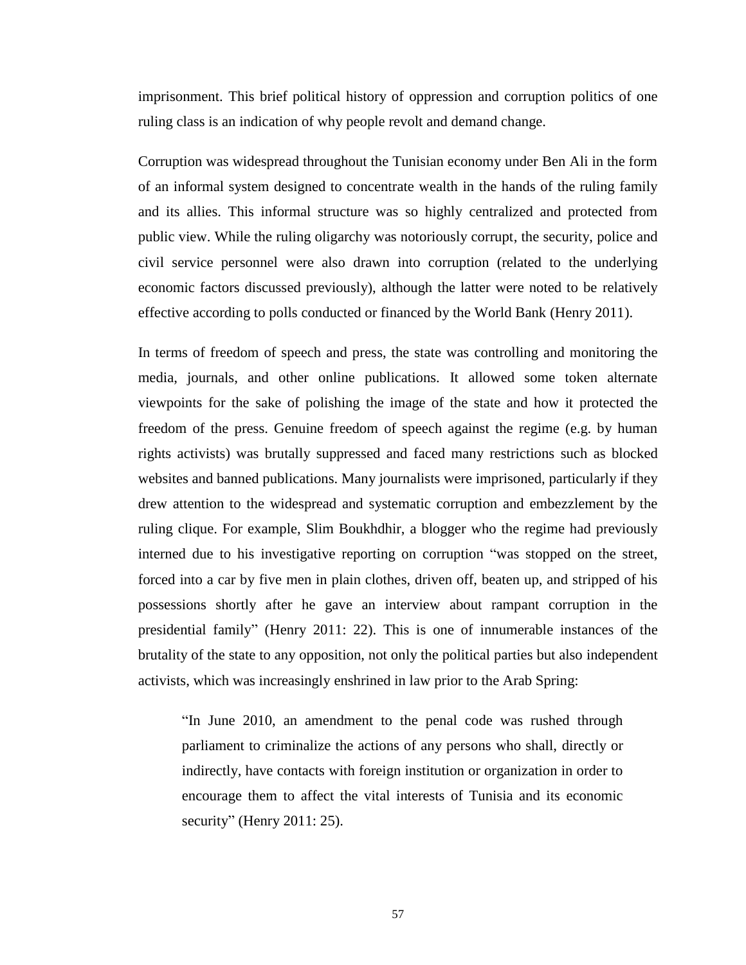imprisonment. This brief political history of oppression and corruption politics of one ruling class is an indication of why people revolt and demand change.

Corruption was widespread throughout the Tunisian economy under Ben Ali in the form of an informal system designed to concentrate wealth in the hands of the ruling family and its allies. This informal structure was so highly centralized and protected from public view. While the ruling oligarchy was notoriously corrupt, the security, police and civil service personnel were also drawn into corruption (related to the underlying economic factors discussed previously), although the latter were noted to be relatively effective according to polls conducted or financed by the World Bank (Henry 2011).

In terms of freedom of speech and press, the state was controlling and monitoring the media, journals, and other online publications. It allowed some token alternate viewpoints for the sake of polishing the image of the state and how it protected the freedom of the press. Genuine freedom of speech against the regime (e.g. by human rights activists) was brutally suppressed and faced many restrictions such as blocked websites and banned publications. Many journalists were imprisoned, particularly if they drew attention to the widespread and systematic corruption and embezzlement by the ruling clique. For example, Slim Boukhdhir, a blogger who the regime had previously interned due to his investigative reporting on corruption "was stopped on the street, forced into a car by five men in plain clothes, driven off, beaten up, and stripped of his possessions shortly after he gave an interview about rampant corruption in the presidential family" (Henry 2011: 22). This is one of innumerable instances of the brutality of the state to any opposition, not only the political parties but also independent activists, which was increasingly enshrined in law prior to the Arab Spring:

"In June 2010, an amendment to the penal code was rushed through parliament to criminalize the actions of any persons who shall, directly or indirectly, have contacts with foreign institution or organization in order to encourage them to affect the vital interests of Tunisia and its economic security" (Henry 2011: 25).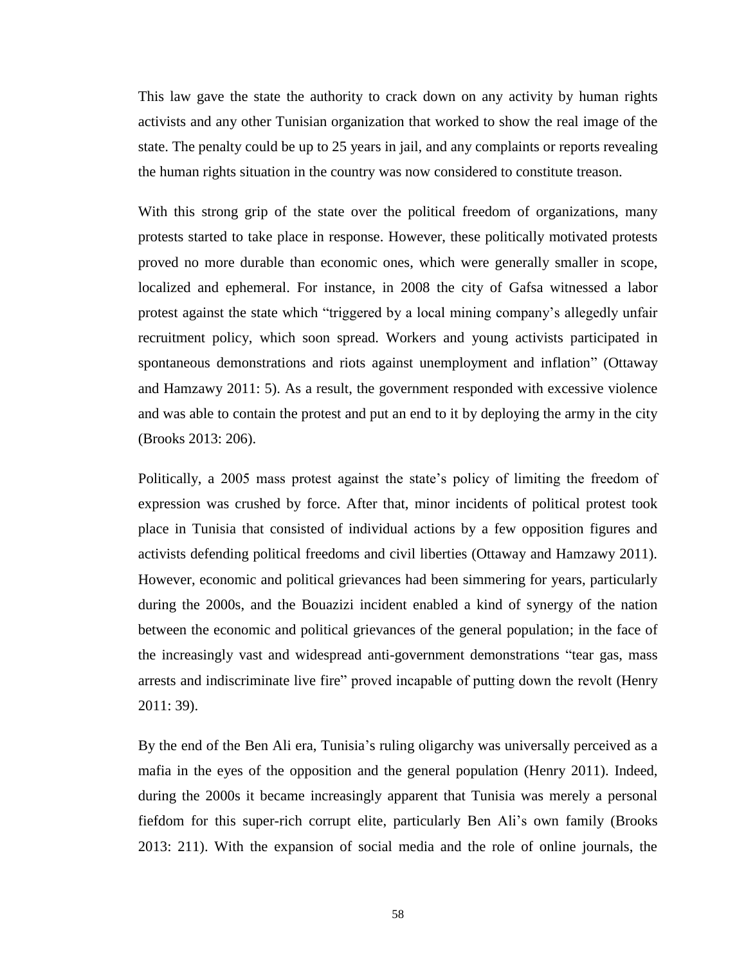This law gave the state the authority to crack down on any activity by human rights activists and any other Tunisian organization that worked to show the real image of the state. The penalty could be up to 25 years in jail, and any complaints or reports revealing the human rights situation in the country was now considered to constitute treason.

With this strong grip of the state over the political freedom of organizations, many protests started to take place in response. However, these politically motivated protests proved no more durable than economic ones, which were generally smaller in scope, localized and ephemeral. For instance, in 2008 the city of Gafsa witnessed a labor protest against the state which "triggered by a local mining company's allegedly unfair recruitment policy, which soon spread. Workers and young activists participated in spontaneous demonstrations and riots against unemployment and inflation" (Ottaway and Hamzawy 2011: 5). As a result, the government responded with excessive violence and was able to contain the protest and put an end to it by deploying the army in the city (Brooks 2013: 206).

Politically, a 2005 mass protest against the state's policy of limiting the freedom of expression was crushed by force. After that, minor incidents of political protest took place in Tunisia that consisted of individual actions by a few opposition figures and activists defending political freedoms and civil liberties (Ottaway and Hamzawy 2011). However, economic and political grievances had been simmering for years, particularly during the 2000s, and the Bouazizi incident enabled a kind of synergy of the nation between the economic and political grievances of the general population; in the face of the increasingly vast and widespread anti-government demonstrations "tear gas, mass arrests and indiscriminate live fire" proved incapable of putting down the revolt (Henry 2011: 39).

By the end of the Ben Ali era, Tunisia's ruling oligarchy was universally perceived as a mafia in the eyes of the opposition and the general population (Henry 2011). Indeed, during the 2000s it became increasingly apparent that Tunisia was merely a personal fiefdom for this super-rich corrupt elite, particularly Ben Ali's own family (Brooks 2013: 211). With the expansion of social media and the role of online journals, the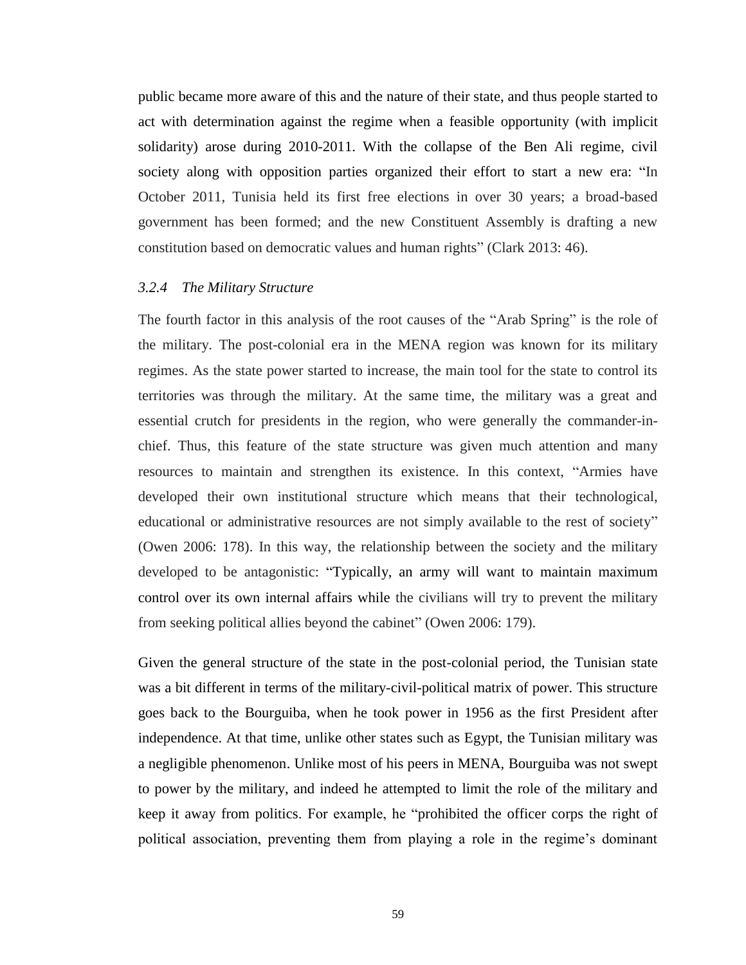public became more aware of this and the nature of their state, and thus people started to act with determination against the regime when a feasible opportunity (with implicit solidarity) arose during 2010-2011. With the collapse of the Ben Ali regime, civil society along with opposition parties organized their effort to start a new era: "In October 2011, Tunisia held its first free elections in over 30 years; a broad-based government has been formed; and the new Constituent Assembly is drafting a new constitution based on democratic values and human rights" (Clark 2013: 46).

## *3.2.4 The Military Structure*

The fourth factor in this analysis of the root causes of the "Arab Spring" is the role of the military. The post-colonial era in the MENA region was known for its military regimes. As the state power started to increase, the main tool for the state to control its territories was through the military. At the same time, the military was a great and essential crutch for presidents in the region, who were generally the commander-inchief. Thus, this feature of the state structure was given much attention and many resources to maintain and strengthen its existence. In this context, "Armies have developed their own institutional structure which means that their technological, educational or administrative resources are not simply available to the rest of society" (Owen 2006: 178). In this way, the relationship between the society and the military developed to be antagonistic: "Typically, an army will want to maintain maximum control over its own internal affairs while the civilians will try to prevent the military from seeking political allies beyond the cabinet" (Owen 2006: 179).

Given the general structure of the state in the post-colonial period, the Tunisian state was a bit different in terms of the military-civil-political matrix of power. This structure goes back to the Bourguiba, when he took power in 1956 as the first President after independence. At that time, unlike other states such as Egypt, the Tunisian military was a negligible phenomenon. Unlike most of his peers in MENA, Bourguiba was not swept to power by the military, and indeed he attempted to limit the role of the military and keep it away from politics. For example, he "prohibited the officer corps the right of political association, preventing them from playing a role in the regime's dominant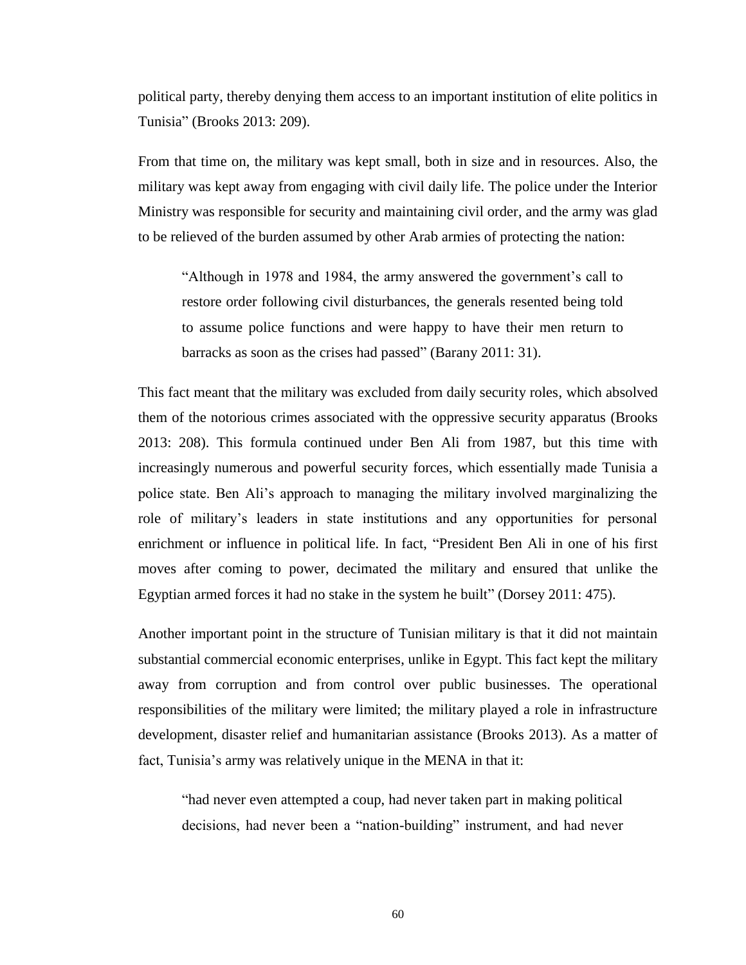political party, thereby denying them access to an important institution of elite politics in Tunisia" (Brooks 2013: 209).

From that time on, the military was kept small, both in size and in resources. Also, the military was kept away from engaging with civil daily life. The police under the Interior Ministry was responsible for security and maintaining civil order, and the army was glad to be relieved of the burden assumed by other Arab armies of protecting the nation:

"Although in 1978 and 1984, the army answered the government's call to restore order following civil disturbances, the generals resented being told to assume police functions and were happy to have their men return to barracks as soon as the crises had passed" (Barany 2011: 31).

This fact meant that the military was excluded from daily security roles, which absolved them of the notorious crimes associated with the oppressive security apparatus (Brooks 2013: 208). This formula continued under Ben Ali from 1987, but this time with increasingly numerous and powerful security forces, which essentially made Tunisia a police state. Ben Ali's approach to managing the military involved marginalizing the role of military's leaders in state institutions and any opportunities for personal enrichment or influence in political life. In fact, "President Ben Ali in one of his first moves after coming to power, decimated the military and ensured that unlike the Egyptian armed forces it had no stake in the system he built" (Dorsey 2011: 475).

Another important point in the structure of Tunisian military is that it did not maintain substantial commercial economic enterprises, unlike in Egypt. This fact kept the military away from corruption and from control over public businesses. The operational responsibilities of the military were limited; the military played a role in infrastructure development, disaster relief and humanitarian assistance (Brooks 2013). As a matter of fact, Tunisia's army was relatively unique in the MENA in that it:

"had never even attempted a coup, had never taken part in making political decisions, had never been a "nation-building" instrument, and had never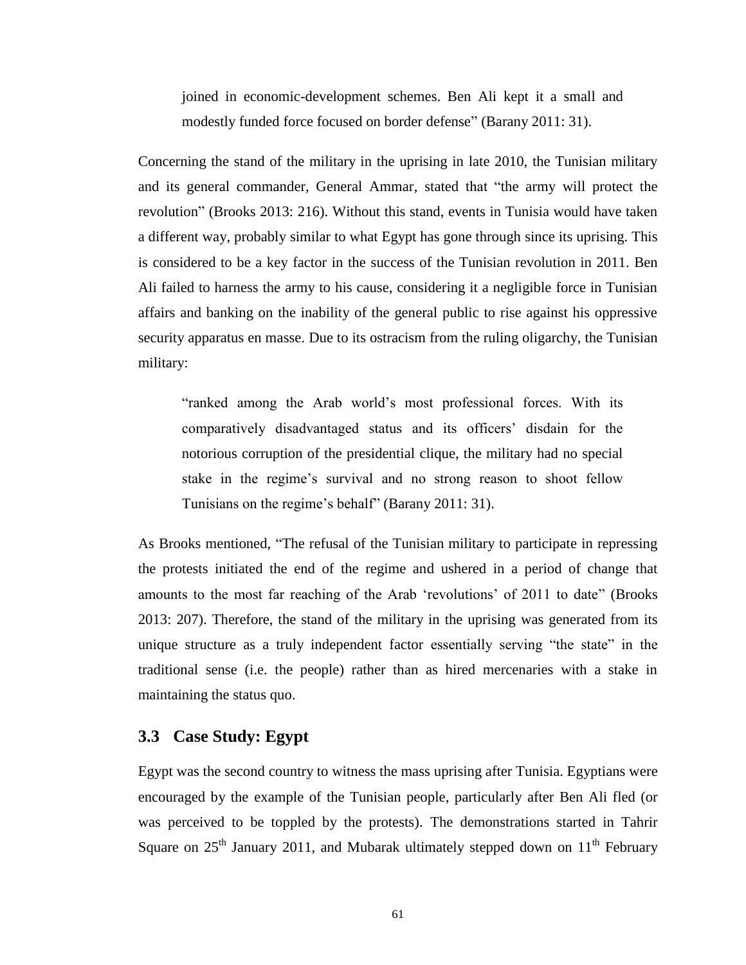joined in economic-development schemes. Ben Ali kept it a small and modestly funded force focused on border defense" (Barany 2011: 31).

Concerning the stand of the military in the uprising in late 2010, the Tunisian military and its general commander, General Ammar, stated that "the army will protect the revolution" (Brooks 2013: 216). Without this stand, events in Tunisia would have taken a different way, probably similar to what Egypt has gone through since its uprising. This is considered to be a key factor in the success of the Tunisian revolution in 2011. Ben Ali failed to harness the army to his cause, considering it a negligible force in Tunisian affairs and banking on the inability of the general public to rise against his oppressive security apparatus en masse. Due to its ostracism from the ruling oligarchy, the Tunisian military:

"ranked among the Arab world's most professional forces. With its comparatively disadvantaged status and its officers' disdain for the notorious corruption of the presidential clique, the military had no special stake in the regime's survival and no strong reason to shoot fellow Tunisians on the regime's behalf" (Barany 2011: 31).

As Brooks mentioned, "The refusal of the Tunisian military to participate in repressing the protests initiated the end of the regime and ushered in a period of change that amounts to the most far reaching of the Arab 'revolutions' of 2011 to date" (Brooks 2013: 207). Therefore, the stand of the military in the uprising was generated from its unique structure as a truly independent factor essentially serving "the state" in the traditional sense (i.e. the people) rather than as hired mercenaries with a stake in maintaining the status quo.

# **3.3 Case Study: Egypt**

Egypt was the second country to witness the mass uprising after Tunisia. Egyptians were encouraged by the example of the Tunisian people, particularly after Ben Ali fled (or was perceived to be toppled by the protests). The demonstrations started in Tahrir Square on  $25<sup>th</sup>$  January 2011, and Mubarak ultimately stepped down on  $11<sup>th</sup>$  February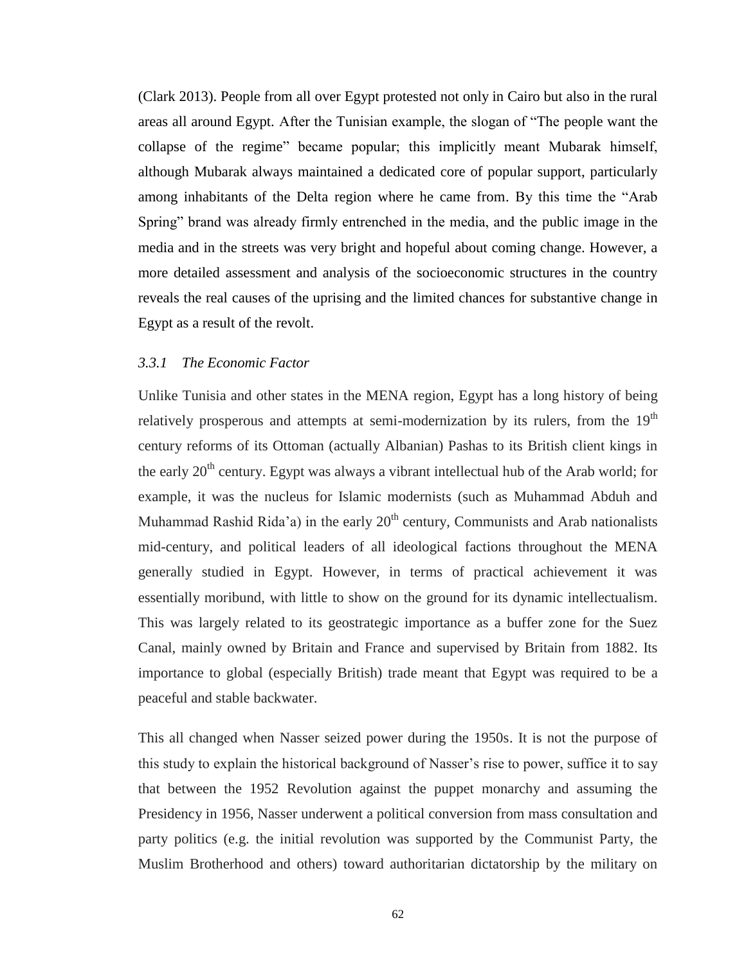(Clark 2013). People from all over Egypt protested not only in Cairo but also in the rural areas all around Egypt. After the Tunisian example, the slogan of "The people want the collapse of the regime" became popular; this implicitly meant Mubarak himself, although Mubarak always maintained a dedicated core of popular support, particularly among inhabitants of the Delta region where he came from. By this time the "Arab Spring" brand was already firmly entrenched in the media, and the public image in the media and in the streets was very bright and hopeful about coming change. However, a more detailed assessment and analysis of the socioeconomic structures in the country reveals the real causes of the uprising and the limited chances for substantive change in Egypt as a result of the revolt.

## *3.3.1 The Economic Factor*

Unlike Tunisia and other states in the MENA region, Egypt has a long history of being relatively prosperous and attempts at semi-modernization by its rulers, from the  $19<sup>th</sup>$ century reforms of its Ottoman (actually Albanian) Pashas to its British client kings in the early  $20<sup>th</sup>$  century. Egypt was always a vibrant intellectual hub of the Arab world; for example, it was the nucleus for Islamic modernists (such as Muhammad Abduh and Muhammad Rashid Rida'a) in the early  $20<sup>th</sup>$  century, Communists and Arab nationalists mid-century, and political leaders of all ideological factions throughout the MENA generally studied in Egypt. However, in terms of practical achievement it was essentially moribund, with little to show on the ground for its dynamic intellectualism. This was largely related to its geostrategic importance as a buffer zone for the Suez Canal, mainly owned by Britain and France and supervised by Britain from 1882. Its importance to global (especially British) trade meant that Egypt was required to be a peaceful and stable backwater.

This all changed when Nasser seized power during the 1950s. It is not the purpose of this study to explain the historical background of Nasser's rise to power, suffice it to say that between the 1952 Revolution against the puppet monarchy and assuming the Presidency in 1956, Nasser underwent a political conversion from mass consultation and party politics (e.g. the initial revolution was supported by the Communist Party, the Muslim Brotherhood and others) toward authoritarian dictatorship by the military on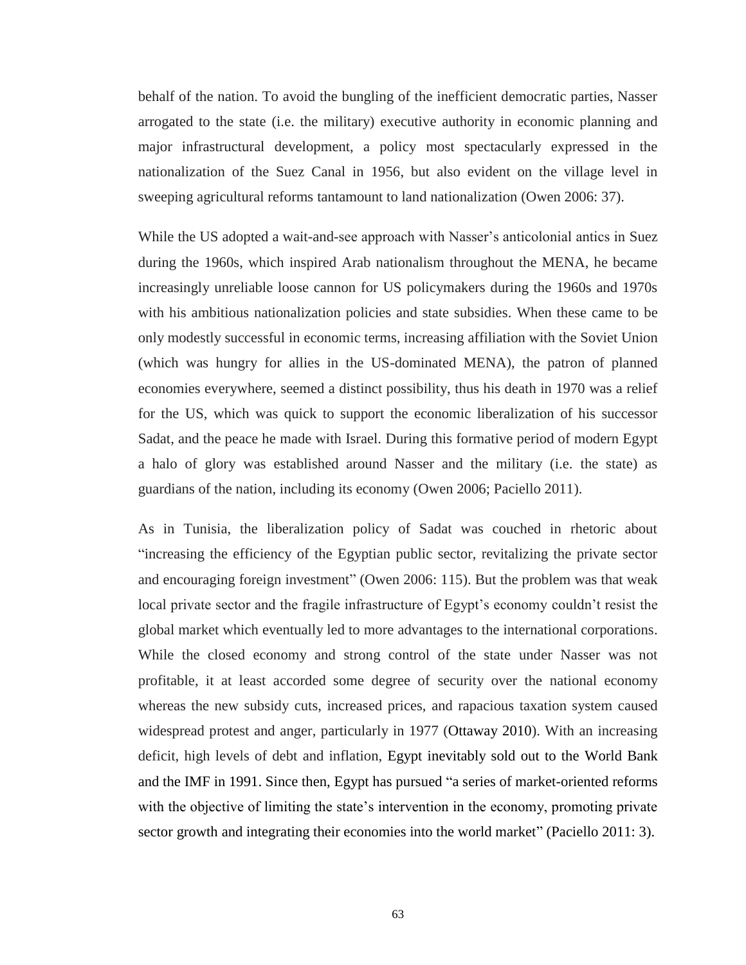behalf of the nation. To avoid the bungling of the inefficient democratic parties, Nasser arrogated to the state (i.e. the military) executive authority in economic planning and major infrastructural development, a policy most spectacularly expressed in the nationalization of the Suez Canal in 1956, but also evident on the village level in sweeping agricultural reforms tantamount to land nationalization (Owen 2006: 37).

While the US adopted a wait-and-see approach with Nasser's anticolonial antics in Suez during the 1960s, which inspired Arab nationalism throughout the MENA, he became increasingly unreliable loose cannon for US policymakers during the 1960s and 1970s with his ambitious nationalization policies and state subsidies. When these came to be only modestly successful in economic terms, increasing affiliation with the Soviet Union (which was hungry for allies in the US-dominated MENA), the patron of planned economies everywhere, seemed a distinct possibility, thus his death in 1970 was a relief for the US, which was quick to support the economic liberalization of his successor Sadat, and the peace he made with Israel. During this formative period of modern Egypt a halo of glory was established around Nasser and the military (i.e. the state) as guardians of the nation, including its economy (Owen 2006; Paciello 2011).

As in Tunisia, the liberalization policy of Sadat was couched in rhetoric about "increasing the efficiency of the Egyptian public sector, revitalizing the private sector and encouraging foreign investment" (Owen 2006: 115). But the problem was that weak local private sector and the fragile infrastructure of Egypt's economy couldn't resist the global market which eventually led to more advantages to the international corporations. While the closed economy and strong control of the state under Nasser was not profitable, it at least accorded some degree of security over the national economy whereas the new subsidy cuts, increased prices, and rapacious taxation system caused widespread protest and anger, particularly in 1977 (Ottaway 2010). With an increasing deficit, high levels of debt and inflation, Egypt inevitably sold out to the World Bank and the IMF in 1991. Since then, Egypt has pursued "a series of market-oriented reforms with the objective of limiting the state's intervention in the economy, promoting private sector growth and integrating their economies into the world market" (Paciello 2011: 3).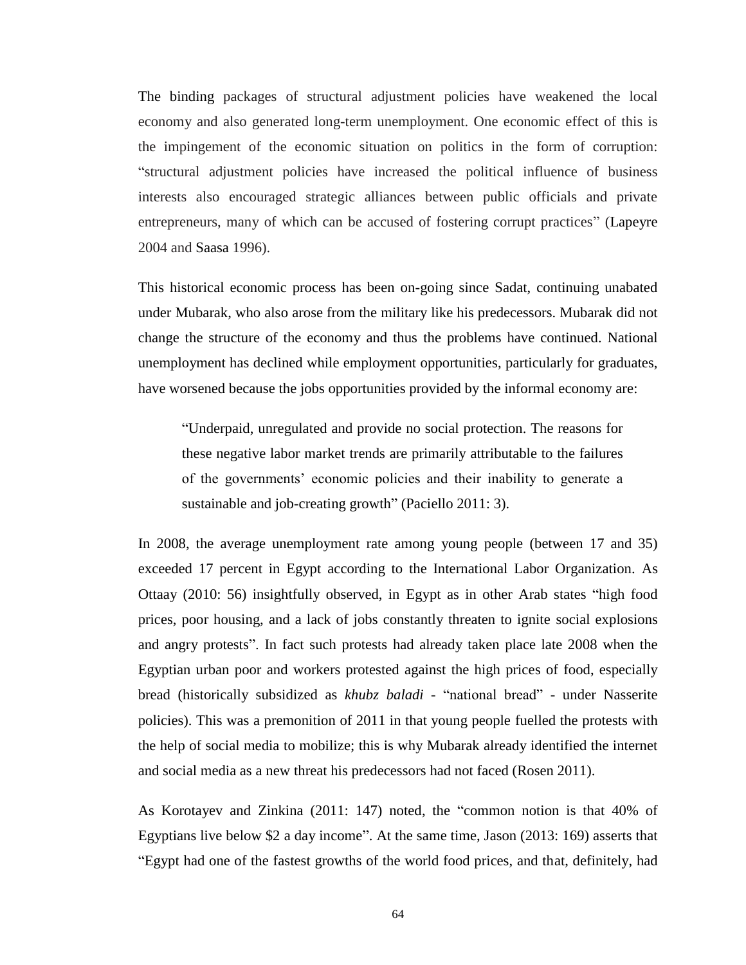The binding packages of structural adjustment policies have weakened the local economy and also generated long-term unemployment. One economic effect of this is the impingement of the economic situation on politics in the form of corruption: "structural adjustment policies have increased the political influence of business interests also encouraged strategic alliances between public officials and private entrepreneurs, many of which can be accused of fostering corrupt practices" (Lapeyre 2004 and Saasa 1996).

This historical economic process has been on-going since Sadat, continuing unabated under Mubarak, who also arose from the military like his predecessors. Mubarak did not change the structure of the economy and thus the problems have continued. National unemployment has declined while employment opportunities, particularly for graduates, have worsened because the jobs opportunities provided by the informal economy are:

"Underpaid, unregulated and provide no social protection. The reasons for these negative labor market trends are primarily attributable to the failures of the governments' economic policies and their inability to generate a sustainable and job-creating growth" (Paciello 2011: 3).

In 2008, the average unemployment rate among young people (between 17 and 35) exceeded 17 percent in Egypt according to the International Labor Organization. As Ottaay (2010: 56) insightfully observed, in Egypt as in other Arab states "high food prices, poor housing, and a lack of jobs constantly threaten to ignite social explosions and angry protests". In fact such protests had already taken place late 2008 when the Egyptian urban poor and workers protested against the high prices of food, especially bread (historically subsidized as *khubz baladi* - "national bread" - under Nasserite policies). This was a premonition of 2011 in that young people fuelled the protests with the help of social media to mobilize; this is why Mubarak already identified the internet and social media as a new threat his predecessors had not faced (Rosen 2011).

As Korotayev and Zinkina (2011: 147) noted, the "common notion is that 40% of Egyptians live below \$2 a day income". At the same time, Jason (2013: 169) asserts that "Egypt had one of the fastest growths of the world food prices, and that, definitely, had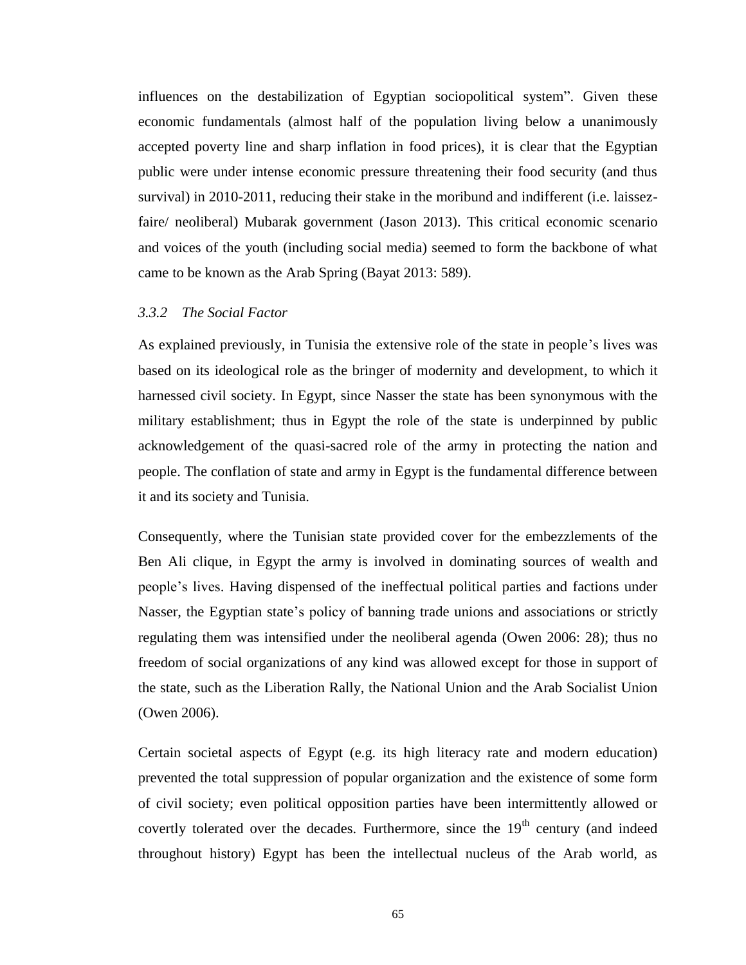influences on the destabilization of Egyptian sociopolitical system". Given these economic fundamentals (almost half of the population living below a unanimously accepted poverty line and sharp inflation in food prices), it is clear that the Egyptian public were under intense economic pressure threatening their food security (and thus survival) in 2010-2011, reducing their stake in the moribund and indifferent (i.e. laissezfaire/ neoliberal) Mubarak government (Jason 2013). This critical economic scenario and voices of the youth (including social media) seemed to form the backbone of what came to be known as the Arab Spring (Bayat 2013: 589).

#### *3.3.2 The Social Factor*

As explained previously, in Tunisia the extensive role of the state in people's lives was based on its ideological role as the bringer of modernity and development, to which it harnessed civil society. In Egypt, since Nasser the state has been synonymous with the military establishment; thus in Egypt the role of the state is underpinned by public acknowledgement of the quasi-sacred role of the army in protecting the nation and people. The conflation of state and army in Egypt is the fundamental difference between it and its society and Tunisia.

Consequently, where the Tunisian state provided cover for the embezzlements of the Ben Ali clique, in Egypt the army is involved in dominating sources of wealth and people's lives. Having dispensed of the ineffectual political parties and factions under Nasser, the Egyptian state's policy of banning trade unions and associations or strictly regulating them was intensified under the neoliberal agenda (Owen 2006: 28); thus no freedom of social organizations of any kind was allowed except for those in support of the state, such as the Liberation Rally, the National Union and the Arab Socialist Union (Owen 2006).

Certain societal aspects of Egypt (e.g. its high literacy rate and modern education) prevented the total suppression of popular organization and the existence of some form of civil society; even political opposition parties have been intermittently allowed or covertly tolerated over the decades. Furthermore, since the  $19<sup>th</sup>$  century (and indeed throughout history) Egypt has been the intellectual nucleus of the Arab world, as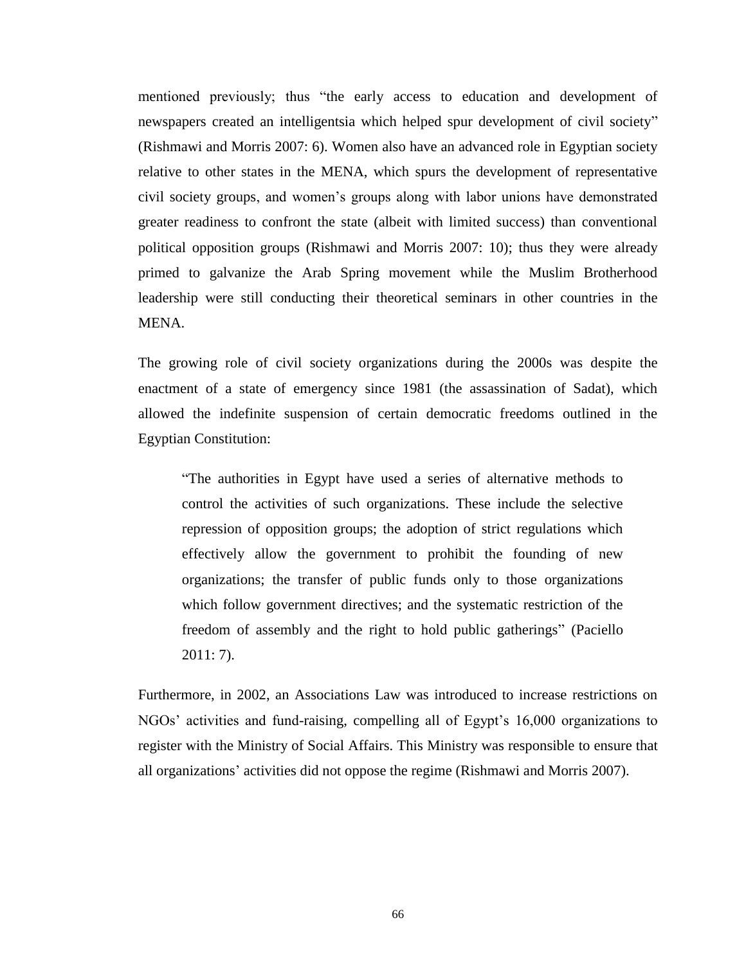mentioned previously; thus "the early access to education and development of newspapers created an intelligentsia which helped spur development of civil society" (Rishmawi and Morris 2007: 6). Women also have an advanced role in Egyptian society relative to other states in the MENA, which spurs the development of representative civil society groups, and women's groups along with labor unions have demonstrated greater readiness to confront the state (albeit with limited success) than conventional political opposition groups (Rishmawi and Morris 2007: 10); thus they were already primed to galvanize the Arab Spring movement while the Muslim Brotherhood leadership were still conducting their theoretical seminars in other countries in the MENA.

The growing role of civil society organizations during the 2000s was despite the enactment of a state of emergency since 1981 (the assassination of Sadat), which allowed the indefinite suspension of certain democratic freedoms outlined in the Egyptian Constitution:

"The authorities in Egypt have used a series of alternative methods to control the activities of such organizations. These include the selective repression of opposition groups; the adoption of strict regulations which effectively allow the government to prohibit the founding of new organizations; the transfer of public funds only to those organizations which follow government directives; and the systematic restriction of the freedom of assembly and the right to hold public gatherings" (Paciello 2011: 7).

Furthermore, in 2002, an Associations Law was introduced to increase restrictions on NGOs' activities and fund-raising, compelling all of Egypt's 16,000 organizations to register with the Ministry of Social Affairs. This Ministry was responsible to ensure that all organizations' activities did not oppose the regime (Rishmawi and Morris 2007).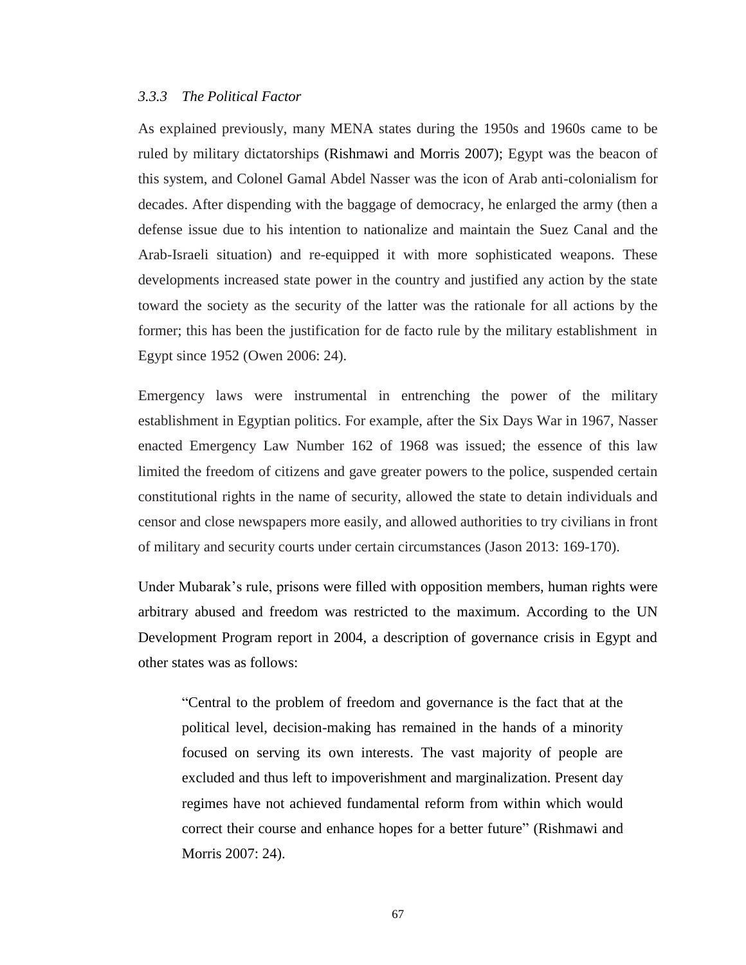### *3.3.3 The Political Factor*

As explained previously, many MENA states during the 1950s and 1960s came to be ruled by military dictatorships (Rishmawi and Morris 2007); Egypt was the beacon of this system, and Colonel Gamal Abdel Nasser was the icon of Arab anti-colonialism for decades. After dispending with the baggage of democracy, he enlarged the army (then a defense issue due to his intention to nationalize and maintain the Suez Canal and the Arab-Israeli situation) and re-equipped it with more sophisticated weapons. These developments increased state power in the country and justified any action by the state toward the society as the security of the latter was the rationale for all actions by the former; this has been the justification for de facto rule by the military establishment in Egypt since 1952 (Owen 2006: 24).

Emergency laws were instrumental in entrenching the power of the military establishment in Egyptian politics. For example, after the Six Days War in 1967, Nasser enacted Emergency Law Number 162 of 1968 was issued; the essence of this law limited the freedom of citizens and gave greater powers to the police, suspended certain constitutional rights in the name of security, allowed the state to detain individuals and censor and close newspapers more easily, and allowed authorities to try civilians in front of military and security courts under certain circumstances (Jason 2013: 169-170).

Under Mubarak's rule, prisons were filled with opposition members, human rights were arbitrary abused and freedom was restricted to the maximum. According to the UN Development Program report in 2004, a description of governance crisis in Egypt and other states was as follows:

"Central to the problem of freedom and governance is the fact that at the political level, decision-making has remained in the hands of a minority focused on serving its own interests. The vast majority of people are excluded and thus left to impoverishment and marginalization. Present day regimes have not achieved fundamental reform from within which would correct their course and enhance hopes for a better future" (Rishmawi and Morris 2007: 24).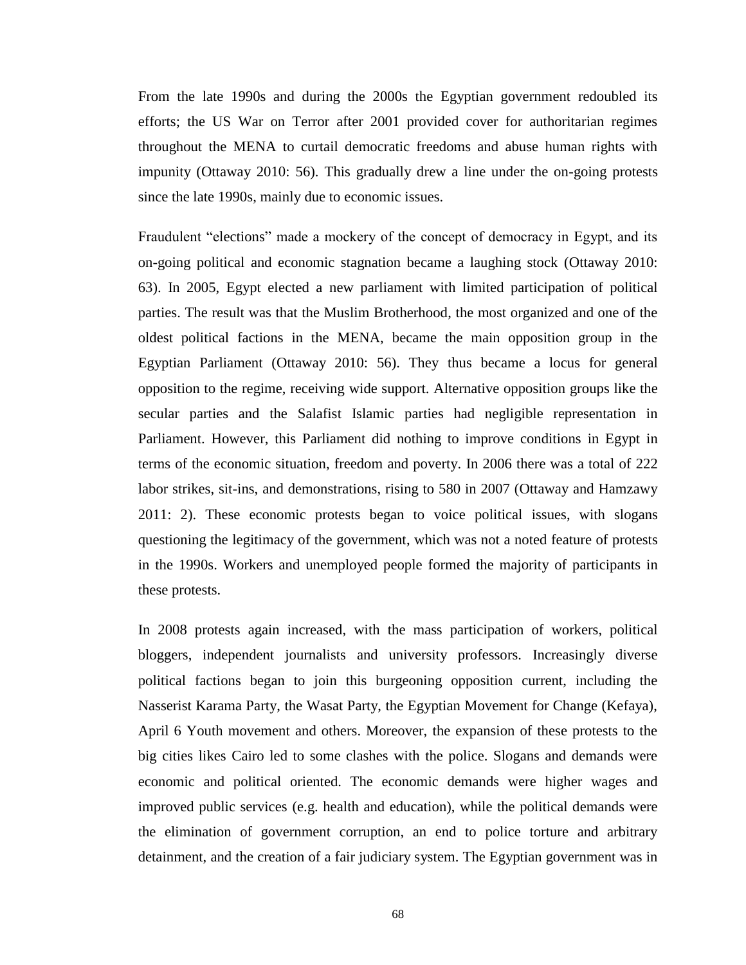From the late 1990s and during the 2000s the Egyptian government redoubled its efforts; the US War on Terror after 2001 provided cover for authoritarian regimes throughout the MENA to curtail democratic freedoms and abuse human rights with impunity (Ottaway 2010: 56). This gradually drew a line under the on-going protests since the late 1990s, mainly due to economic issues.

Fraudulent "elections" made a mockery of the concept of democracy in Egypt, and its on-going political and economic stagnation became a laughing stock (Ottaway 2010: 63). In 2005, Egypt elected a new parliament with limited participation of political parties. The result was that the Muslim Brotherhood, the most organized and one of the oldest political factions in the MENA, became the main opposition group in the Egyptian Parliament (Ottaway 2010: 56). They thus became a locus for general opposition to the regime, receiving wide support. Alternative opposition groups like the secular parties and the Salafist Islamic parties had negligible representation in Parliament. However, this Parliament did nothing to improve conditions in Egypt in terms of the economic situation, freedom and poverty. In 2006 there was a total of 222 labor strikes, sit-ins, and demonstrations, rising to 580 in 2007 (Ottaway and Hamzawy 2011: 2). These economic protests began to voice political issues, with slogans questioning the legitimacy of the government, which was not a noted feature of protests in the 1990s. Workers and unemployed people formed the majority of participants in these protests.

In 2008 protests again increased, with the mass participation of workers, political bloggers, independent journalists and university professors. Increasingly diverse political factions began to join this burgeoning opposition current, including the Nasserist Karama Party, the Wasat Party, the Egyptian Movement for Change (Kefaya), April 6 Youth movement and others. Moreover, the expansion of these protests to the big cities likes Cairo led to some clashes with the police. Slogans and demands were economic and political oriented. The economic demands were higher wages and improved public services (e.g. health and education), while the political demands were the elimination of government corruption, an end to police torture and arbitrary detainment, and the creation of a fair judiciary system. The Egyptian government was in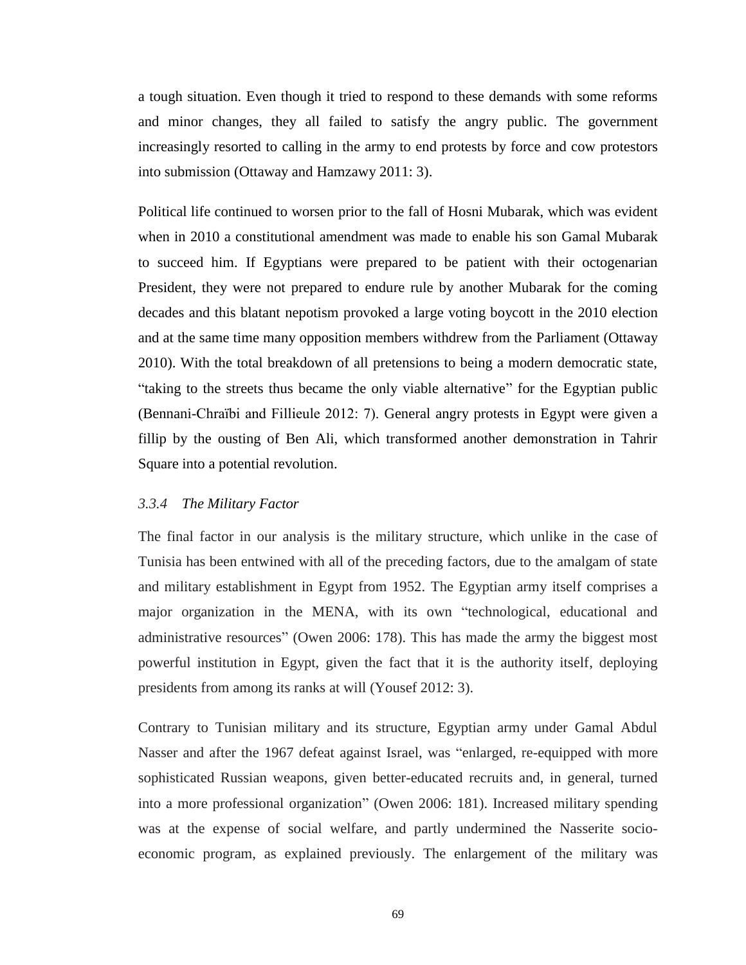a tough situation. Even though it tried to respond to these demands with some reforms and minor changes, they all failed to satisfy the angry public. The government increasingly resorted to calling in the army to end protests by force and cow protestors into submission (Ottaway and Hamzawy 2011: 3).

Political life continued to worsen prior to the fall of Hosni Mubarak, which was evident when in 2010 a constitutional amendment was made to enable his son Gamal Mubarak to succeed him. If Egyptians were prepared to be patient with their octogenarian President, they were not prepared to endure rule by another Mubarak for the coming decades and this blatant nepotism provoked a large voting boycott in the 2010 election and at the same time many opposition members withdrew from the Parliament (Ottaway 2010). With the total breakdown of all pretensions to being a modern democratic state, "taking to the streets thus became the only viable alternative" for the Egyptian public (Bennani-Chraïbi and Fillieule 2012: 7). General angry protests in Egypt were given a fillip by the ousting of Ben Ali, which transformed another demonstration in Tahrir Square into a potential revolution.

#### *3.3.4 The Military Factor*

The final factor in our analysis is the military structure, which unlike in the case of Tunisia has been entwined with all of the preceding factors, due to the amalgam of state and military establishment in Egypt from 1952. The Egyptian army itself comprises a major organization in the MENA, with its own "technological, educational and administrative resources" (Owen 2006: 178). This has made the army the biggest most powerful institution in Egypt, given the fact that it is the authority itself, deploying presidents from among its ranks at will (Yousef 2012: 3).

Contrary to Tunisian military and its structure, Egyptian army under Gamal Abdul Nasser and after the 1967 defeat against Israel, was "enlarged, re-equipped with more sophisticated Russian weapons, given better-educated recruits and, in general, turned into a more professional organization" (Owen 2006: 181). Increased military spending was at the expense of social welfare, and partly undermined the Nasserite socioeconomic program, as explained previously. The enlargement of the military was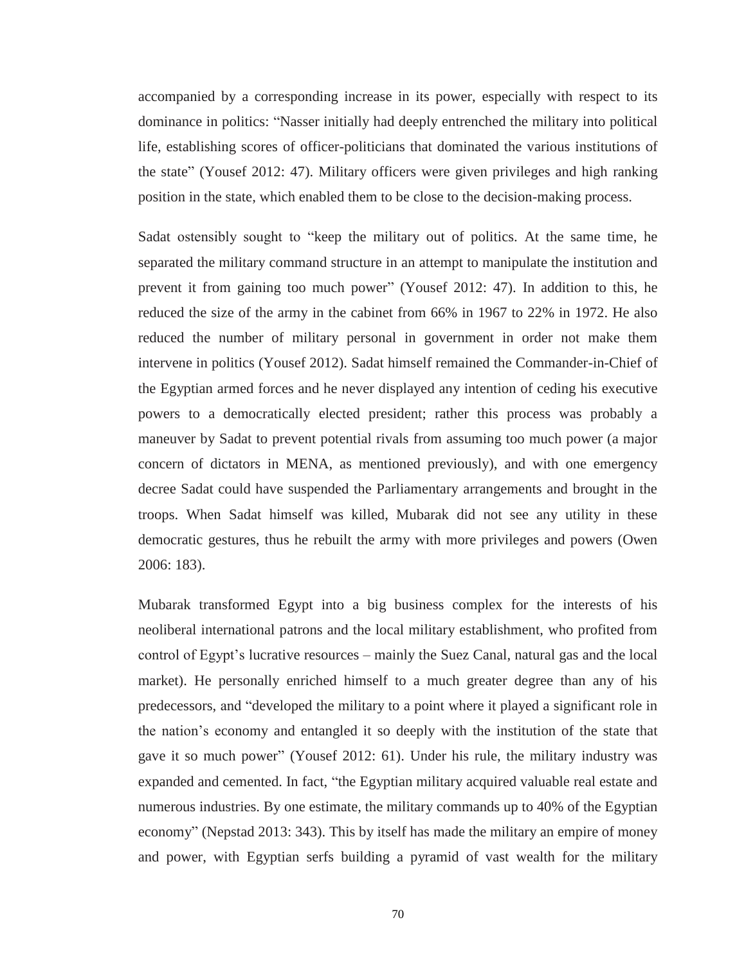accompanied by a corresponding increase in its power, especially with respect to its dominance in politics: "Nasser initially had deeply entrenched the military into political life, establishing scores of officer-politicians that dominated the various institutions of the state" (Yousef 2012: 47). Military officers were given privileges and high ranking position in the state, which enabled them to be close to the decision-making process.

Sadat ostensibly sought to "keep the military out of politics. At the same time, he separated the military command structure in an attempt to manipulate the institution and prevent it from gaining too much power" (Yousef 2012: 47). In addition to this, he reduced the size of the army in the cabinet from 66% in 1967 to 22% in 1972. He also reduced the number of military personal in government in order not make them intervene in politics (Yousef 2012). Sadat himself remained the Commander-in-Chief of the Egyptian armed forces and he never displayed any intention of ceding his executive powers to a democratically elected president; rather this process was probably a maneuver by Sadat to prevent potential rivals from assuming too much power (a major concern of dictators in MENA, as mentioned previously), and with one emergency decree Sadat could have suspended the Parliamentary arrangements and brought in the troops. When Sadat himself was killed, Mubarak did not see any utility in these democratic gestures, thus he rebuilt the army with more privileges and powers (Owen 2006: 183).

Mubarak transformed Egypt into a big business complex for the interests of his neoliberal international patrons and the local military establishment, who profited from control of Egypt's lucrative resources – mainly the Suez Canal, natural gas and the local market). He personally enriched himself to a much greater degree than any of his predecessors, and "developed the military to a point where it played a significant role in the nation's economy and entangled it so deeply with the institution of the state that gave it so much power" (Yousef 2012: 61). Under his rule, the military industry was expanded and cemented. In fact, "the Egyptian military acquired valuable real estate and numerous industries. By one estimate, the military commands up to 40% of the Egyptian economy" (Nepstad 2013: 343). This by itself has made the military an empire of money and power, with Egyptian serfs building a pyramid of vast wealth for the military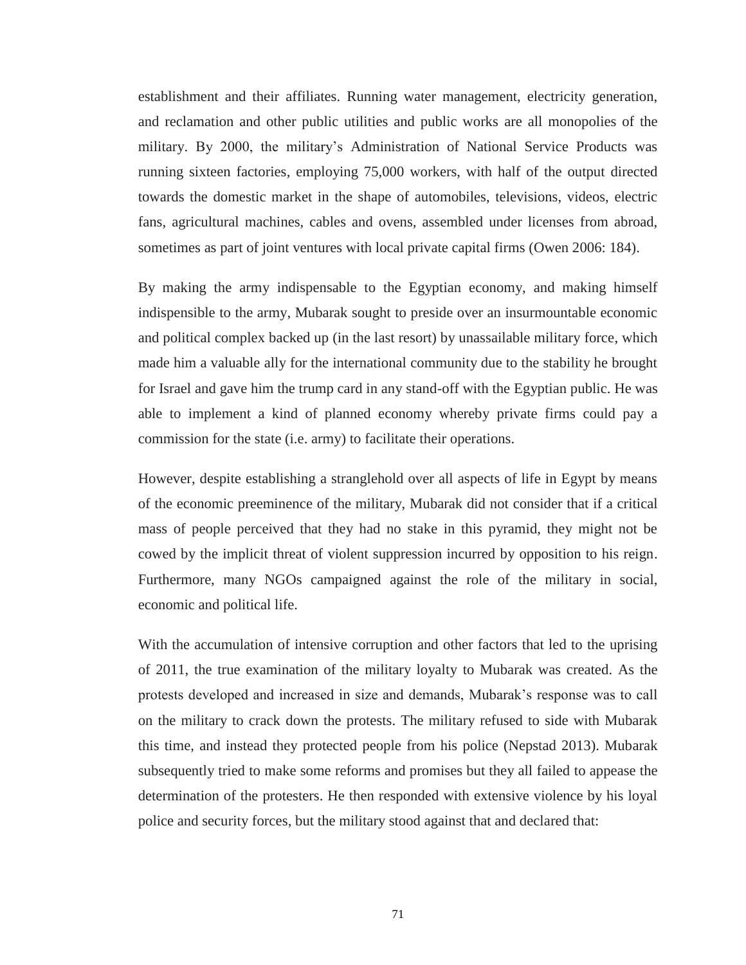establishment and their affiliates. Running water management, electricity generation, and reclamation and other public utilities and public works are all monopolies of the military. By 2000, the military's Administration of National Service Products was running sixteen factories, employing 75,000 workers, with half of the output directed towards the domestic market in the shape of automobiles, televisions, videos, electric fans, agricultural machines, cables and ovens, assembled under licenses from abroad, sometimes as part of joint ventures with local private capital firms (Owen 2006: 184).

By making the army indispensable to the Egyptian economy, and making himself indispensible to the army, Mubarak sought to preside over an insurmountable economic and political complex backed up (in the last resort) by unassailable military force, which made him a valuable ally for the international community due to the stability he brought for Israel and gave him the trump card in any stand-off with the Egyptian public. He was able to implement a kind of planned economy whereby private firms could pay a commission for the state (i.e. army) to facilitate their operations.

However, despite establishing a stranglehold over all aspects of life in Egypt by means of the economic preeminence of the military, Mubarak did not consider that if a critical mass of people perceived that they had no stake in this pyramid, they might not be cowed by the implicit threat of violent suppression incurred by opposition to his reign. Furthermore, many NGOs campaigned against the role of the military in social, economic and political life.

With the accumulation of intensive corruption and other factors that led to the uprising of 2011, the true examination of the military loyalty to Mubarak was created. As the protests developed and increased in size and demands, Mubarak's response was to call on the military to crack down the protests. The military refused to side with Mubarak this time, and instead they protected people from his police (Nepstad 2013). Mubarak subsequently tried to make some reforms and promises but they all failed to appease the determination of the protesters. He then responded with extensive violence by his loyal police and security forces, but the military stood against that and declared that: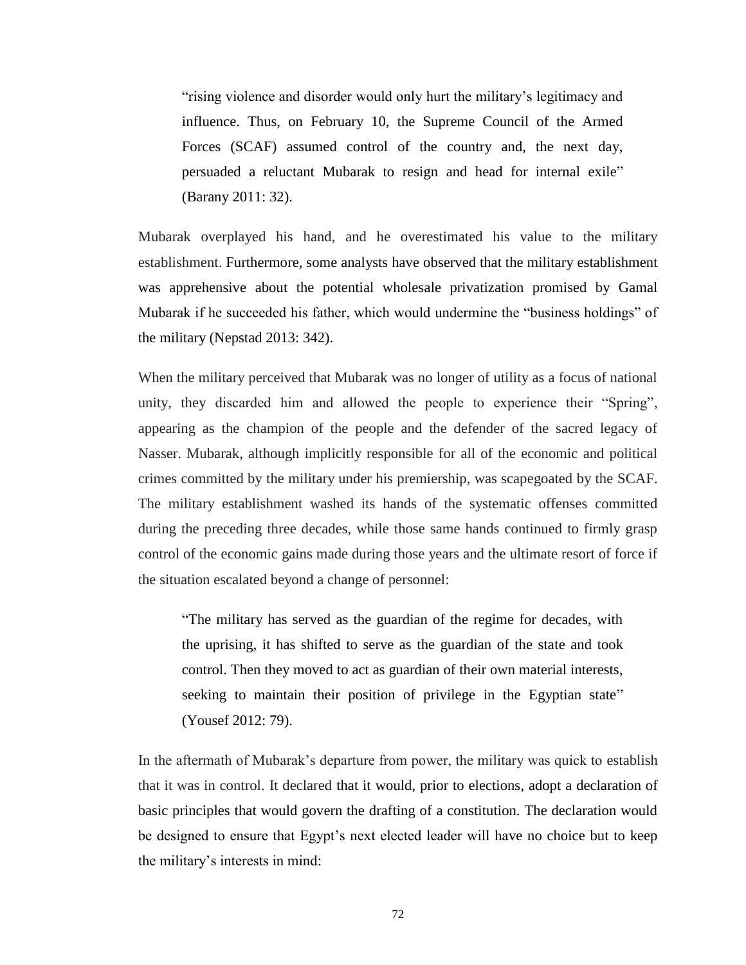"rising violence and disorder would only hurt the military's legitimacy and influence. Thus, on February 10, the Supreme Council of the Armed Forces (SCAF) assumed control of the country and, the next day, persuaded a reluctant Mubarak to resign and head for internal exile" (Barany 2011: 32).

Mubarak overplayed his hand, and he overestimated his value to the military establishment. Furthermore, some analysts have observed that the military establishment was apprehensive about the potential wholesale privatization promised by Gamal Mubarak if he succeeded his father, which would undermine the "business holdings" of the military (Nepstad 2013: 342).

When the military perceived that Mubarak was no longer of utility as a focus of national unity, they discarded him and allowed the people to experience their "Spring", appearing as the champion of the people and the defender of the sacred legacy of Nasser. Mubarak, although implicitly responsible for all of the economic and political crimes committed by the military under his premiership, was scapegoated by the SCAF. The military establishment washed its hands of the systematic offenses committed during the preceding three decades, while those same hands continued to firmly grasp control of the economic gains made during those years and the ultimate resort of force if the situation escalated beyond a change of personnel:

"The military has served as the guardian of the regime for decades, with the uprising, it has shifted to serve as the guardian of the state and took control. Then they moved to act as guardian of their own material interests, seeking to maintain their position of privilege in the Egyptian state" (Yousef 2012: 79).

In the aftermath of Mubarak's departure from power, the military was quick to establish that it was in control. It declared that it would, prior to elections, adopt a declaration of basic principles that would govern the drafting of a constitution. The declaration would be designed to ensure that Egypt's next elected leader will have no choice but to keep the military's interests in mind: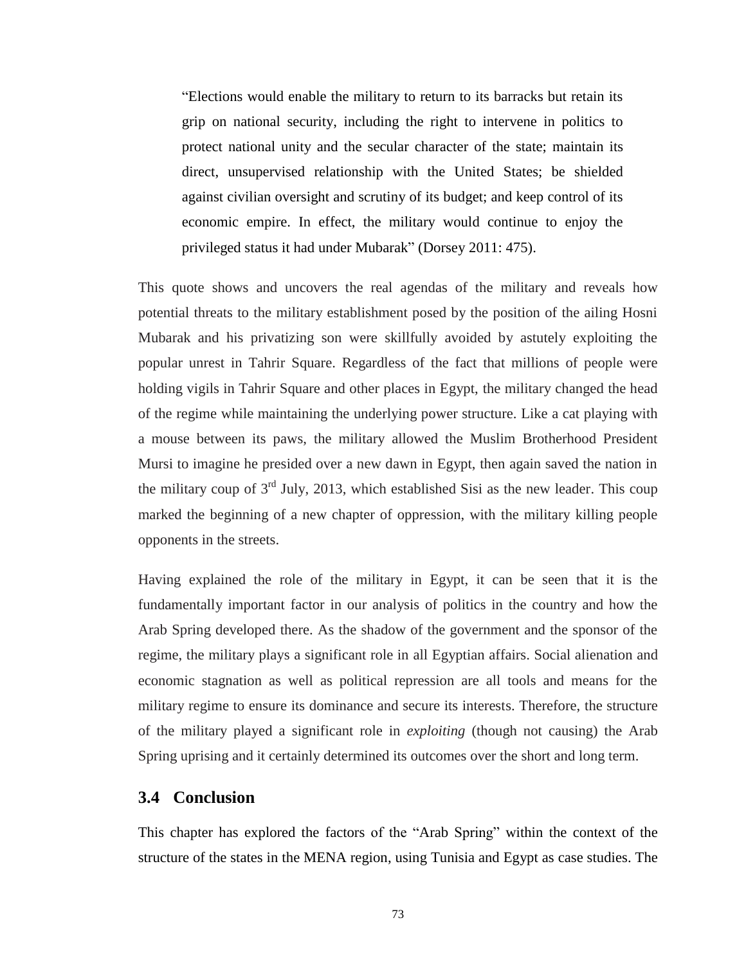"Elections would enable the military to return to its barracks but retain its grip on national security, including the right to intervene in politics to protect national unity and the secular character of the state; maintain its direct, unsupervised relationship with the United States; be shielded against civilian oversight and scrutiny of its budget; and keep control of its economic empire. In effect, the military would continue to enjoy the privileged status it had under Mubarak" (Dorsey 2011: 475).

This quote shows and uncovers the real agendas of the military and reveals how potential threats to the military establishment posed by the position of the ailing Hosni Mubarak and his privatizing son were skillfully avoided by astutely exploiting the popular unrest in Tahrir Square. Regardless of the fact that millions of people were holding vigils in Tahrir Square and other places in Egypt, the military changed the head of the regime while maintaining the underlying power structure. Like a cat playing with a mouse between its paws, the military allowed the Muslim Brotherhood President Mursi to imagine he presided over a new dawn in Egypt, then again saved the nation in the military coup of  $3<sup>rd</sup>$  July, 2013, which established Sisi as the new leader. This coup marked the beginning of a new chapter of oppression, with the military killing people opponents in the streets.

Having explained the role of the military in Egypt, it can be seen that it is the fundamentally important factor in our analysis of politics in the country and how the Arab Spring developed there. As the shadow of the government and the sponsor of the regime, the military plays a significant role in all Egyptian affairs. Social alienation and economic stagnation as well as political repression are all tools and means for the military regime to ensure its dominance and secure its interests. Therefore, the structure of the military played a significant role in *exploiting* (though not causing) the Arab Spring uprising and it certainly determined its outcomes over the short and long term.

## **3.4 Conclusion**

This chapter has explored the factors of the "Arab Spring" within the context of the structure of the states in the MENA region, using Tunisia and Egypt as case studies. The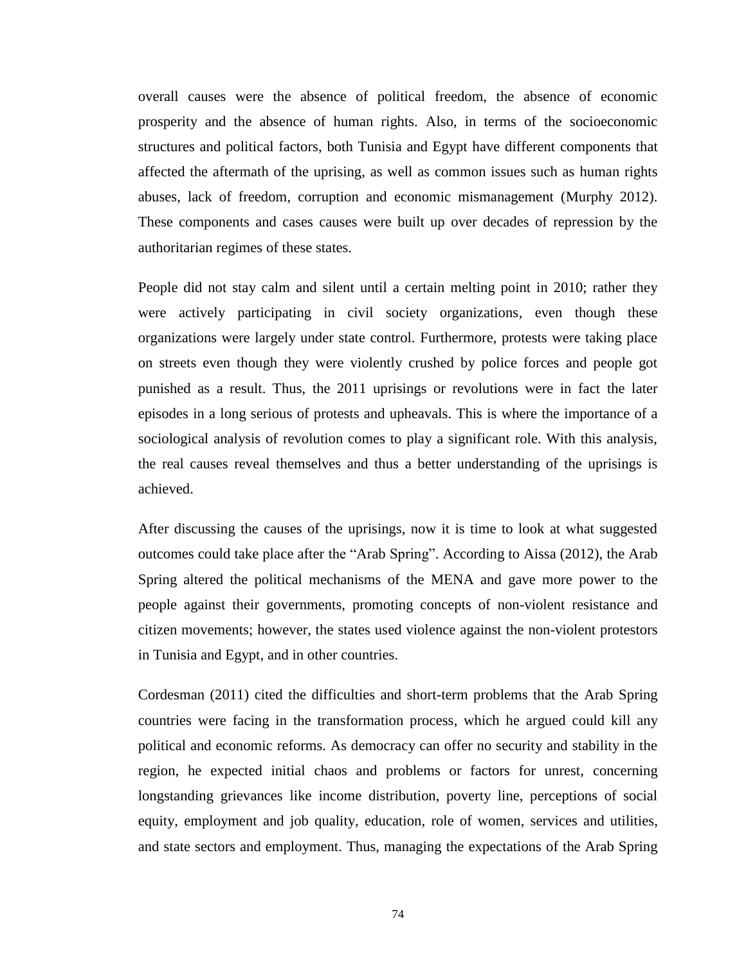overall causes were the absence of political freedom, the absence of economic prosperity and the absence of human rights. Also, in terms of the socioeconomic structures and political factors, both Tunisia and Egypt have different components that affected the aftermath of the uprising, as well as common issues such as human rights abuses, lack of freedom, corruption and economic mismanagement (Murphy 2012). These components and cases causes were built up over decades of repression by the authoritarian regimes of these states.

People did not stay calm and silent until a certain melting point in 2010; rather they were actively participating in civil society organizations, even though these organizations were largely under state control. Furthermore, protests were taking place on streets even though they were violently crushed by police forces and people got punished as a result. Thus, the 2011 uprisings or revolutions were in fact the later episodes in a long serious of protests and upheavals. This is where the importance of a sociological analysis of revolution comes to play a significant role. With this analysis, the real causes reveal themselves and thus a better understanding of the uprisings is achieved.

After discussing the causes of the uprisings, now it is time to look at what suggested outcomes could take place after the "Arab Spring". According to Aissa (2012), the Arab Spring altered the political mechanisms of the MENA and gave more power to the people against their governments, promoting concepts of non-violent resistance and citizen movements; however, the states used violence against the non-violent protestors in Tunisia and Egypt, and in other countries.

Cordesman (2011) cited the difficulties and short-term problems that the Arab Spring countries were facing in the transformation process, which he argued could kill any political and economic reforms. As democracy can offer no security and stability in the region, he expected initial chaos and problems or factors for unrest, concerning longstanding grievances like income distribution, poverty line, perceptions of social equity, employment and job quality, education, role of women, services and utilities, and state sectors and employment. Thus, managing the expectations of the Arab Spring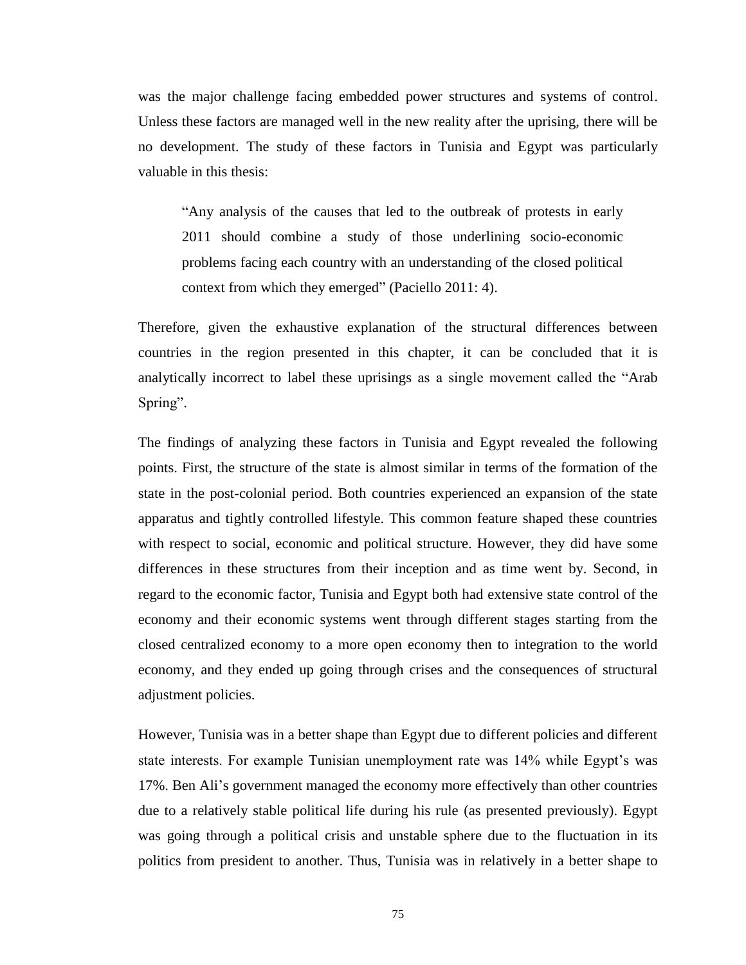was the major challenge facing embedded power structures and systems of control. Unless these factors are managed well in the new reality after the uprising, there will be no development. The study of these factors in Tunisia and Egypt was particularly valuable in this thesis:

"Any analysis of the causes that led to the outbreak of protests in early 2011 should combine a study of those underlining socio-economic problems facing each country with an understanding of the closed political context from which they emerged" (Paciello 2011: 4).

Therefore, given the exhaustive explanation of the structural differences between countries in the region presented in this chapter, it can be concluded that it is analytically incorrect to label these uprisings as a single movement called the "Arab Spring".

The findings of analyzing these factors in Tunisia and Egypt revealed the following points. First, the structure of the state is almost similar in terms of the formation of the state in the post-colonial period. Both countries experienced an expansion of the state apparatus and tightly controlled lifestyle. This common feature shaped these countries with respect to social, economic and political structure. However, they did have some differences in these structures from their inception and as time went by. Second, in regard to the economic factor, Tunisia and Egypt both had extensive state control of the economy and their economic systems went through different stages starting from the closed centralized economy to a more open economy then to integration to the world economy, and they ended up going through crises and the consequences of structural adjustment policies.

However, Tunisia was in a better shape than Egypt due to different policies and different state interests. For example Tunisian unemployment rate was 14% while Egypt's was 17%. Ben Ali's government managed the economy more effectively than other countries due to a relatively stable political life during his rule (as presented previously). Egypt was going through a political crisis and unstable sphere due to the fluctuation in its politics from president to another. Thus, Tunisia was in relatively in a better shape to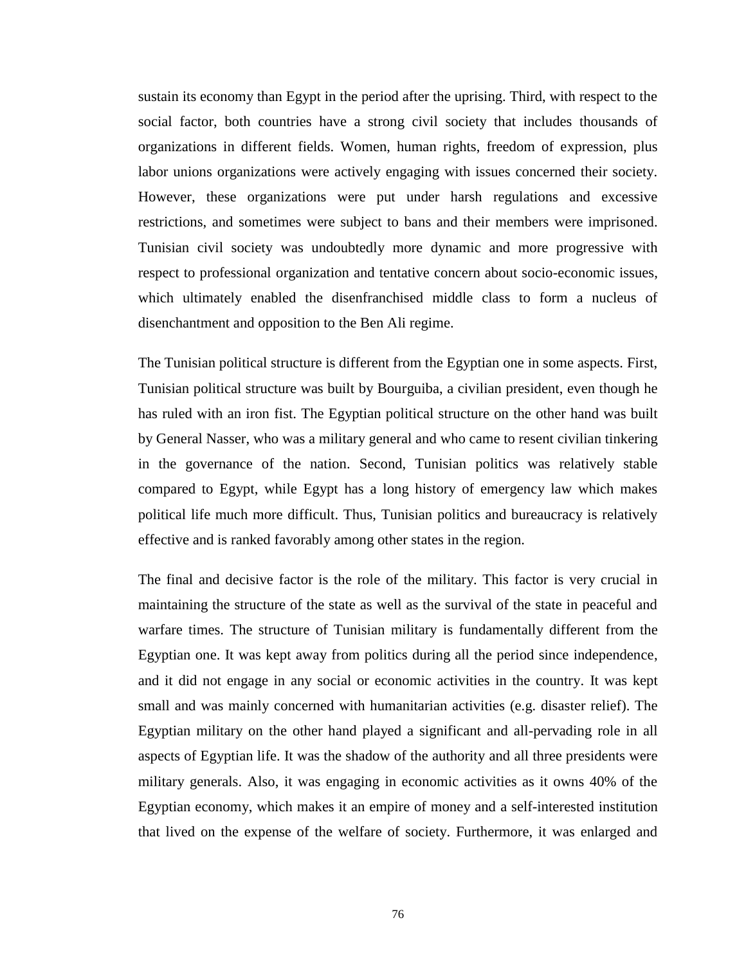sustain its economy than Egypt in the period after the uprising. Third, with respect to the social factor, both countries have a strong civil society that includes thousands of organizations in different fields. Women, human rights, freedom of expression, plus labor unions organizations were actively engaging with issues concerned their society. However, these organizations were put under harsh regulations and excessive restrictions, and sometimes were subject to bans and their members were imprisoned. Tunisian civil society was undoubtedly more dynamic and more progressive with respect to professional organization and tentative concern about socio-economic issues, which ultimately enabled the disenfranchised middle class to form a nucleus of disenchantment and opposition to the Ben Ali regime.

The Tunisian political structure is different from the Egyptian one in some aspects. First, Tunisian political structure was built by Bourguiba, a civilian president, even though he has ruled with an iron fist. The Egyptian political structure on the other hand was built by General Nasser, who was a military general and who came to resent civilian tinkering in the governance of the nation. Second, Tunisian politics was relatively stable compared to Egypt, while Egypt has a long history of emergency law which makes political life much more difficult. Thus, Tunisian politics and bureaucracy is relatively effective and is ranked favorably among other states in the region.

The final and decisive factor is the role of the military. This factor is very crucial in maintaining the structure of the state as well as the survival of the state in peaceful and warfare times. The structure of Tunisian military is fundamentally different from the Egyptian one. It was kept away from politics during all the period since independence, and it did not engage in any social or economic activities in the country. It was kept small and was mainly concerned with humanitarian activities (e.g. disaster relief). The Egyptian military on the other hand played a significant and all-pervading role in all aspects of Egyptian life. It was the shadow of the authority and all three presidents were military generals. Also, it was engaging in economic activities as it owns 40% of the Egyptian economy, which makes it an empire of money and a self-interested institution that lived on the expense of the welfare of society. Furthermore, it was enlarged and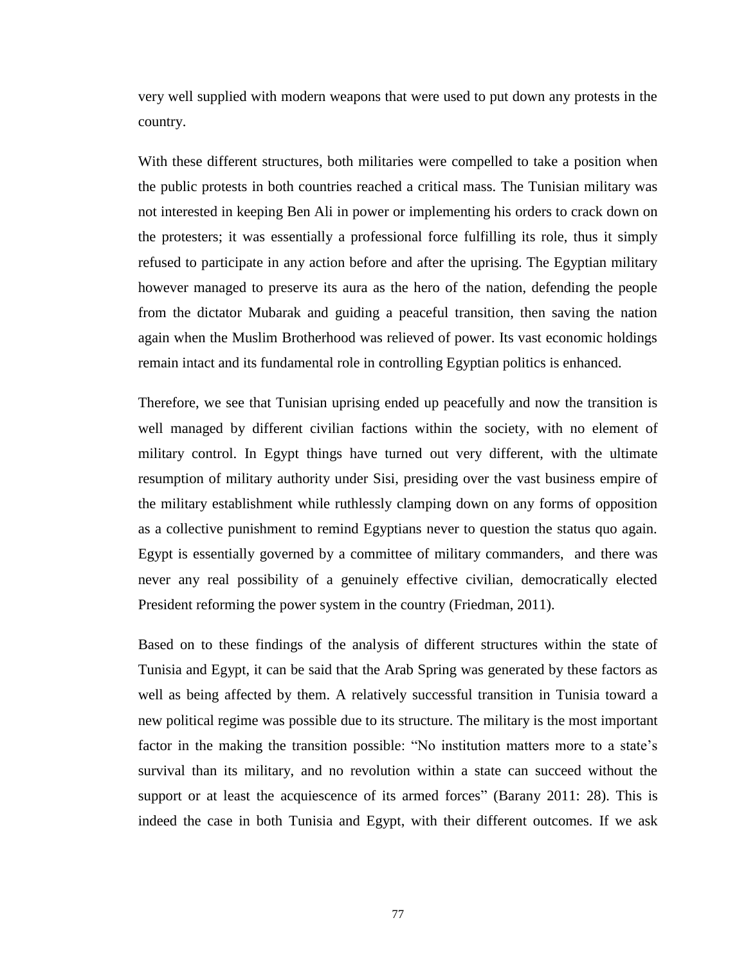very well supplied with modern weapons that were used to put down any protests in the country.

With these different structures, both militaries were compelled to take a position when the public protests in both countries reached a critical mass. The Tunisian military was not interested in keeping Ben Ali in power or implementing his orders to crack down on the protesters; it was essentially a professional force fulfilling its role, thus it simply refused to participate in any action before and after the uprising. The Egyptian military however managed to preserve its aura as the hero of the nation, defending the people from the dictator Mubarak and guiding a peaceful transition, then saving the nation again when the Muslim Brotherhood was relieved of power. Its vast economic holdings remain intact and its fundamental role in controlling Egyptian politics is enhanced.

Therefore, we see that Tunisian uprising ended up peacefully and now the transition is well managed by different civilian factions within the society, with no element of military control. In Egypt things have turned out very different, with the ultimate resumption of military authority under Sisi, presiding over the vast business empire of the military establishment while ruthlessly clamping down on any forms of opposition as a collective punishment to remind Egyptians never to question the status quo again. Egypt is essentially governed by a committee of military commanders, and there was never any real possibility of a genuinely effective civilian, democratically elected President reforming the power system in the country (Friedman, 2011).

Based on to these findings of the analysis of different structures within the state of Tunisia and Egypt, it can be said that the Arab Spring was generated by these factors as well as being affected by them. A relatively successful transition in Tunisia toward a new political regime was possible due to its structure. The military is the most important factor in the making the transition possible: "No institution matters more to a state's survival than its military, and no revolution within a state can succeed without the support or at least the acquiescence of its armed forces" (Barany 2011: 28). This is indeed the case in both Tunisia and Egypt, with their different outcomes. If we ask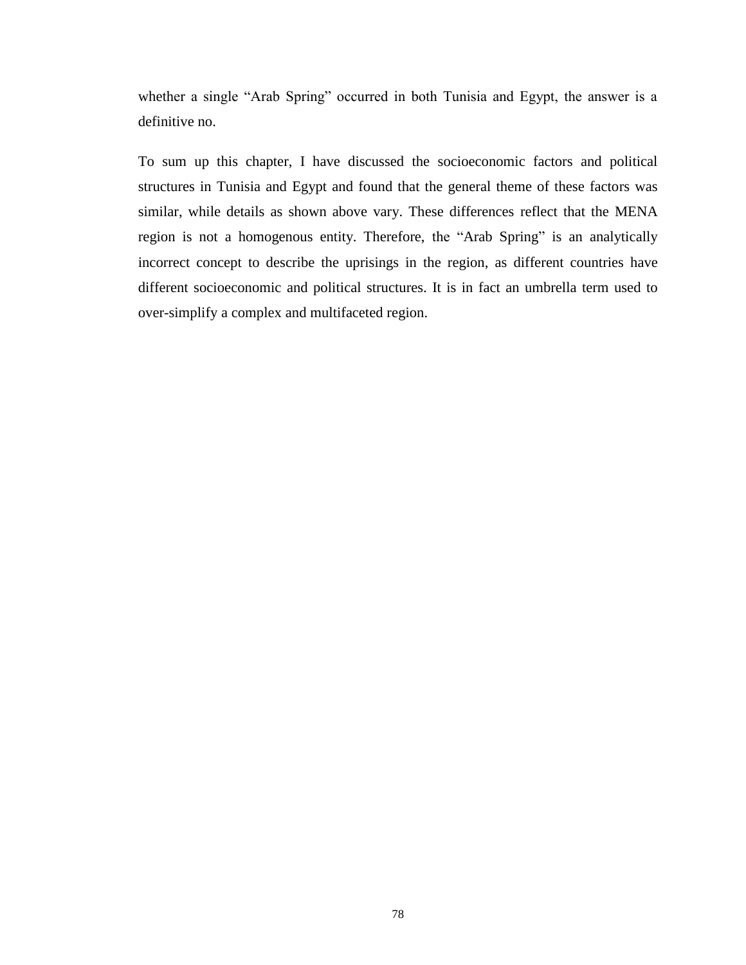whether a single "Arab Spring" occurred in both Tunisia and Egypt, the answer is a definitive no.

To sum up this chapter, I have discussed the socioeconomic factors and political structures in Tunisia and Egypt and found that the general theme of these factors was similar, while details as shown above vary. These differences reflect that the MENA region is not a homogenous entity. Therefore, the "Arab Spring" is an analytically incorrect concept to describe the uprisings in the region, as different countries have different socioeconomic and political structures. It is in fact an umbrella term used to over-simplify a complex and multifaceted region.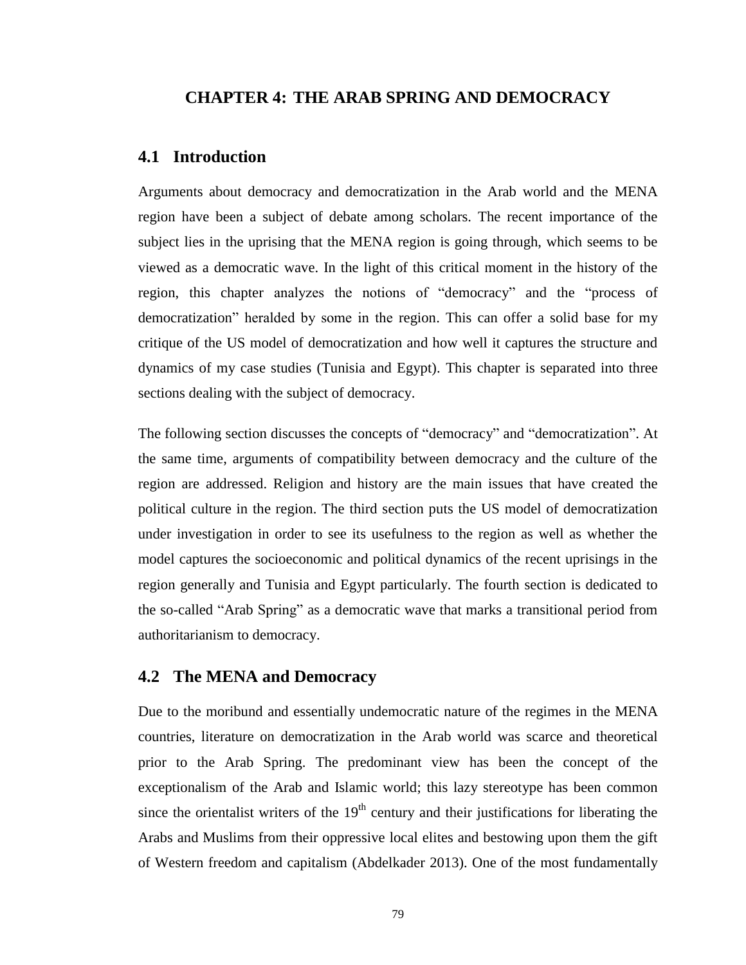#### **CHAPTER 4: THE ARAB SPRING AND DEMOCRACY**

## **4.1 Introduction**

Arguments about democracy and democratization in the Arab world and the MENA region have been a subject of debate among scholars. The recent importance of the subject lies in the uprising that the MENA region is going through, which seems to be viewed as a democratic wave. In the light of this critical moment in the history of the region, this chapter analyzes the notions of "democracy" and the "process of democratization" heralded by some in the region. This can offer a solid base for my critique of the US model of democratization and how well it captures the structure and dynamics of my case studies (Tunisia and Egypt). This chapter is separated into three sections dealing with the subject of democracy.

The following section discusses the concepts of "democracy" and "democratization". At the same time, arguments of compatibility between democracy and the culture of the region are addressed. Religion and history are the main issues that have created the political culture in the region. The third section puts the US model of democratization under investigation in order to see its usefulness to the region as well as whether the model captures the socioeconomic and political dynamics of the recent uprisings in the region generally and Tunisia and Egypt particularly. The fourth section is dedicated to the so-called "Arab Spring" as a democratic wave that marks a transitional period from authoritarianism to democracy.

## **4.2 The MENA and Democracy**

Due to the moribund and essentially undemocratic nature of the regimes in the MENA countries, literature on democratization in the Arab world was scarce and theoretical prior to the Arab Spring. The predominant view has been the concept of the exceptionalism of the Arab and Islamic world; this lazy stereotype has been common since the orientalist writers of the  $19<sup>th</sup>$  century and their justifications for liberating the Arabs and Muslims from their oppressive local elites and bestowing upon them the gift of Western freedom and capitalism (Abdelkader 2013). One of the most fundamentally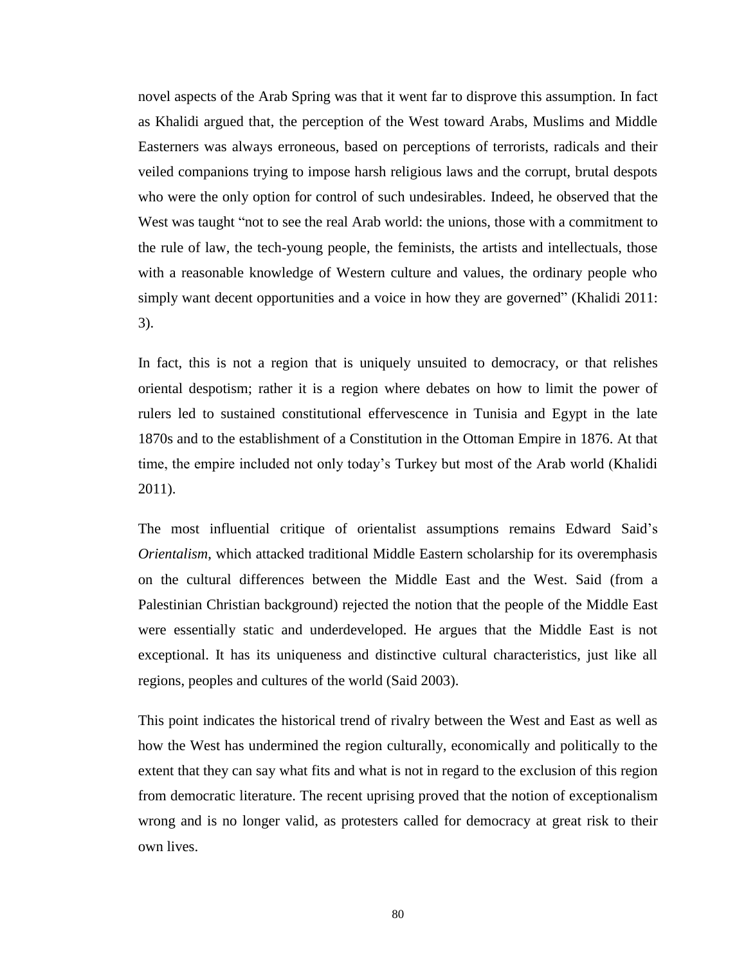novel aspects of the Arab Spring was that it went far to disprove this assumption. In fact as Khalidi argued that, the perception of the West toward Arabs, Muslims and Middle Easterners was always erroneous, based on perceptions of terrorists, radicals and their veiled companions trying to impose harsh religious laws and the corrupt, brutal despots who were the only option for control of such undesirables. Indeed, he observed that the West was taught "not to see the real Arab world: the unions, those with a commitment to the rule of law, the tech-young people, the feminists, the artists and intellectuals, those with a reasonable knowledge of Western culture and values, the ordinary people who simply want decent opportunities and a voice in how they are governed" (Khalidi 2011: 3).

In fact, this is not a region that is uniquely unsuited to democracy, or that relishes oriental despotism; rather it is a region where debates on how to limit the power of rulers led to sustained constitutional effervescence in Tunisia and Egypt in the late 1870s and to the establishment of a Constitution in the Ottoman Empire in 1876. At that time, the empire included not only today's Turkey but most of the Arab world (Khalidi 2011).

The most influential critique of orientalist assumptions remains Edward Said's *Orientalism*, which attacked traditional Middle Eastern scholarship for its overemphasis on the cultural differences between the Middle East and the West. Said (from a Palestinian Christian background) rejected the notion that the people of the Middle East were essentially static and underdeveloped. He argues that the Middle East is not exceptional. It has its uniqueness and distinctive cultural characteristics, just like all regions, peoples and cultures of the world (Said 2003).

This point indicates the historical trend of rivalry between the West and East as well as how the West has undermined the region culturally, economically and politically to the extent that they can say what fits and what is not in regard to the exclusion of this region from democratic literature. The recent uprising proved that the notion of exceptionalism wrong and is no longer valid, as protesters called for democracy at great risk to their own lives.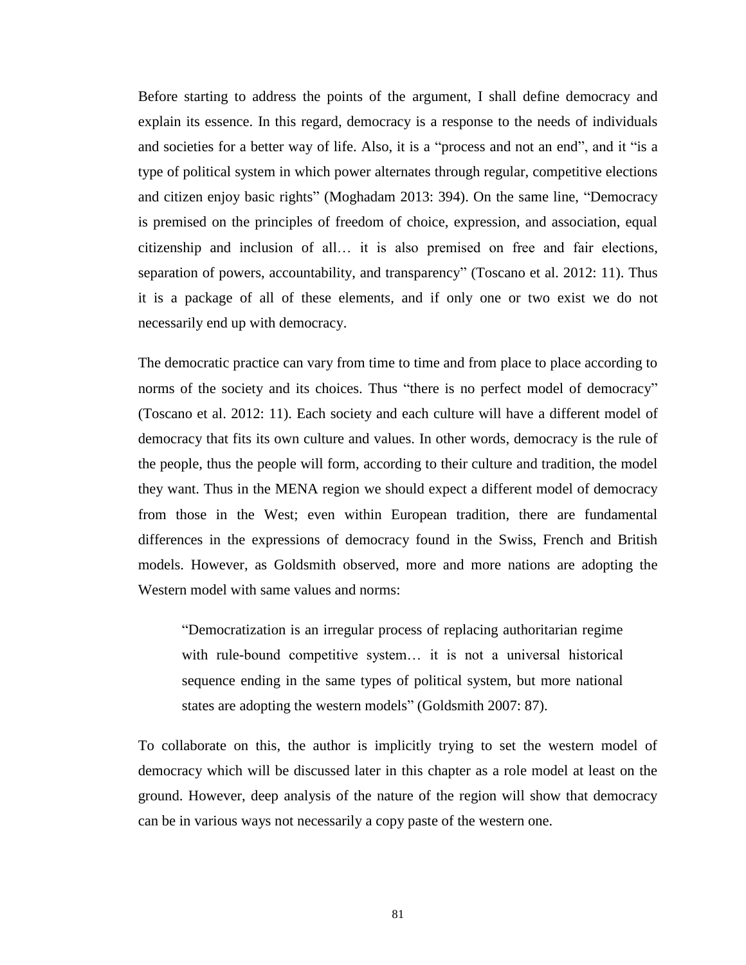Before starting to address the points of the argument, I shall define democracy and explain its essence. In this regard, democracy is a response to the needs of individuals and societies for a better way of life. Also, it is a "process and not an end", and it "is a type of political system in which power alternates through regular, competitive elections and citizen enjoy basic rights" (Moghadam 2013: 394). On the same line, "Democracy is premised on the principles of freedom of choice, expression, and association, equal citizenship and inclusion of all… it is also premised on free and fair elections, separation of powers, accountability, and transparency" (Toscano et al. 2012: 11). Thus it is a package of all of these elements, and if only one or two exist we do not necessarily end up with democracy.

The democratic practice can vary from time to time and from place to place according to norms of the society and its choices. Thus "there is no perfect model of democracy" (Toscano et al. 2012: 11). Each society and each culture will have a different model of democracy that fits its own culture and values. In other words, democracy is the rule of the people, thus the people will form, according to their culture and tradition, the model they want. Thus in the MENA region we should expect a different model of democracy from those in the West; even within European tradition, there are fundamental differences in the expressions of democracy found in the Swiss, French and British models. However, as Goldsmith observed, more and more nations are adopting the Western model with same values and norms:

"Democratization is an irregular process of replacing authoritarian regime with rule-bound competitive system… it is not a universal historical sequence ending in the same types of political system, but more national states are adopting the western models" (Goldsmith 2007: 87).

To collaborate on this, the author is implicitly trying to set the western model of democracy which will be discussed later in this chapter as a role model at least on the ground. However, deep analysis of the nature of the region will show that democracy can be in various ways not necessarily a copy paste of the western one.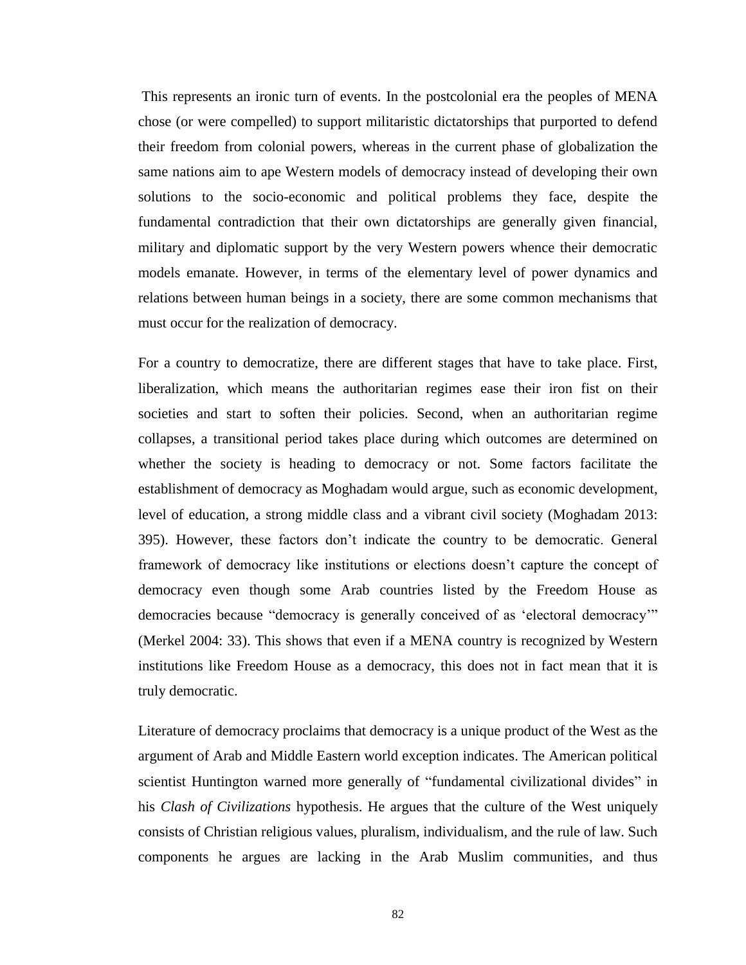This represents an ironic turn of events. In the postcolonial era the peoples of MENA chose (or were compelled) to support militaristic dictatorships that purported to defend their freedom from colonial powers, whereas in the current phase of globalization the same nations aim to ape Western models of democracy instead of developing their own solutions to the socio-economic and political problems they face, despite the fundamental contradiction that their own dictatorships are generally given financial, military and diplomatic support by the very Western powers whence their democratic models emanate. However, in terms of the elementary level of power dynamics and relations between human beings in a society, there are some common mechanisms that must occur for the realization of democracy.

For a country to democratize, there are different stages that have to take place. First, liberalization, which means the authoritarian regimes ease their iron fist on their societies and start to soften their policies. Second, when an authoritarian regime collapses, a transitional period takes place during which outcomes are determined on whether the society is heading to democracy or not. Some factors facilitate the establishment of democracy as Moghadam would argue, such as economic development, level of education, a strong middle class and a vibrant civil society (Moghadam 2013: 395). However, these factors don't indicate the country to be democratic. General framework of democracy like institutions or elections doesn't capture the concept of democracy even though some Arab countries listed by the Freedom House as democracies because "democracy is generally conceived of as 'electoral democracy'" (Merkel 2004: 33). This shows that even if a MENA country is recognized by Western institutions like Freedom House as a democracy, this does not in fact mean that it is truly democratic.

Literature of democracy proclaims that democracy is a unique product of the West as the argument of Arab and Middle Eastern world exception indicates. The American political scientist Huntington warned more generally of "fundamental civilizational divides" in his *Clash of Civilizations* hypothesis. He argues that the culture of the West uniquely consists of Christian religious values, pluralism, individualism, and the rule of law. Such components he argues are lacking in the Arab Muslim communities, and thus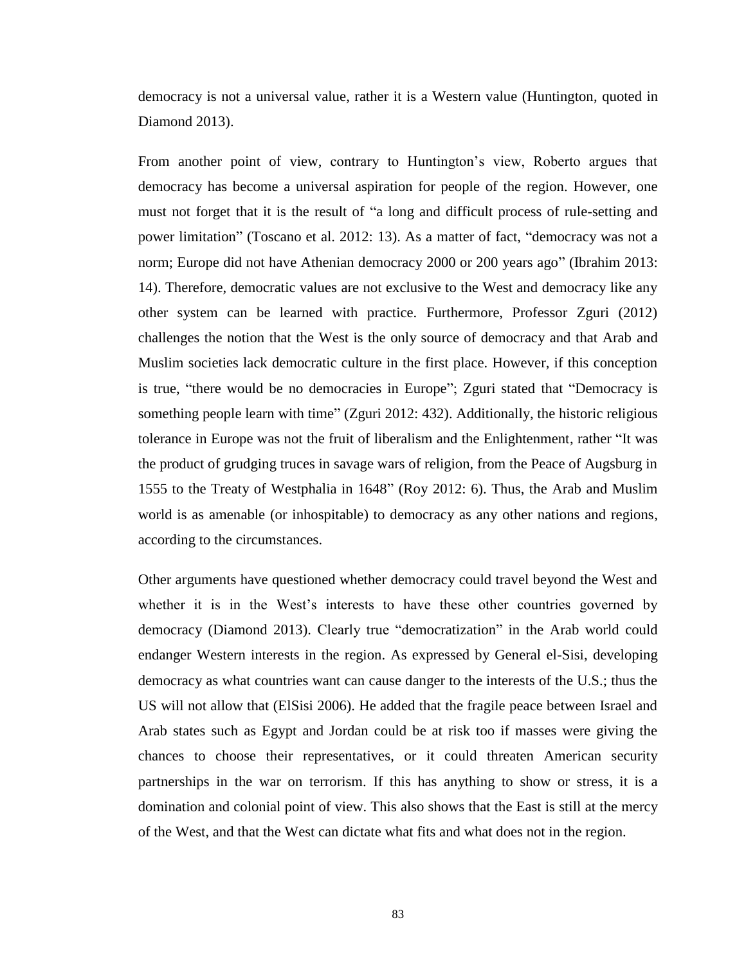democracy is not a universal value, rather it is a Western value (Huntington, quoted in Diamond 2013).

From another point of view, contrary to Huntington's view, Roberto argues that democracy has become a universal aspiration for people of the region. However, one must not forget that it is the result of "a long and difficult process of rule-setting and power limitation" (Toscano et al. 2012: 13). As a matter of fact, "democracy was not a norm; Europe did not have Athenian democracy 2000 or 200 years ago" (Ibrahim 2013: 14). Therefore, democratic values are not exclusive to the West and democracy like any other system can be learned with practice. Furthermore, Professor Zguri (2012) challenges the notion that the West is the only source of democracy and that Arab and Muslim societies lack democratic culture in the first place. However, if this conception is true, "there would be no democracies in Europe"; Zguri stated that "Democracy is something people learn with time" (Zguri 2012: 432). Additionally, the historic religious tolerance in Europe was not the fruit of liberalism and the Enlightenment, rather "It was the product of grudging truces in savage wars of religion, from the Peace of Augsburg in 1555 to the Treaty of Westphalia in 1648" (Roy 2012: 6). Thus, the Arab and Muslim world is as amenable (or inhospitable) to democracy as any other nations and regions, according to the circumstances.

Other arguments have questioned whether democracy could travel beyond the West and whether it is in the West's interests to have these other countries governed by democracy (Diamond 2013). Clearly true "democratization" in the Arab world could endanger Western interests in the region. As expressed by General el-Sisi, developing democracy as what countries want can cause danger to the interests of the U.S.; thus the US will not allow that (ElSisi 2006). He added that the fragile peace between Israel and Arab states such as Egypt and Jordan could be at risk too if masses were giving the chances to choose their representatives, or it could threaten American security partnerships in the war on terrorism. If this has anything to show or stress, it is a domination and colonial point of view. This also shows that the East is still at the mercy of the West, and that the West can dictate what fits and what does not in the region.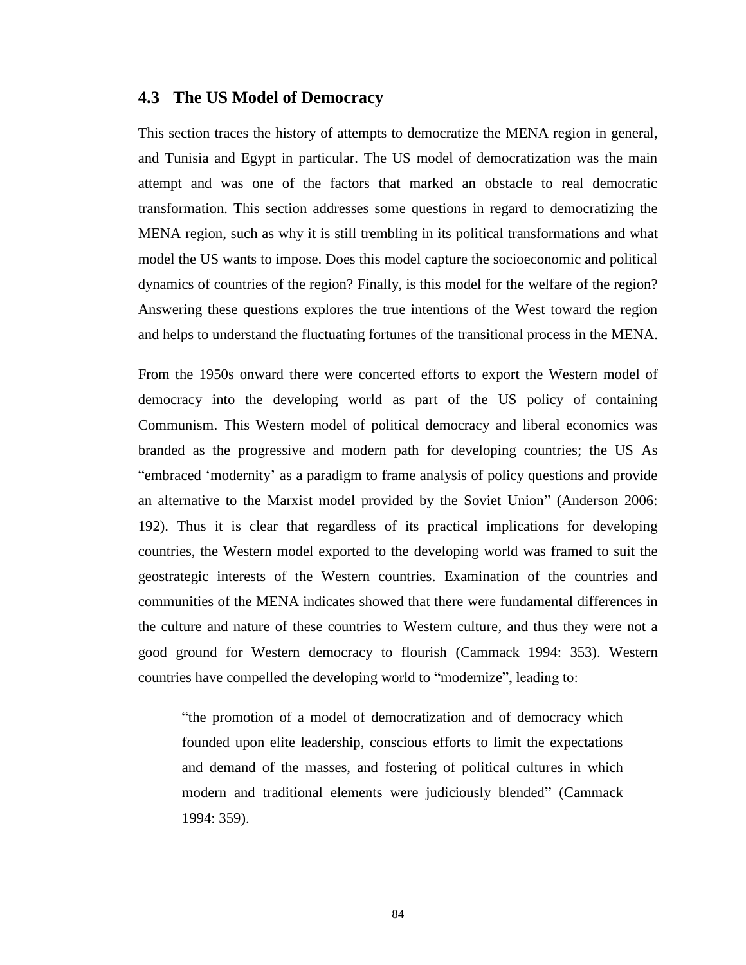#### **4.3 The US Model of Democracy**

This section traces the history of attempts to democratize the MENA region in general, and Tunisia and Egypt in particular. The US model of democratization was the main attempt and was one of the factors that marked an obstacle to real democratic transformation. This section addresses some questions in regard to democratizing the MENA region, such as why it is still trembling in its political transformations and what model the US wants to impose. Does this model capture the socioeconomic and political dynamics of countries of the region? Finally, is this model for the welfare of the region? Answering these questions explores the true intentions of the West toward the region and helps to understand the fluctuating fortunes of the transitional process in the MENA.

From the 1950s onward there were concerted efforts to export the Western model of democracy into the developing world as part of the US policy of containing Communism. This Western model of political democracy and liberal economics was branded as the progressive and modern path for developing countries; the US As "embraced 'modernity' as a paradigm to frame analysis of policy questions and provide an alternative to the Marxist model provided by the Soviet Union" (Anderson 2006: 192). Thus it is clear that regardless of its practical implications for developing countries, the Western model exported to the developing world was framed to suit the geostrategic interests of the Western countries. Examination of the countries and communities of the MENA indicates showed that there were fundamental differences in the culture and nature of these countries to Western culture, and thus they were not a good ground for Western democracy to flourish (Cammack 1994: 353). Western countries have compelled the developing world to "modernize", leading to:

"the promotion of a model of democratization and of democracy which founded upon elite leadership, conscious efforts to limit the expectations and demand of the masses, and fostering of political cultures in which modern and traditional elements were judiciously blended" (Cammack 1994: 359).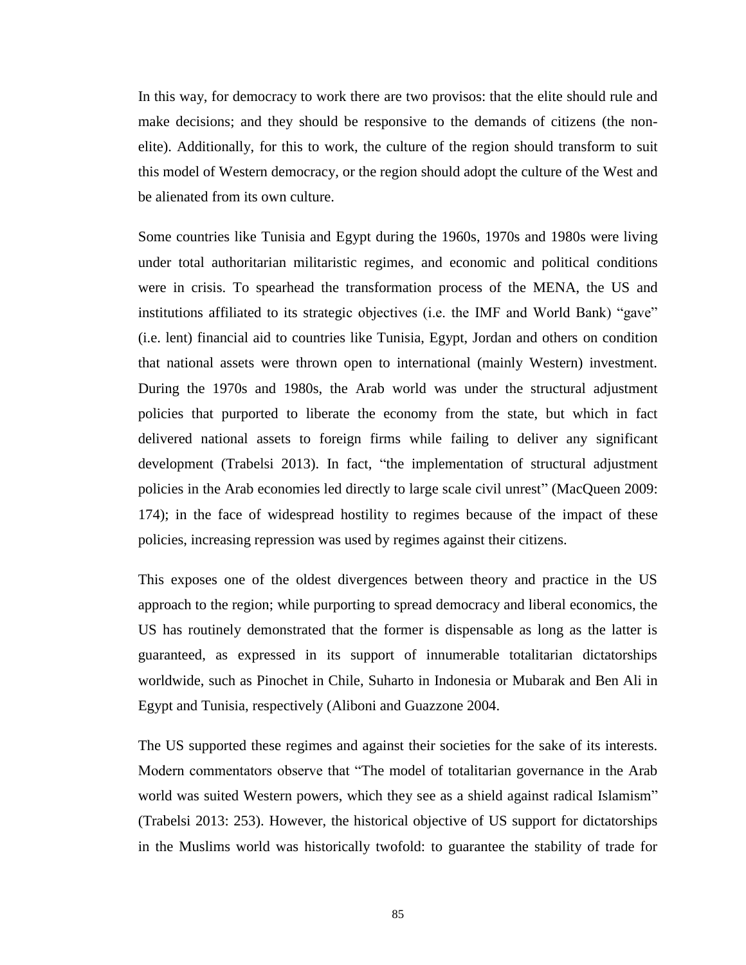In this way, for democracy to work there are two provisos: that the elite should rule and make decisions; and they should be responsive to the demands of citizens (the nonelite). Additionally, for this to work, the culture of the region should transform to suit this model of Western democracy, or the region should adopt the culture of the West and be alienated from its own culture.

Some countries like Tunisia and Egypt during the 1960s, 1970s and 1980s were living under total authoritarian militaristic regimes, and economic and political conditions were in crisis. To spearhead the transformation process of the MENA, the US and institutions affiliated to its strategic objectives (i.e. the IMF and World Bank) "gave" (i.e. lent) financial aid to countries like Tunisia, Egypt, Jordan and others on condition that national assets were thrown open to international (mainly Western) investment. During the 1970s and 1980s, the Arab world was under the structural adjustment policies that purported to liberate the economy from the state, but which in fact delivered national assets to foreign firms while failing to deliver any significant development (Trabelsi 2013). In fact, "the implementation of structural adjustment policies in the Arab economies led directly to large scale civil unrest" (MacQueen 2009: 174); in the face of widespread hostility to regimes because of the impact of these policies, increasing repression was used by regimes against their citizens.

This exposes one of the oldest divergences between theory and practice in the US approach to the region; while purporting to spread democracy and liberal economics, the US has routinely demonstrated that the former is dispensable as long as the latter is guaranteed, as expressed in its support of innumerable totalitarian dictatorships worldwide, such as Pinochet in Chile, Suharto in Indonesia or Mubarak and Ben Ali in Egypt and Tunisia, respectively (Aliboni and Guazzone 2004.

The US supported these regimes and against their societies for the sake of its interests. Modern commentators observe that "The model of totalitarian governance in the Arab world was suited Western powers, which they see as a shield against radical Islamism" (Trabelsi 2013: 253). However, the historical objective of US support for dictatorships in the Muslims world was historically twofold: to guarantee the stability of trade for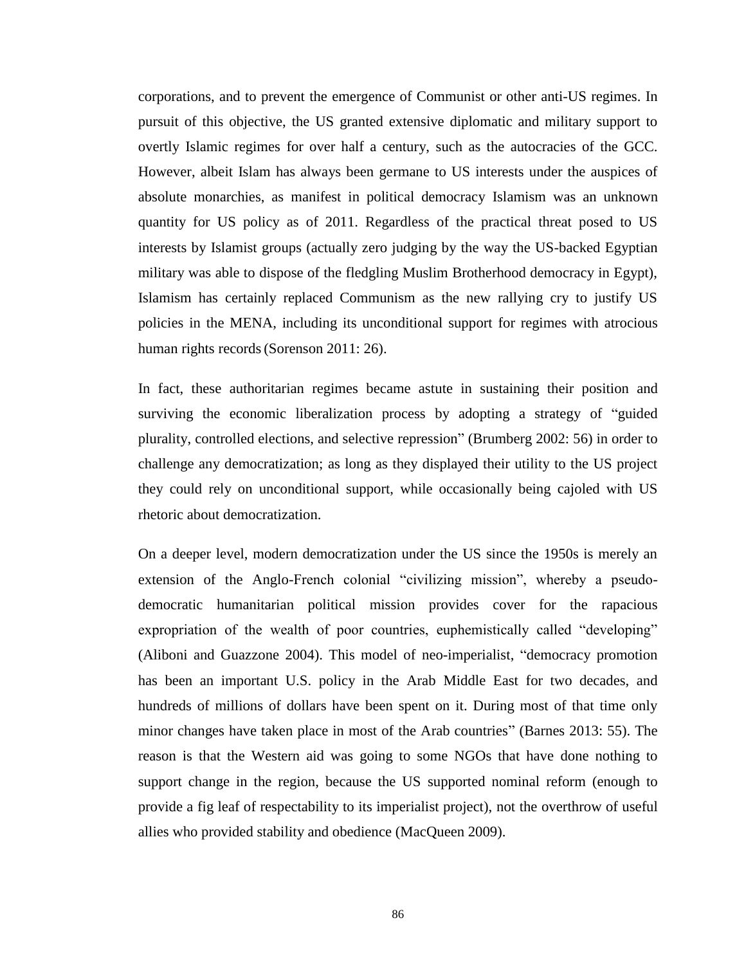corporations, and to prevent the emergence of Communist or other anti-US regimes. In pursuit of this objective, the US granted extensive diplomatic and military support to overtly Islamic regimes for over half a century, such as the autocracies of the GCC. However, albeit Islam has always been germane to US interests under the auspices of absolute monarchies, as manifest in political democracy Islamism was an unknown quantity for US policy as of 2011. Regardless of the practical threat posed to US interests by Islamist groups (actually zero judging by the way the US-backed Egyptian military was able to dispose of the fledgling Muslim Brotherhood democracy in Egypt), Islamism has certainly replaced Communism as the new rallying cry to justify US policies in the MENA, including its unconditional support for regimes with atrocious human rights records(Sorenson 2011: 26).

In fact, these authoritarian regimes became astute in sustaining their position and surviving the economic liberalization process by adopting a strategy of "guided plurality, controlled elections, and selective repression" (Brumberg 2002: 56) in order to challenge any democratization; as long as they displayed their utility to the US project they could rely on unconditional support, while occasionally being cajoled with US rhetoric about democratization.

On a deeper level, modern democratization under the US since the 1950s is merely an extension of the Anglo-French colonial "civilizing mission", whereby a pseudodemocratic humanitarian political mission provides cover for the rapacious expropriation of the wealth of poor countries, euphemistically called "developing" (Aliboni and Guazzone 2004). This model of neo-imperialist, "democracy promotion has been an important U.S. policy in the Arab Middle East for two decades, and hundreds of millions of dollars have been spent on it. During most of that time only minor changes have taken place in most of the Arab countries" (Barnes 2013: 55). The reason is that the Western aid was going to some NGOs that have done nothing to support change in the region, because the US supported nominal reform (enough to provide a fig leaf of respectability to its imperialist project), not the overthrow of useful allies who provided stability and obedience (MacQueen 2009).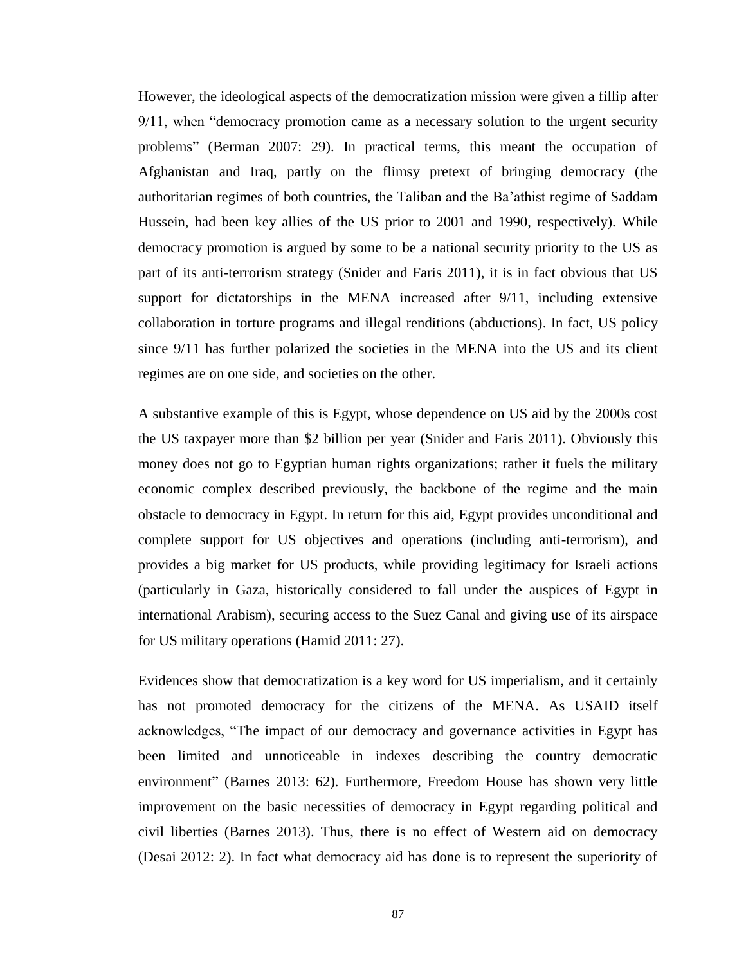However, the ideological aspects of the democratization mission were given a fillip after 9/11, when "democracy promotion came as a necessary solution to the urgent security problems" (Berman 2007: 29). In practical terms, this meant the occupation of Afghanistan and Iraq, partly on the flimsy pretext of bringing democracy (the authoritarian regimes of both countries, the Taliban and the Ba'athist regime of Saddam Hussein, had been key allies of the US prior to 2001 and 1990, respectively). While democracy promotion is argued by some to be a national security priority to the US as part of its anti-terrorism strategy (Snider and Faris 2011), it is in fact obvious that US support for dictatorships in the MENA increased after 9/11, including extensive collaboration in torture programs and illegal renditions (abductions). In fact, US policy since 9/11 has further polarized the societies in the MENA into the US and its client regimes are on one side, and societies on the other.

A substantive example of this is Egypt, whose dependence on US aid by the 2000s cost the US taxpayer more than \$2 billion per year (Snider and Faris 2011). Obviously this money does not go to Egyptian human rights organizations; rather it fuels the military economic complex described previously, the backbone of the regime and the main obstacle to democracy in Egypt. In return for this aid, Egypt provides unconditional and complete support for US objectives and operations (including anti-terrorism), and provides a big market for US products, while providing legitimacy for Israeli actions (particularly in Gaza, historically considered to fall under the auspices of Egypt in international Arabism), securing access to the Suez Canal and giving use of its airspace for US military operations (Hamid 2011: 27).

Evidences show that democratization is a key word for US imperialism, and it certainly has not promoted democracy for the citizens of the MENA. As USAID itself acknowledges, "The impact of our democracy and governance activities in Egypt has been limited and unnoticeable in indexes describing the country democratic environment" (Barnes 2013: 62). Furthermore, Freedom House has shown very little improvement on the basic necessities of democracy in Egypt regarding political and civil liberties (Barnes 2013). Thus, there is no effect of Western aid on democracy (Desai 2012: 2). In fact what democracy aid has done is to represent the superiority of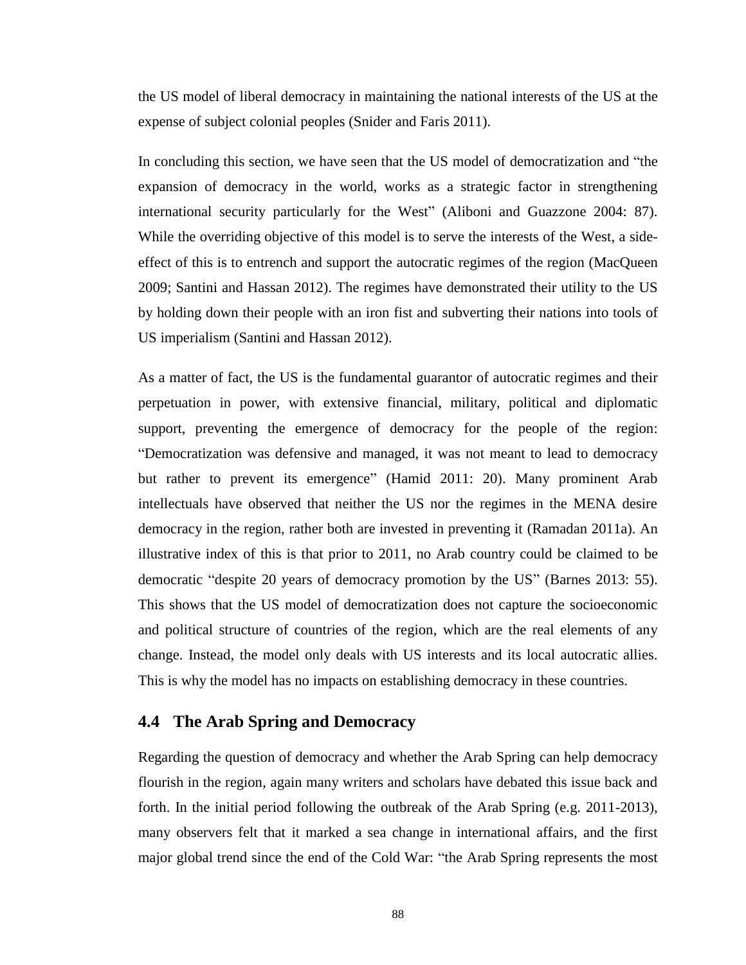the US model of liberal democracy in maintaining the national interests of the US at the expense of subject colonial peoples (Snider and Faris 2011).

In concluding this section, we have seen that the US model of democratization and "the expansion of democracy in the world, works as a strategic factor in strengthening international security particularly for the West" (Aliboni and Guazzone 2004: 87). While the overriding objective of this model is to serve the interests of the West, a sideeffect of this is to entrench and support the autocratic regimes of the region (MacQueen 2009; Santini and Hassan 2012). The regimes have demonstrated their utility to the US by holding down their people with an iron fist and subverting their nations into tools of US imperialism (Santini and Hassan 2012).

As a matter of fact, the US is the fundamental guarantor of autocratic regimes and their perpetuation in power, with extensive financial, military, political and diplomatic support, preventing the emergence of democracy for the people of the region: "Democratization was defensive and managed, it was not meant to lead to democracy but rather to prevent its emergence" (Hamid 2011: 20). Many prominent Arab intellectuals have observed that neither the US nor the regimes in the MENA desire democracy in the region, rather both are invested in preventing it (Ramadan 2011a). An illustrative index of this is that prior to 2011, no Arab country could be claimed to be democratic "despite 20 years of democracy promotion by the US" (Barnes 2013: 55). This shows that the US model of democratization does not capture the socioeconomic and political structure of countries of the region, which are the real elements of any change. Instead, the model only deals with US interests and its local autocratic allies. This is why the model has no impacts on establishing democracy in these countries.

### **4.4 The Arab Spring and Democracy**

Regarding the question of democracy and whether the Arab Spring can help democracy flourish in the region, again many writers and scholars have debated this issue back and forth. In the initial period following the outbreak of the Arab Spring (e.g. 2011-2013), many observers felt that it marked a sea change in international affairs, and the first major global trend since the end of the Cold War: "the Arab Spring represents the most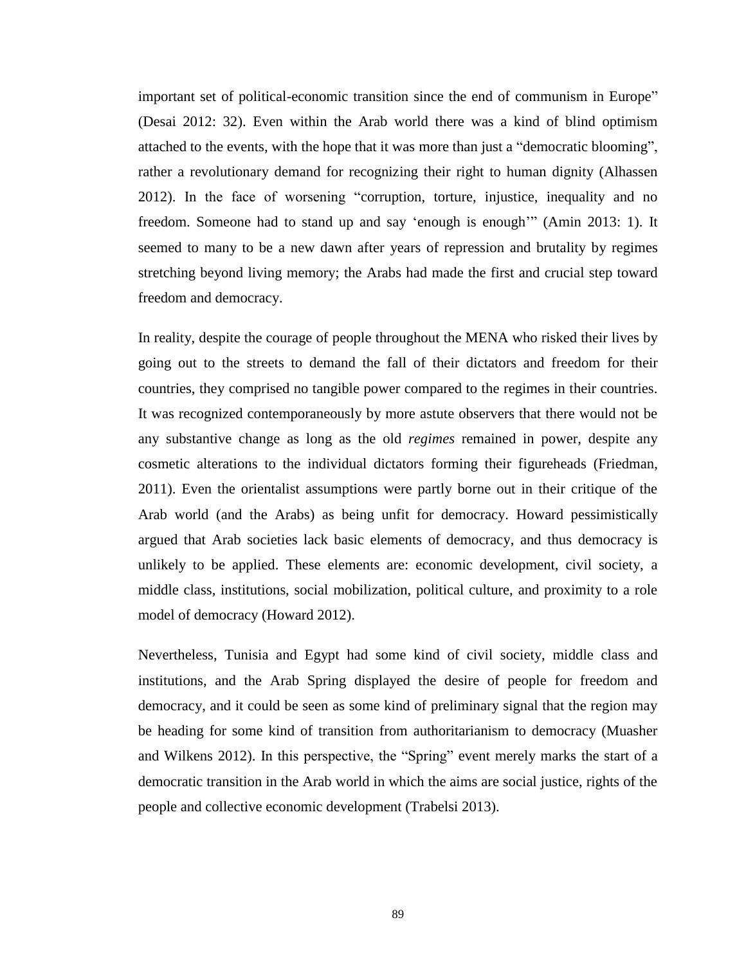important set of political-economic transition since the end of communism in Europe" (Desai 2012: 32). Even within the Arab world there was a kind of blind optimism attached to the events, with the hope that it was more than just a "democratic blooming", rather a revolutionary demand for recognizing their right to human dignity (Alhassen 2012). In the face of worsening "corruption, torture, injustice, inequality and no freedom. Someone had to stand up and say 'enough is enough'" (Amin 2013: 1). It seemed to many to be a new dawn after years of repression and brutality by regimes stretching beyond living memory; the Arabs had made the first and crucial step toward freedom and democracy.

In reality, despite the courage of people throughout the MENA who risked their lives by going out to the streets to demand the fall of their dictators and freedom for their countries, they comprised no tangible power compared to the regimes in their countries. It was recognized contemporaneously by more astute observers that there would not be any substantive change as long as the old *regimes* remained in power, despite any cosmetic alterations to the individual dictators forming their figureheads (Friedman, 2011). Even the orientalist assumptions were partly borne out in their critique of the Arab world (and the Arabs) as being unfit for democracy. Howard pessimistically argued that Arab societies lack basic elements of democracy, and thus democracy is unlikely to be applied. These elements are: economic development, civil society, a middle class, institutions, social mobilization, political culture, and proximity to a role model of democracy (Howard 2012).

Nevertheless, Tunisia and Egypt had some kind of civil society, middle class and institutions, and the Arab Spring displayed the desire of people for freedom and democracy, and it could be seen as some kind of preliminary signal that the region may be heading for some kind of transition from authoritarianism to democracy (Muasher and Wilkens 2012). In this perspective, the "Spring" event merely marks the start of a democratic transition in the Arab world in which the aims are social justice, rights of the people and collective economic development (Trabelsi 2013).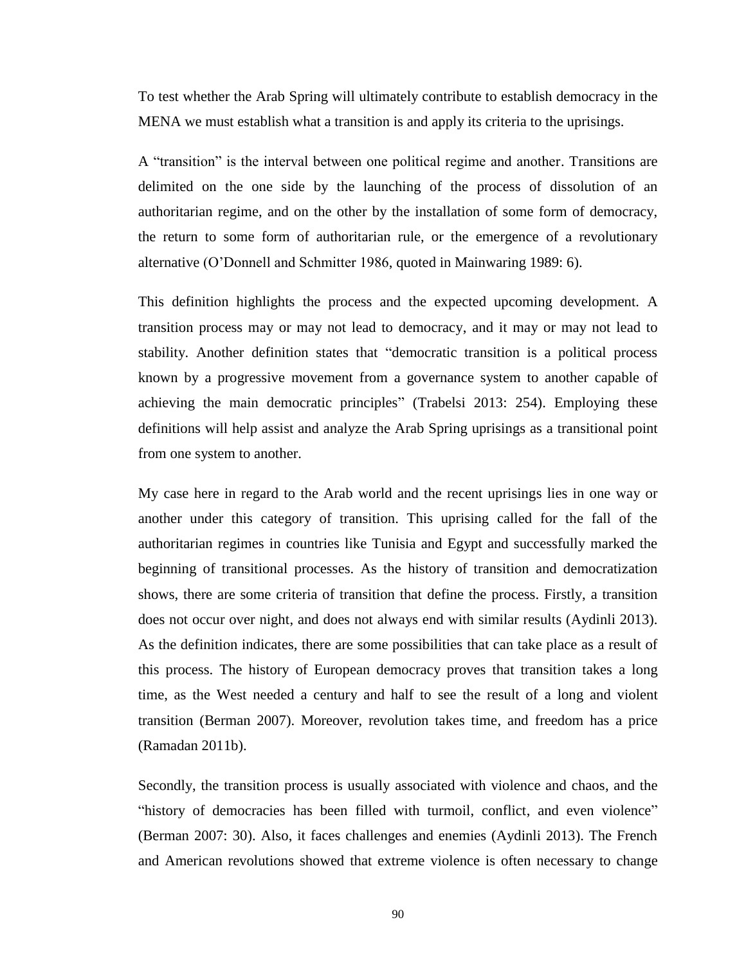To test whether the Arab Spring will ultimately contribute to establish democracy in the MENA we must establish what a transition is and apply its criteria to the uprisings.

A "transition" is the interval between one political regime and another. Transitions are delimited on the one side by the launching of the process of dissolution of an authoritarian regime, and on the other by the installation of some form of democracy, the return to some form of authoritarian rule, or the emergence of a revolutionary alternative (O'Donnell and Schmitter 1986, quoted in Mainwaring 1989: 6).

This definition highlights the process and the expected upcoming development. A transition process may or may not lead to democracy, and it may or may not lead to stability. Another definition states that "democratic transition is a political process known by a progressive movement from a governance system to another capable of achieving the main democratic principles" (Trabelsi 2013: 254). Employing these definitions will help assist and analyze the Arab Spring uprisings as a transitional point from one system to another.

My case here in regard to the Arab world and the recent uprisings lies in one way or another under this category of transition. This uprising called for the fall of the authoritarian regimes in countries like Tunisia and Egypt and successfully marked the beginning of transitional processes. As the history of transition and democratization shows, there are some criteria of transition that define the process. Firstly, a transition does not occur over night, and does not always end with similar results (Aydinli 2013). As the definition indicates, there are some possibilities that can take place as a result of this process. The history of European democracy proves that transition takes a long time, as the West needed a century and half to see the result of a long and violent transition (Berman 2007). Moreover, revolution takes time, and freedom has a price (Ramadan 2011b).

Secondly, the transition process is usually associated with violence and chaos, and the "history of democracies has been filled with turmoil, conflict, and even violence" (Berman 2007: 30). Also, it faces challenges and enemies (Aydinli 2013). The French and American revolutions showed that extreme violence is often necessary to change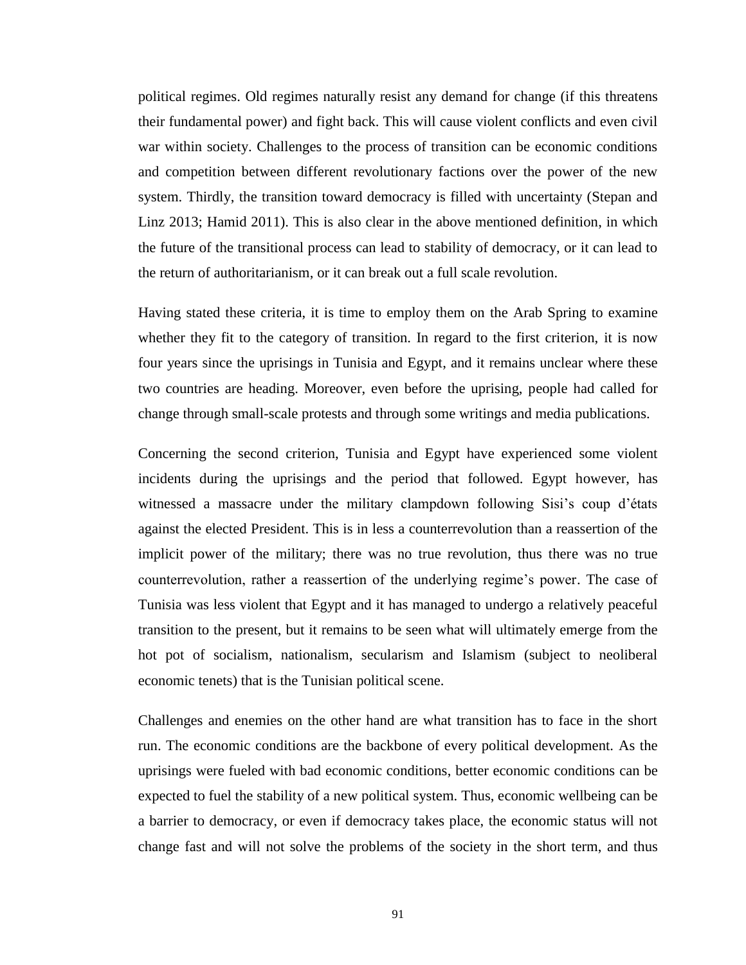political regimes. Old regimes naturally resist any demand for change (if this threatens their fundamental power) and fight back. This will cause violent conflicts and even civil war within society. Challenges to the process of transition can be economic conditions and competition between different revolutionary factions over the power of the new system. Thirdly, the transition toward democracy is filled with uncertainty (Stepan and Linz 2013; Hamid 2011). This is also clear in the above mentioned definition, in which the future of the transitional process can lead to stability of democracy, or it can lead to the return of authoritarianism, or it can break out a full scale revolution.

Having stated these criteria, it is time to employ them on the Arab Spring to examine whether they fit to the category of transition. In regard to the first criterion, it is now four years since the uprisings in Tunisia and Egypt, and it remains unclear where these two countries are heading. Moreover, even before the uprising, people had called for change through small-scale protests and through some writings and media publications.

Concerning the second criterion, Tunisia and Egypt have experienced some violent incidents during the uprisings and the period that followed. Egypt however, has witnessed a massacre under the military clampdown following Sisi's coup d'états against the elected President. This is in less a counterrevolution than a reassertion of the implicit power of the military; there was no true revolution, thus there was no true counterrevolution, rather a reassertion of the underlying regime's power. The case of Tunisia was less violent that Egypt and it has managed to undergo a relatively peaceful transition to the present, but it remains to be seen what will ultimately emerge from the hot pot of socialism, nationalism, secularism and Islamism (subject to neoliberal economic tenets) that is the Tunisian political scene.

Challenges and enemies on the other hand are what transition has to face in the short run. The economic conditions are the backbone of every political development. As the uprisings were fueled with bad economic conditions, better economic conditions can be expected to fuel the stability of a new political system. Thus, economic wellbeing can be a barrier to democracy, or even if democracy takes place, the economic status will not change fast and will not solve the problems of the society in the short term, and thus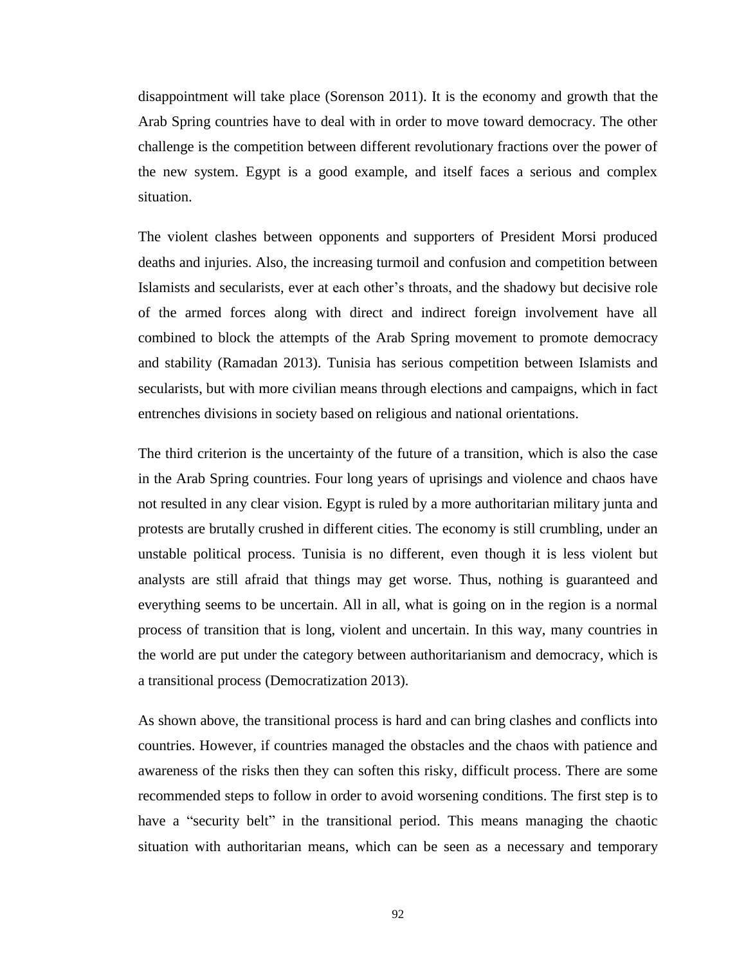disappointment will take place (Sorenson 2011). It is the economy and growth that the Arab Spring countries have to deal with in order to move toward democracy. The other challenge is the competition between different revolutionary fractions over the power of the new system. Egypt is a good example, and itself faces a serious and complex situation.

The violent clashes between opponents and supporters of President Morsi produced deaths and injuries. Also, the increasing turmoil and confusion and competition between Islamists and secularists, ever at each other's throats, and the shadowy but decisive role of the armed forces along with direct and indirect foreign involvement have all combined to block the attempts of the Arab Spring movement to promote democracy and stability (Ramadan 2013). Tunisia has serious competition between Islamists and secularists, but with more civilian means through elections and campaigns, which in fact entrenches divisions in society based on religious and national orientations.

The third criterion is the uncertainty of the future of a transition, which is also the case in the Arab Spring countries. Four long years of uprisings and violence and chaos have not resulted in any clear vision. Egypt is ruled by a more authoritarian military junta and protests are brutally crushed in different cities. The economy is still crumbling, under an unstable political process. Tunisia is no different, even though it is less violent but analysts are still afraid that things may get worse. Thus, nothing is guaranteed and everything seems to be uncertain. All in all, what is going on in the region is a normal process of transition that is long, violent and uncertain. In this way, many countries in the world are put under the category between authoritarianism and democracy, which is a transitional process (Democratization 2013).

As shown above, the transitional process is hard and can bring clashes and conflicts into countries. However, if countries managed the obstacles and the chaos with patience and awareness of the risks then they can soften this risky, difficult process. There are some recommended steps to follow in order to avoid worsening conditions. The first step is to have a "security belt" in the transitional period. This means managing the chaotic situation with authoritarian means, which can be seen as a necessary and temporary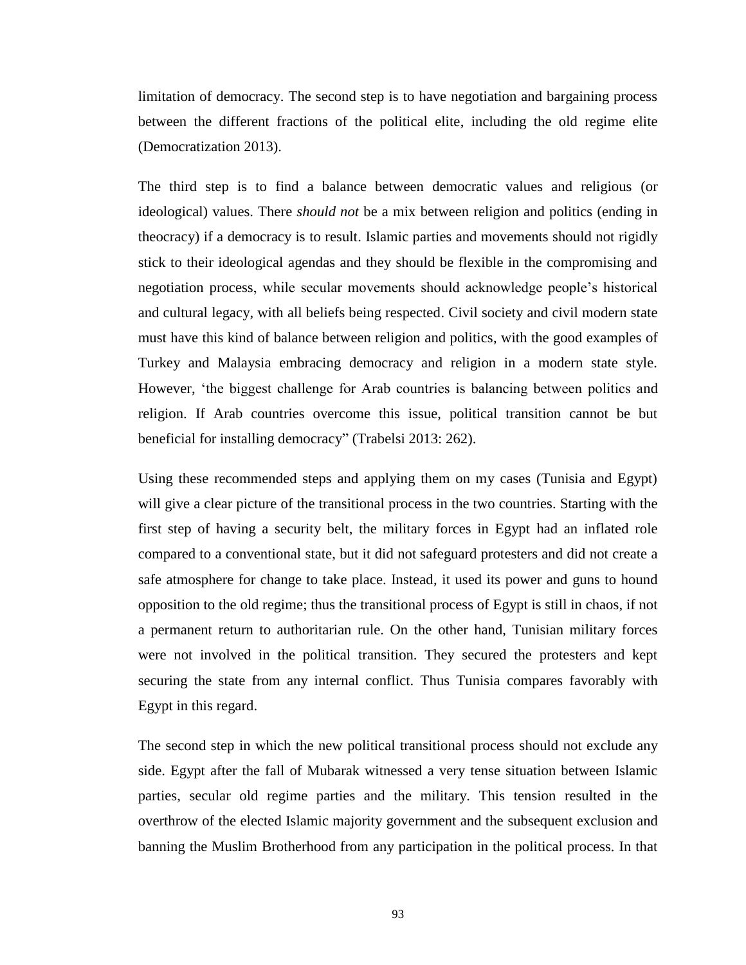limitation of democracy. The second step is to have negotiation and bargaining process between the different fractions of the political elite, including the old regime elite (Democratization 2013).

The third step is to find a balance between democratic values and religious (or ideological) values. There *should not* be a mix between religion and politics (ending in theocracy) if a democracy is to result. Islamic parties and movements should not rigidly stick to their ideological agendas and they should be flexible in the compromising and negotiation process, while secular movements should acknowledge people's historical and cultural legacy, with all beliefs being respected. Civil society and civil modern state must have this kind of balance between religion and politics, with the good examples of Turkey and Malaysia embracing democracy and religion in a modern state style. However, 'the biggest challenge for Arab countries is balancing between politics and religion. If Arab countries overcome this issue, political transition cannot be but beneficial for installing democracy" (Trabelsi 2013: 262).

Using these recommended steps and applying them on my cases (Tunisia and Egypt) will give a clear picture of the transitional process in the two countries. Starting with the first step of having a security belt, the military forces in Egypt had an inflated role compared to a conventional state, but it did not safeguard protesters and did not create a safe atmosphere for change to take place. Instead, it used its power and guns to hound opposition to the old regime; thus the transitional process of Egypt is still in chaos, if not a permanent return to authoritarian rule. On the other hand, Tunisian military forces were not involved in the political transition. They secured the protesters and kept securing the state from any internal conflict. Thus Tunisia compares favorably with Egypt in this regard.

The second step in which the new political transitional process should not exclude any side. Egypt after the fall of Mubarak witnessed a very tense situation between Islamic parties, secular old regime parties and the military. This tension resulted in the overthrow of the elected Islamic majority government and the subsequent exclusion and banning the Muslim Brotherhood from any participation in the political process. In that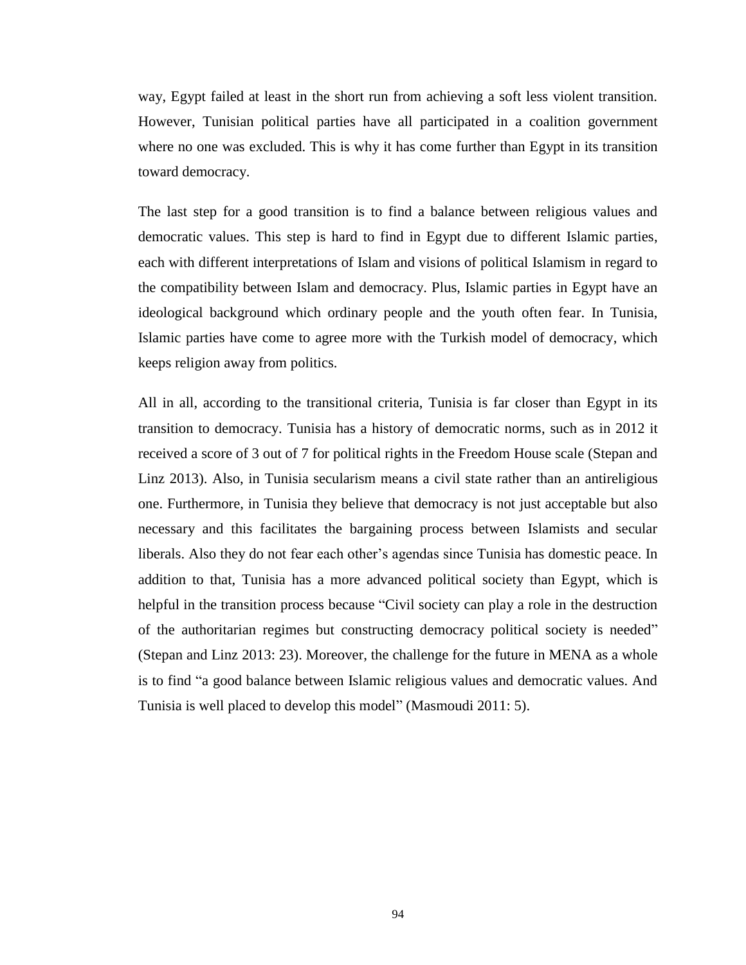way, Egypt failed at least in the short run from achieving a soft less violent transition. However, Tunisian political parties have all participated in a coalition government where no one was excluded. This is why it has come further than Egypt in its transition toward democracy.

The last step for a good transition is to find a balance between religious values and democratic values. This step is hard to find in Egypt due to different Islamic parties, each with different interpretations of Islam and visions of political Islamism in regard to the compatibility between Islam and democracy. Plus, Islamic parties in Egypt have an ideological background which ordinary people and the youth often fear. In Tunisia, Islamic parties have come to agree more with the Turkish model of democracy, which keeps religion away from politics.

All in all, according to the transitional criteria, Tunisia is far closer than Egypt in its transition to democracy. Tunisia has a history of democratic norms, such as in 2012 it received a score of 3 out of 7 for political rights in the Freedom House scale (Stepan and Linz 2013). Also, in Tunisia secularism means a civil state rather than an antireligious one. Furthermore, in Tunisia they believe that democracy is not just acceptable but also necessary and this facilitates the bargaining process between Islamists and secular liberals. Also they do not fear each other's agendas since Tunisia has domestic peace. In addition to that, Tunisia has a more advanced political society than Egypt, which is helpful in the transition process because "Civil society can play a role in the destruction of the authoritarian regimes but constructing democracy political society is needed" (Stepan and Linz 2013: 23). Moreover, the challenge for the future in MENA as a whole is to find "a good balance between Islamic religious values and democratic values. And Tunisia is well placed to develop this model" (Masmoudi 2011: 5).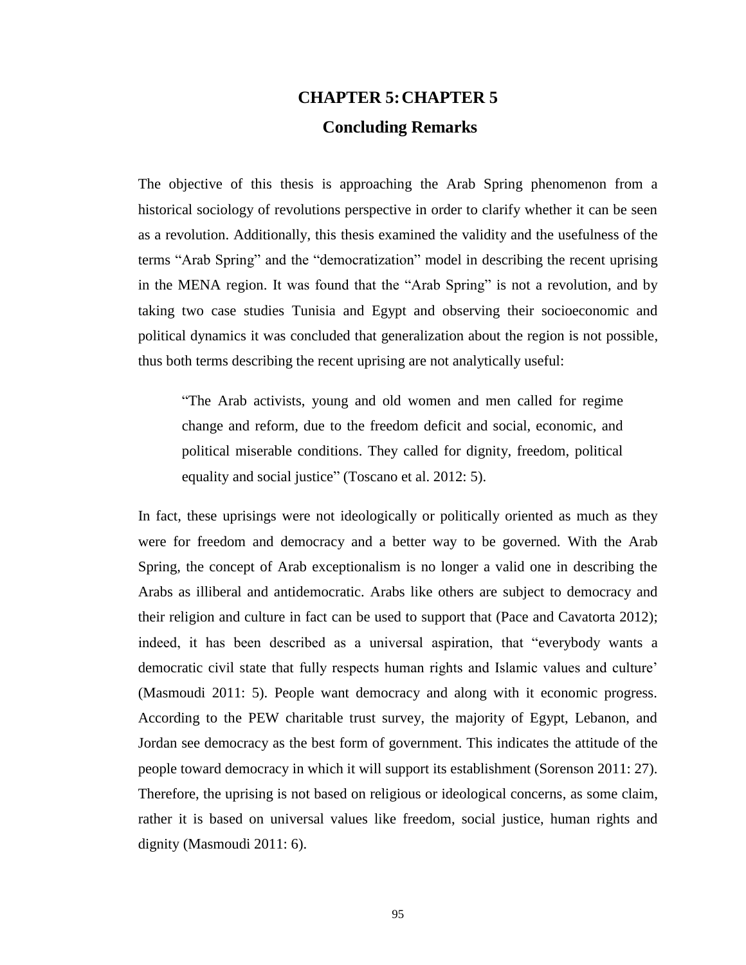# **CHAPTER 5:CHAPTER 5 Concluding Remarks**

The objective of this thesis is approaching the Arab Spring phenomenon from a historical sociology of revolutions perspective in order to clarify whether it can be seen as a revolution. Additionally, this thesis examined the validity and the usefulness of the terms "Arab Spring" and the "democratization" model in describing the recent uprising in the MENA region. It was found that the "Arab Spring" is not a revolution, and by taking two case studies Tunisia and Egypt and observing their socioeconomic and political dynamics it was concluded that generalization about the region is not possible, thus both terms describing the recent uprising are not analytically useful:

"The Arab activists, young and old women and men called for regime change and reform, due to the freedom deficit and social, economic, and political miserable conditions. They called for dignity, freedom, political equality and social justice" (Toscano et al. 2012: 5).

In fact, these uprisings were not ideologically or politically oriented as much as they were for freedom and democracy and a better way to be governed. With the Arab Spring, the concept of Arab exceptionalism is no longer a valid one in describing the Arabs as illiberal and antidemocratic. Arabs like others are subject to democracy and their religion and culture in fact can be used to support that (Pace and Cavatorta 2012); indeed, it has been described as a universal aspiration, that "everybody wants a democratic civil state that fully respects human rights and Islamic values and culture' (Masmoudi 2011: 5). People want democracy and along with it economic progress. According to the PEW charitable trust survey, the majority of Egypt, Lebanon, and Jordan see democracy as the best form of government. This indicates the attitude of the people toward democracy in which it will support its establishment (Sorenson 2011: 27). Therefore, the uprising is not based on religious or ideological concerns, as some claim, rather it is based on universal values like freedom, social justice, human rights and dignity (Masmoudi 2011: 6).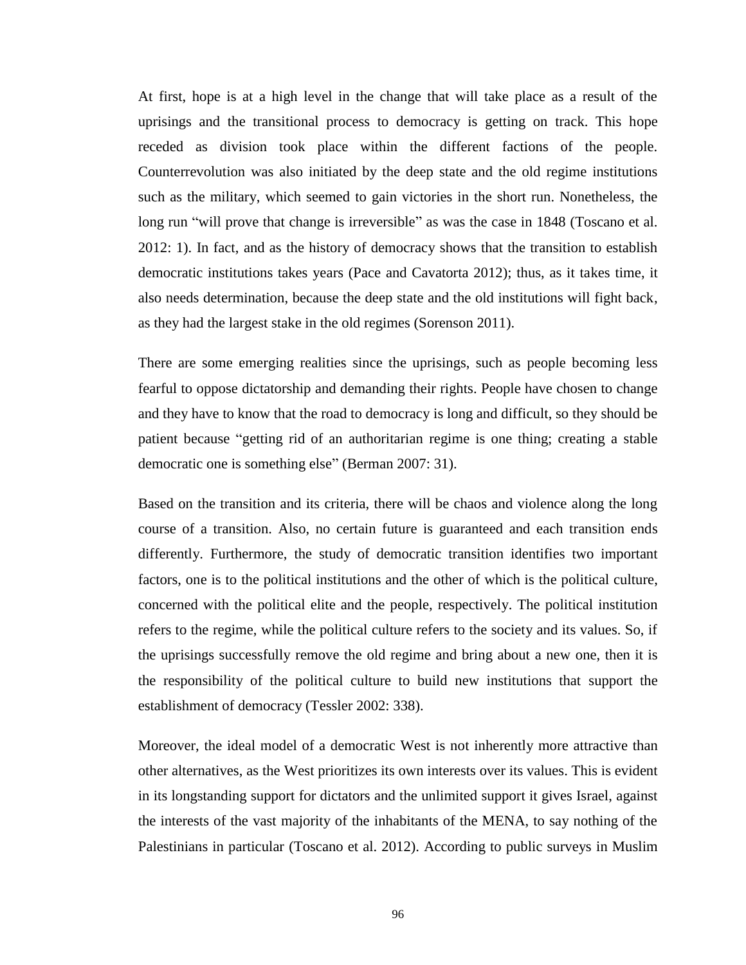At first, hope is at a high level in the change that will take place as a result of the uprisings and the transitional process to democracy is getting on track. This hope receded as division took place within the different factions of the people. Counterrevolution was also initiated by the deep state and the old regime institutions such as the military, which seemed to gain victories in the short run. Nonetheless, the long run "will prove that change is irreversible" as was the case in 1848 (Toscano et al. 2012: 1). In fact, and as the history of democracy shows that the transition to establish democratic institutions takes years (Pace and Cavatorta 2012); thus, as it takes time, it also needs determination, because the deep state and the old institutions will fight back, as they had the largest stake in the old regimes (Sorenson 2011).

There are some emerging realities since the uprisings, such as people becoming less fearful to oppose dictatorship and demanding their rights. People have chosen to change and they have to know that the road to democracy is long and difficult, so they should be patient because "getting rid of an authoritarian regime is one thing; creating a stable democratic one is something else" (Berman 2007: 31).

Based on the transition and its criteria, there will be chaos and violence along the long course of a transition. Also, no certain future is guaranteed and each transition ends differently. Furthermore, the study of democratic transition identifies two important factors, one is to the political institutions and the other of which is the political culture, concerned with the political elite and the people, respectively. The political institution refers to the regime, while the political culture refers to the society and its values. So, if the uprisings successfully remove the old regime and bring about a new one, then it is the responsibility of the political culture to build new institutions that support the establishment of democracy (Tessler 2002: 338).

Moreover, the ideal model of a democratic West is not inherently more attractive than other alternatives, as the West prioritizes its own interests over its values. This is evident in its longstanding support for dictators and the unlimited support it gives Israel, against the interests of the vast majority of the inhabitants of the MENA, to say nothing of the Palestinians in particular (Toscano et al. 2012). According to public surveys in Muslim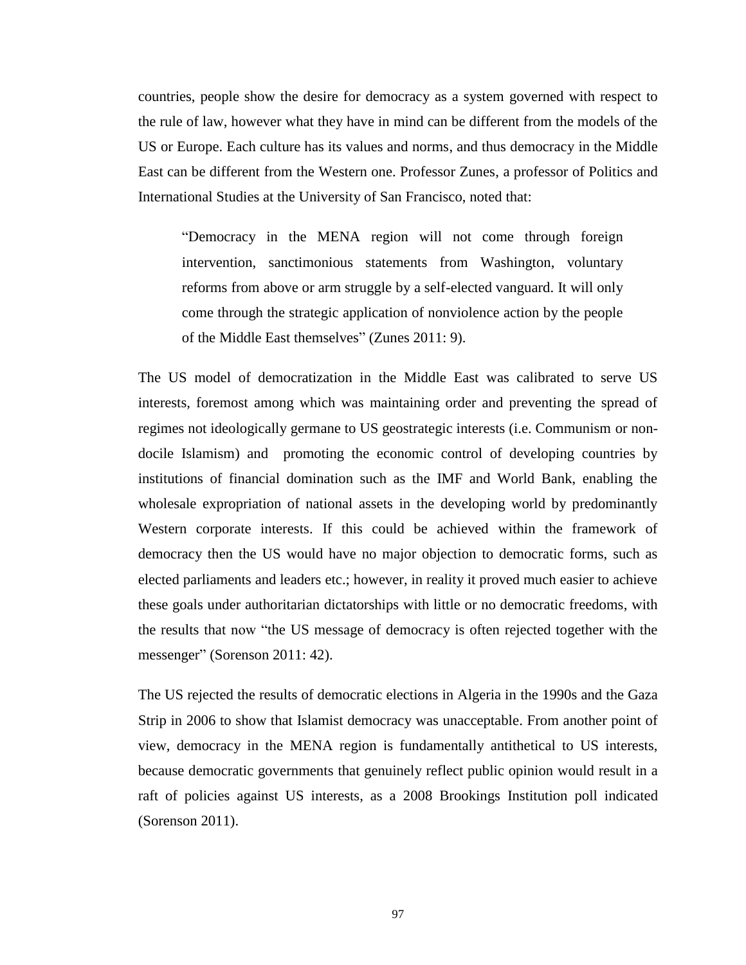countries, people show the desire for democracy as a system governed with respect to the rule of law, however what they have in mind can be different from the models of the US or Europe. Each culture has its values and norms, and thus democracy in the Middle East can be different from the Western one. Professor Zunes, a professor of Politics and International Studies at the University of San Francisco, noted that:

"Democracy in the MENA region will not come through foreign intervention, sanctimonious statements from Washington, voluntary reforms from above or arm struggle by a self-elected vanguard. It will only come through the strategic application of nonviolence action by the people of the Middle East themselves" (Zunes 2011: 9).

The US model of democratization in the Middle East was calibrated to serve US interests, foremost among which was maintaining order and preventing the spread of regimes not ideologically germane to US geostrategic interests (i.e. Communism or nondocile Islamism) and promoting the economic control of developing countries by institutions of financial domination such as the IMF and World Bank, enabling the wholesale expropriation of national assets in the developing world by predominantly Western corporate interests. If this could be achieved within the framework of democracy then the US would have no major objection to democratic forms, such as elected parliaments and leaders etc.; however, in reality it proved much easier to achieve these goals under authoritarian dictatorships with little or no democratic freedoms, with the results that now "the US message of democracy is often rejected together with the messenger" (Sorenson 2011: 42).

The US rejected the results of democratic elections in Algeria in the 1990s and the Gaza Strip in 2006 to show that Islamist democracy was unacceptable. From another point of view, democracy in the MENA region is fundamentally antithetical to US interests, because democratic governments that genuinely reflect public opinion would result in a raft of policies against US interests, as a 2008 Brookings Institution poll indicated (Sorenson 2011).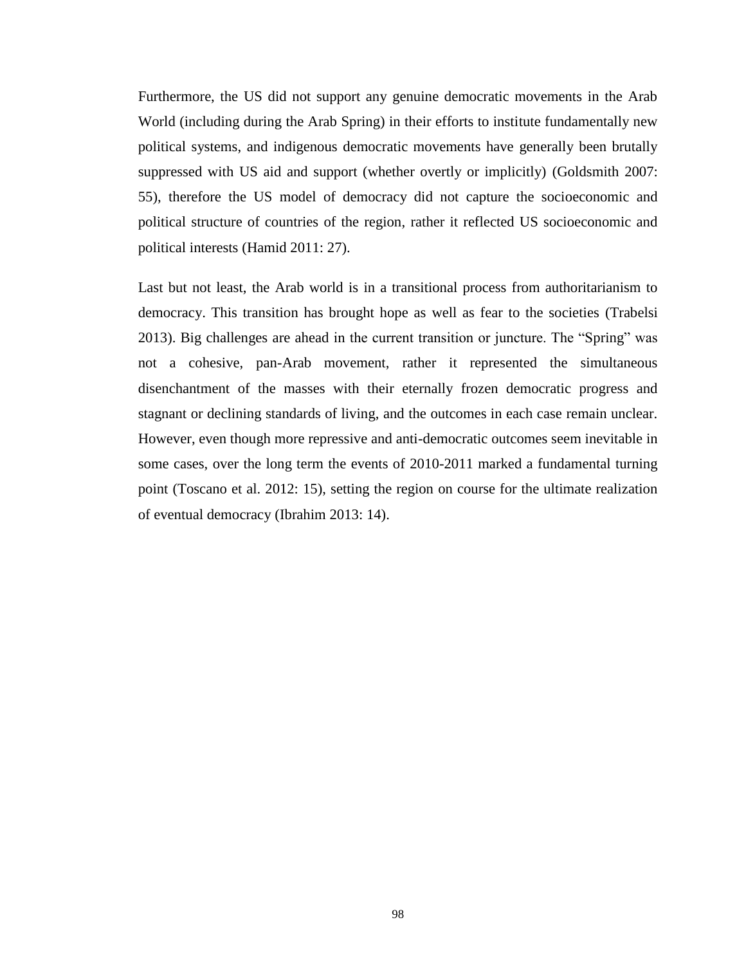Furthermore, the US did not support any genuine democratic movements in the Arab World (including during the Arab Spring) in their efforts to institute fundamentally new political systems, and indigenous democratic movements have generally been brutally suppressed with US aid and support (whether overtly or implicitly) (Goldsmith 2007: 55), therefore the US model of democracy did not capture the socioeconomic and political structure of countries of the region, rather it reflected US socioeconomic and political interests (Hamid 2011: 27).

Last but not least, the Arab world is in a transitional process from authoritarianism to democracy. This transition has brought hope as well as fear to the societies (Trabelsi 2013). Big challenges are ahead in the current transition or juncture. The "Spring" was not a cohesive, pan-Arab movement, rather it represented the simultaneous disenchantment of the masses with their eternally frozen democratic progress and stagnant or declining standards of living, and the outcomes in each case remain unclear. However, even though more repressive and anti-democratic outcomes seem inevitable in some cases, over the long term the events of 2010-2011 marked a fundamental turning point (Toscano et al. 2012: 15), setting the region on course for the ultimate realization of eventual democracy (Ibrahim 2013: 14).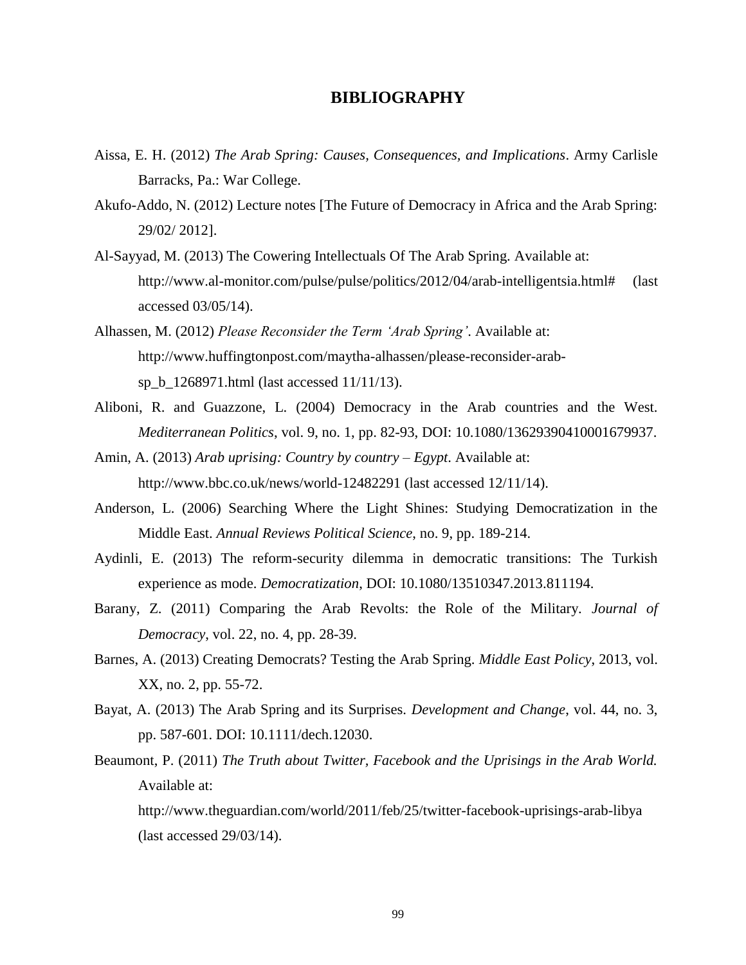#### **BIBLIOGRAPHY**

- Aissa, E. H. (2012) *The Arab Spring: Causes, Consequences, and Implications*. Army Carlisle Barracks, Pa.: War College.
- Akufo-Addo, N. (2012) Lecture notes [The Future of Democracy in Africa and the Arab Spring: 29/02/ 2012].
- Al-Sayyad, M. (2013) The Cowering Intellectuals Of The Arab Spring. Available at: [http://www.al-monitor.com/pulse/pulse/politics/2012/04/arab-intelligentsia.html#](http://www.al-monitor.com/pulse/pulse/politics/2012/04/arab-intelligentsia.html) (last accessed 03/05/14).
- Alhassen, M. (2012) *Please Reconsider the Term 'Arab Spring'*. Available at: [http://www.huffingtonpost.com/maytha-alhassen/please-reconsider-arab](http://www.huffingtonpost.com/maytha-alhassen/please-reconsider-arab-sp_b_1268971.html)[sp\\_b\\_1268971.html](http://www.huffingtonpost.com/maytha-alhassen/please-reconsider-arab-sp_b_1268971.html) (last accessed 11/11/13).
- Aliboni, R. and Guazzone, L. (2004) Democracy in the Arab countries and the West. *Mediterranean Politics*, vol. 9, no. 1, pp. 82-93, DOI: 10.1080/13629390410001679937.
- Amin, A. (2013) *Arab uprising: Country by country – Egypt*. Available at: <http://www.bbc.co.uk/news/world-12482291> (last accessed 12/11/14).
- Anderson, L. (2006) Searching Where the Light Shines: Studying Democratization in the Middle East. *Annual Reviews Political Science*, no. 9, pp. 189-214.
- Aydinli, E. (2013) The reform-security dilemma in democratic transitions: The Turkish experience as mode. *Democratization*, DOI: 10.1080/13510347.2013.811194.
- Barany, Z. (2011) Comparing the Arab Revolts: the Role of the Military. *Journal of Democracy*, vol. 22, no. 4, pp. 28-39.
- Barnes, A. (2013) Creating Democrats? Testing the Arab Spring. *Middle East Policy*, 2013, vol. XX, no. 2, pp. 55-72.
- Bayat, A. (2013) The Arab Spring and its Surprises. *Development and Change*, vol. 44, no. 3, pp. 587-601. DOI: 10.1111/dech.12030.
- Beaumont, P. (2011) *The Truth about Twitter, Facebook and the Uprisings in the Arab World.*  Available at:

<http://www.theguardian.com/world/2011/feb/25/twitter-facebook-uprisings-arab-libya> (last accessed 29/03/14).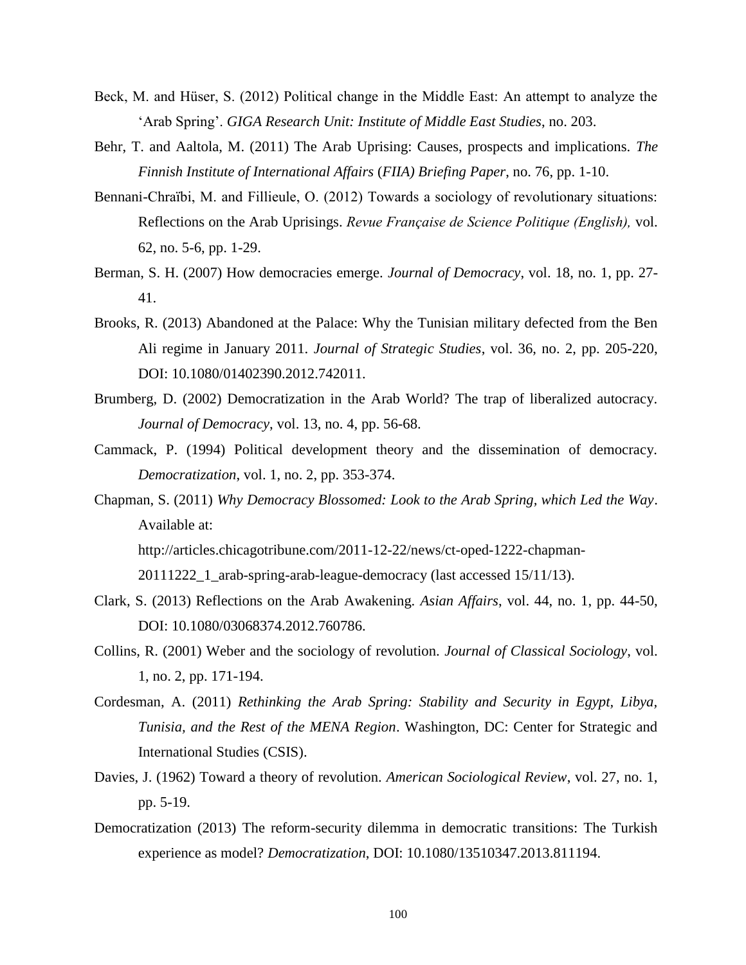- Beck, M. and Hüser, S. (2012) Political change in the Middle East: An attempt to analyze the 'Arab Spring'. *GIGA Research Unit: Institute of Middle East Studies*, no. 203.
- Behr, T. and Aaltola, M. (2011) The Arab Uprising: Causes, prospects and implications. *The Finnish Institute of International Affairs* (*FIIA) Briefing Paper*, no. 76, pp. 1-10.
- Bennani-Chraïbi, M. and Fillieule, O. (2012) Towards a sociology of revolutionary situations: Reflections on the Arab Uprisings. *Revue Française de Science Politique (English),* vol. 62, no. 5-6, pp. 1-29.
- Berman, S. H. (2007) How democracies emerge. *Journal of Democracy*, vol. 18, no. 1, pp. 27- 41.
- Brooks, R. (2013) Abandoned at the Palace: Why the Tunisian military defected from the Ben Ali regime in January 2011. *Journal of Strategic Studies*, vol. 36, no. 2, pp. 205-220, DOI: 10.1080/01402390.2012.742011.
- Brumberg, D. (2002) Democratization in the Arab World? The trap of liberalized autocracy. *Journal of Democracy*, vol. 13, no. 4, pp. 56-68.
- Cammack, P. (1994) Political development theory and the dissemination of democracy. *Democratization*, vol. 1, no. 2, pp. 353-374.
- Chapman, S. (2011) *Why Democracy Blossomed: Look to the Arab Spring, which Led the Way*. Available at:

[http://articles.chicagotribune.com/2011-12-22/news/ct-oped-1222-chapman-](http://articles.chicagotribune.com/2011-12-22/news/ct-oped-1222-chapman-20111222_1_arab-spring-arab-league-democracy)

[20111222\\_1\\_arab-spring-arab-league-democracy](http://articles.chicagotribune.com/2011-12-22/news/ct-oped-1222-chapman-20111222_1_arab-spring-arab-league-democracy) (last accessed 15/11/13).

- Clark, S. (2013) Reflections on the Arab Awakening. *Asian Affairs*, vol. 44, no. 1, pp. 44-50, DOI: 10.1080/03068374.2012.760786.
- Collins, R. (2001) Weber and the sociology of revolution. *Journal of Classical Sociology*, vol. 1, no. 2, pp. 171-194.
- Cordesman, A. (2011) *Rethinking the Arab Spring: Stability and Security in Egypt, Libya, Tunisia, and the Rest of the MENA Region*. Washington, DC: Center for Strategic and International Studies (CSIS).
- Davies, J. (1962) Toward a theory of revolution. *American Sociological Review*, vol. 27, no. 1, pp. 5-19.
- Democratization (2013) The reform-security dilemma in democratic transitions: The Turkish experience as model? *Democratization*, DOI: 10.1080/13510347.2013.811194.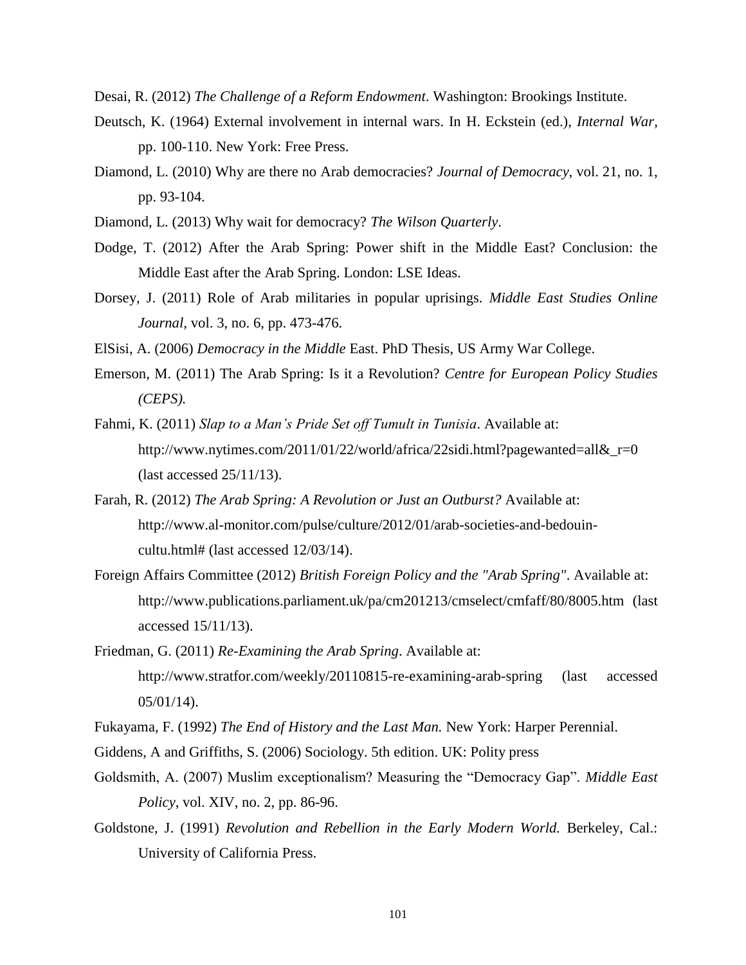Desai, R. (2012) *The Challenge of a Reform Endowment*. Washington: Brookings Institute.

- Deutsch, K. (1964) External involvement in internal wars. In H. Eckstein (ed.), *Internal War*, pp. 100-110. New York: Free Press.
- Diamond, L. (2010) Why are there no Arab democracies? *Journal of Democracy*, vol. 21, no. 1, pp. 93-104.
- Diamond, L. (2013) Why wait for democracy? *The Wilson Quarterly*.
- Dodge, T. (2012) After the Arab Spring: Power shift in the Middle East? Conclusion: the Middle East after the Arab Spring. London: LSE Ideas.
- Dorsey, J. (2011) Role of Arab militaries in popular uprisings. *Middle East Studies Online Journal*, vol. 3, no. 6, pp. 473-476.

ElSisi, A. (2006) *Democracy in the Middle* East. PhD Thesis, US Army War College.

- Emerson, M. (2011) The Arab Spring: Is it a Revolution? *Centre for European Policy Studies (CEPS).*
- Fahmi, K. (2011) *Slap to a Man's Pride Set off Tumult in Tunisia*. Available at: http://www.nytimes.com/2011/01/22/world/africa/22sidi.html?pagewanted=all& $r=0$ (last accessed 25/11/13).
- Farah, R. (2012) *The Arab Spring: A Revolution or Just an Outburst?* Available at: [http://www.al-monitor.com/pulse/culture/2012/01/arab-societies-and-bedouin](http://www.al-monitor.com/pulse/culture/2012/01/arab-societies-and-bedouin-cultu.html)[cultu.html#](http://www.al-monitor.com/pulse/culture/2012/01/arab-societies-and-bedouin-cultu.html) (last accessed 12/03/14).
- Foreign Affairs Committee (2012) *British Foreign Policy and the "Arab Spring"*. Available at: <http://www.publications.parliament.uk/pa/cm201213/cmselect/cmfaff/80/8005.htm> (last accessed 15/11/13).
- Friedman, G. (2011) *Re-Examining the Arab Spring*. Available at: <http://www.stratfor.com/weekly/20110815-re-examining-arab-spring> (last accessed 05/01/14).
- Fukayama, F. (1992) *The End of History and the Last Man.* New York: Harper Perennial.
- Giddens, A and Griffiths, S. (2006) Sociology. 5th edition. UK: Polity press
- Goldsmith, A. (2007) Muslim exceptionalism? Measuring the "Democracy Gap". *Middle East Policy*, vol. XIV, no. 2, pp. 86-96.
- Goldstone, J. (1991) *Revolution and Rebellion in the Early Modern World.* Berkeley, Cal.: University of California Press.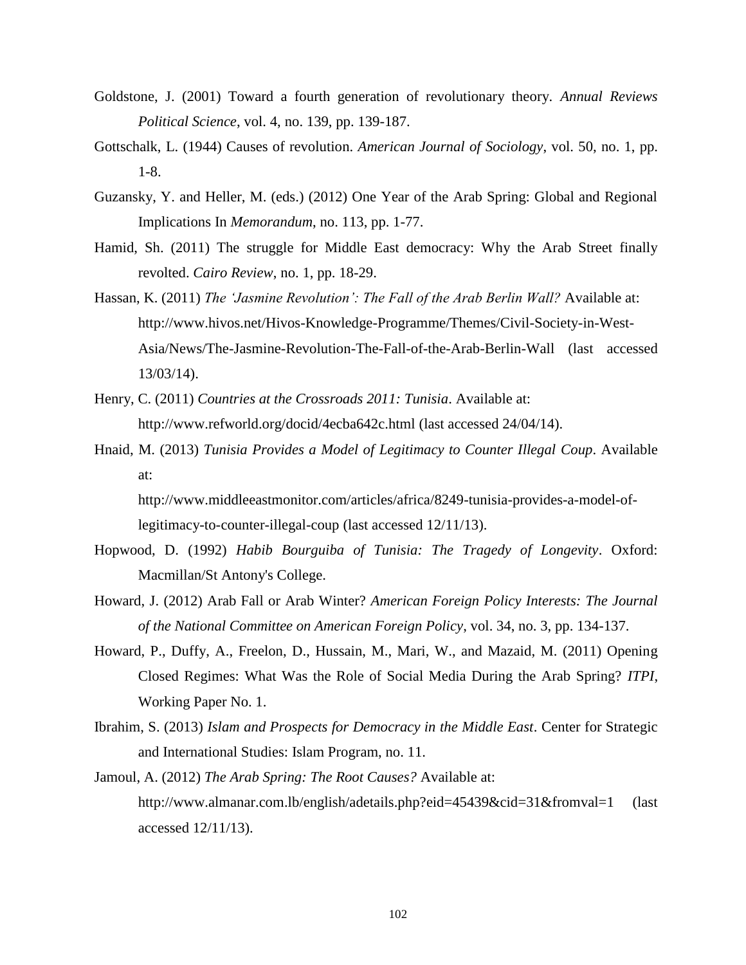- Goldstone, J. (2001) Toward a fourth generation of revolutionary theory. *Annual Reviews Political Science*, vol. 4, no. 139, pp. 139-187.
- Gottschalk, L. (1944) Causes of revolution. *American Journal of Sociology*, vol. 50, no. 1, pp. 1-8.
- Guzansky, Y. and Heller, M. (eds.) (2012) One Year of the Arab Spring: Global and Regional Implications In *Memorandum*, no. 113, pp. 1-77.
- Hamid, Sh. (2011) The struggle for Middle East democracy: Why the Arab Street finally revolted. *Cairo Review*, no. 1, pp. 18-29.
- Hassan, K. (2011) *The 'Jasmine Revolution': The Fall of the Arab Berlin Wall?* Available at: [http://www.hivos.net/Hivos-Knowledge-Programme/Themes/Civil-Society-in-West-](http://www.hivos.net/Hivos-Knowledge-Programme/Themes/Civil-Society-in-West-Asia/News/The-Jasmine-Revolution-The-Fall-of-the-Arab-Berlin-Wall)[Asia/News/The-Jasmine-Revolution-The-Fall-of-the-Arab-Berlin-Wall](http://www.hivos.net/Hivos-Knowledge-Programme/Themes/Civil-Society-in-West-Asia/News/The-Jasmine-Revolution-The-Fall-of-the-Arab-Berlin-Wall) (last accessed 13/03/14).
- Henry, C. (2011) *Countries at the Crossroads 2011: Tunisia*. Available at: <http://www.refworld.org/docid/4ecba642c.html> (last accessed 24/04/14).
- Hnaid, M. (2013) *Tunisia Provides a Model of Legitimacy to Counter Illegal Coup*. Available at:

[http://www.middleeastmonitor.com/articles/africa/8249-tunisia-provides-a-model-of](http://www.middleeastmonitor.com/articles/africa/8249-tunisia-provides-a-model-of-legitimacy-to-counter-illegal-coup)[legitimacy-to-counter-illegal-coup](http://www.middleeastmonitor.com/articles/africa/8249-tunisia-provides-a-model-of-legitimacy-to-counter-illegal-coup) (last accessed 12/11/13).

- Hopwood, D. (1992) *Habib Bourguiba of Tunisia: The Tragedy of Longevity*. Oxford: Macmillan/St Antony's College.
- Howard, J. (2012) Arab Fall or Arab Winter? *American Foreign Policy Interests: The Journal of the National Committee on American Foreign Policy*, vol. 34, no. 3, pp. 134-137.
- Howard, P., Duffy, A., Freelon, D., Hussain, M., Mari, W., and Mazaid, M. (2011) Opening Closed Regimes: What Was the Role of Social Media During the Arab Spring? *ITPI*, Working Paper No. 1.
- Ibrahim, S. (2013) *Islam and Prospects for Democracy in the Middle East*. Center for Strategic and International Studies: Islam Program, no. 11.
- Jamoul, A. (2012) *The Arab Spring: The Root Causes?* Available at: <http://www.almanar.com.lb/english/adetails.php?eid=45439&cid=31&fromval=1> (last accessed 12/11/13).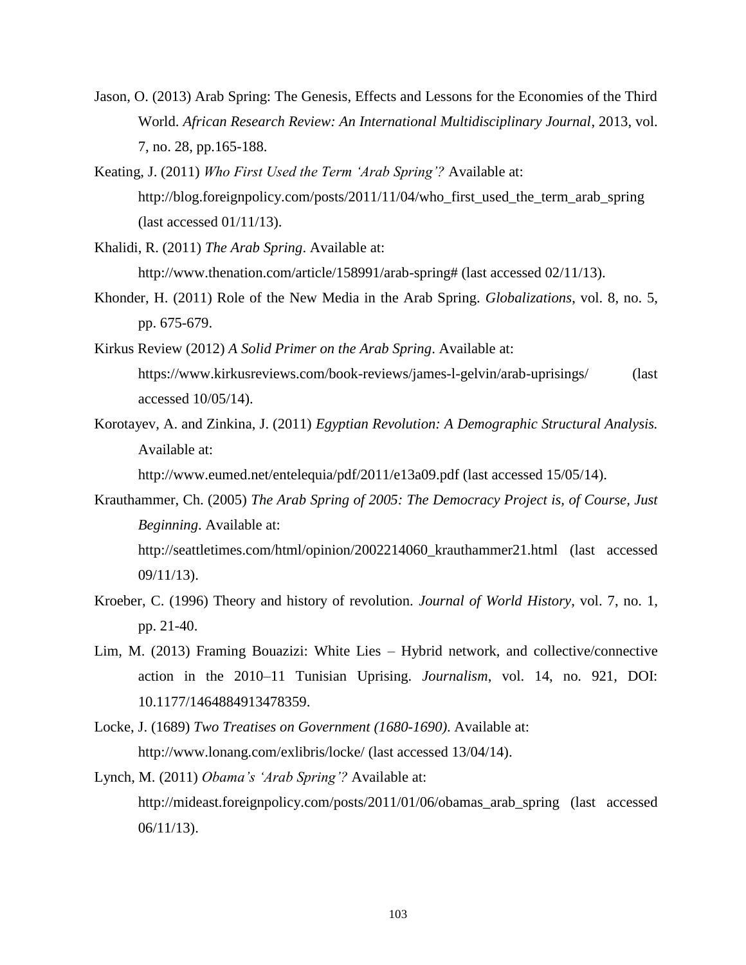- Jason, O. (2013) Arab Spring: The Genesis, Effects and Lessons for the Economies of the Third World. *African Research Review: An International Multidisciplinary Journal*, 2013, vol. 7, no. 28, pp.165-188.
- Keating, J. (2011) *Who First Used the Term 'Arab Spring'?* Available at: [http://blog.foreignpolicy.com/posts/2011/11/04/who\\_first\\_used\\_the\\_term\\_arab\\_spring](http://blog.foreignpolicy.com/posts/2011/11/04/who_first_used_the_term_arab_spring) (last accessed 01/11/13).
- Khalidi, R. (2011) *The Arab Spring*. Available at:

[http://www.thenation.com/article/158991/arab-spring#](http://www.thenation.com/article/158991/arab-spring) (last accessed 02/11/13).

- Khonder, H. (2011) Role of the New Media in the Arab Spring. *Globalizations*, vol. 8, no. 5, pp. 675-679.
- Kirkus Review (2012) *A Solid Primer on the Arab Spring*. Available at: <https://www.kirkusreviews.com/book-reviews/james-l-gelvin/arab-uprisings/> (last accessed 10/05/14).
- Korotayev, A. and Zinkina, J. (2011) *Egyptian Revolution: A Demographic Structural Analysis.*  Available at:

<http://www.eumed.net/entelequia/pdf/2011/e13a09.pdf> (last accessed 15/05/14).

- Krauthammer, Ch. (2005) *The Arab Spring of 2005: The Democracy Project is, of Course, Just Beginning*. Available at: [http://seattletimes.com/html/opinion/2002214060\\_krauthammer21.html](http://seattletimes.com/html/opinion/2002214060_krauthammer21.html) (last accessed 09/11/13).
- Kroeber, C. (1996) Theory and history of revolution. *Journal of World History*, vol. 7, no. 1, pp. 21-40.
- Lim, M. (2013) Framing Bouazizi: White Lies Hybrid network, and collective/connective action in the 2010–11 Tunisian Uprising. *Journalism*, vol. 14, no. 921, DOI: 10.1177/1464884913478359.
- Locke, J. (1689) *Two Treatises on Government (1680-1690)*. Available at: <http://www.lonang.com/exlibris/locke/> (last accessed 13/04/14).
- Lynch, M. (2011) *Obama's 'Arab Spring'?* Available at: [http://mideast.foreignpolicy.com/posts/2011/01/06/obamas\\_arab\\_spring](http://mideast.foreignpolicy.com/posts/2011/01/06/obamas_arab_spring) (last accessed 06/11/13).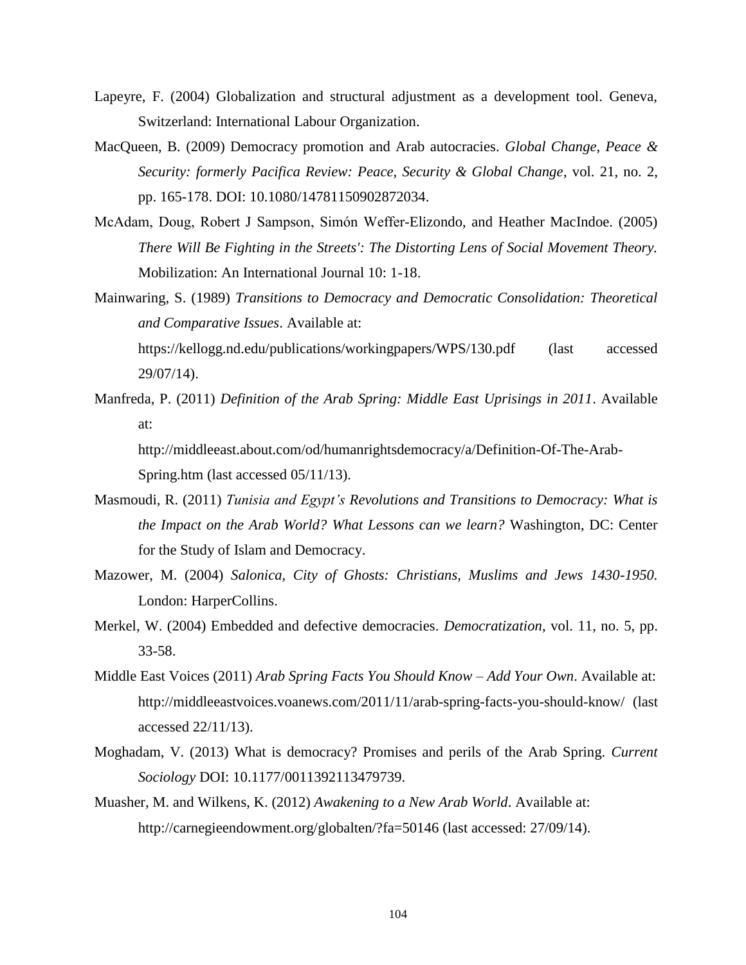- Lapeyre, F. (2004) Globalization and structural adjustment as a development tool. Geneva, Switzerland: International Labour Organization.
- MacQueen, B. (2009) Democracy promotion and Arab autocracies. *Global Change, Peace & Security: formerly Pacifica Review: Peace, Security & Global Change*, vol. 21, no. 2, pp. 165-178. DOI: 10.1080/14781150902872034.
- McAdam, Doug, Robert J Sampson, Simón Weffer-Elizondo, and Heather MacIndoe. (2005) *There Will Be Fighting in the Streets': The Distorting Lens of Social Movement Theory.* Mobilization: An International Journal 10: 1-18.
- Mainwaring, S. (1989) *Transitions to Democracy and Democratic Consolidation: Theoretical and Comparative Issues*. Available at:

<https://kellogg.nd.edu/publications/workingpapers/WPS/130.pdf> (last accessed 29/07/14).

Manfreda, P. (2011) *Definition of the Arab Spring: Middle East Uprisings in 2011*. Available at:

[http://middleeast.about.com/od/humanrightsdemocracy/a/Definition-Of-The-Arab-](http://middleeast.about.com/od/humanrightsdemocracy/a/Definition-Of-The-Arab-Spring.htm)[Spring.htm](http://middleeast.about.com/od/humanrightsdemocracy/a/Definition-Of-The-Arab-Spring.htm) (last accessed 05/11/13).

- Masmoudi, R. (2011) *Tunisia and Egypt's Revolutions and Transitions to Democracy: What is the Impact on the Arab World? What Lessons can we learn?* Washington, DC: Center for the Study of Islam and Democracy.
- Mazower, M. (2004) *Salonica, City of Ghosts: Christians, Muslims and Jews 1430-1950.* London: HarperCollins.
- Merkel, W. (2004) Embedded and defective democracies. *Democratization*, vol. 11, no. 5, pp. 33-58.
- Middle East Voices (2011) *Arab Spring Facts You Should Know – Add Your Own*. Available at: <http://middleeastvoices.voanews.com/2011/11/arab-spring-facts-you-should-know/> (last accessed 22/11/13).
- Moghadam, V. (2013) What is democracy? Promises and perils of the Arab Spring. *Current Sociology* DOI: 10.1177/0011392113479739.
- Muasher, M. and Wilkens, K. (2012) *Awakening to a New Arab World*. Available at: <http://carnegieendowment.org/globalten/?fa=50146> (last accessed: 27/09/14).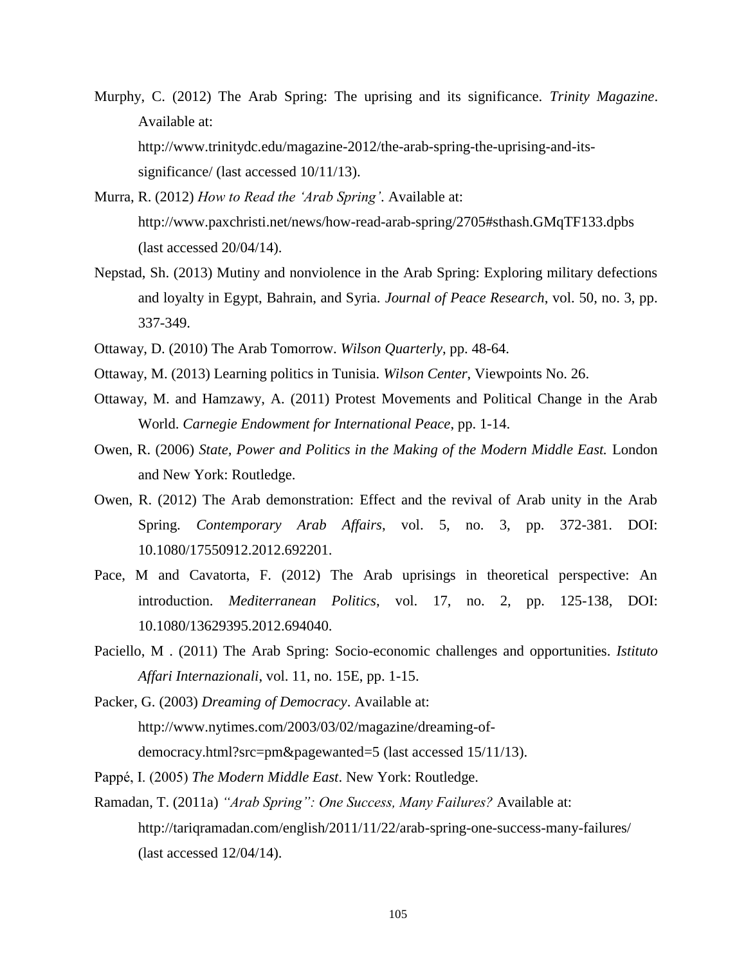- Murphy, C. (2012) The Arab Spring: The uprising and its significance. *Trinity Magazine*. Available at: [http://www.trinitydc.edu/magazine-2012/the-arab-spring-the-uprising-and-its](http://www.trinitydc.edu/magazine-2012/the-arab-spring-the-uprising-and-its-significance/)[significance/](http://www.trinitydc.edu/magazine-2012/the-arab-spring-the-uprising-and-its-significance/) (last accessed 10/11/13).
- Murra, R. (2012) *How to Read the 'Arab Spring'*. Available at: <http://www.paxchristi.net/news/how-read-arab-spring/2705#sthash.GMqTF133.dpbs> (last accessed 20/04/14).
- Nepstad, Sh. (2013) Mutiny and nonviolence in the Arab Spring: Exploring military defections and loyalty in Egypt, Bahrain, and Syria. *Journal of Peace Research*, vol. 50, no. 3, pp. 337-349.
- Ottaway, D. (2010) The Arab Tomorrow. *Wilson Quarterly*, pp. 48-64.
- Ottaway, M. (2013) Learning politics in Tunisia. *Wilson Center*, Viewpoints No. 26.
- Ottaway, M. and Hamzawy, A. (2011) Protest Movements and Political Change in the Arab World. *Carnegie Endowment for International Peace*, pp. 1-14.
- Owen, R. (2006) *State, Power and Politics in the Making of the Modern Middle East.* London and New York: Routledge.
- Owen, R. (2012) The Arab demonstration: Effect and the revival of Arab unity in the Arab Spring. *Contemporary Arab Affairs*, vol. 5, no. 3, pp. 372-381. DOI: 10.1080/17550912.2012.692201.
- Pace, M and Cavatorta, F. (2012) The Arab uprisings in theoretical perspective: An introduction. *Mediterranean Politics*, vol. 17, no. 2, pp. 125-138, DOI: 10.1080/13629395.2012.694040.
- Paciello, M . (2011) The Arab Spring: Socio-economic challenges and opportunities. *Istituto Affari Internazionali*, vol. 11, no. 15E, pp. 1-15.
- Packer, G. (2003) *Dreaming of Democracy*. Available at: [http://www.nytimes.com/2003/03/02/magazine/dreaming-of](http://www.nytimes.com/2003/03/02/magazine/dreaming-of-democracy.html?src=pm&pagewanted=5)[democracy.html?src=pm&pagewanted=5](http://www.nytimes.com/2003/03/02/magazine/dreaming-of-democracy.html?src=pm&pagewanted=5) (last accessed 15/11/13).
- Pappé, I. (2005) *The Modern Middle East*. New York: Routledge.
- Ramadan, T. (2011a) *"Arab Spring": One Success, Many Failures?* Available at: <http://tariqramadan.com/english/2011/11/22/arab-spring-one-success-many-failures/> (last accessed 12/04/14).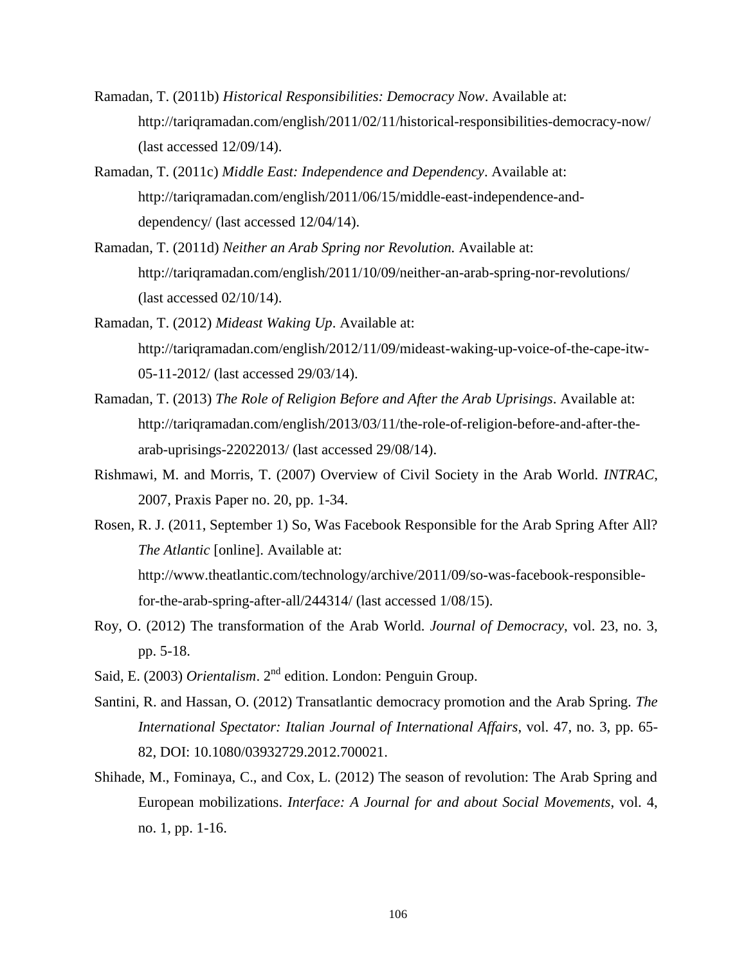- Ramadan, T. (2011b) *Historical Responsibilities: Democracy Now*. Available at: <http://tariqramadan.com/english/2011/02/11/historical-responsibilities-democracy-now/> (last accessed 12/09/14).
- Ramadan, T. (2011c) *Middle East: Independence and Dependency*. Available at: [http://tariqramadan.com/english/2011/06/15/middle-east-independence-and](http://tariqramadan.com/english/2011/06/15/middle-east-independence-and-dependency/)[dependency/](http://tariqramadan.com/english/2011/06/15/middle-east-independence-and-dependency/) (last accessed 12/04/14).
- Ramadan, T. (2011d) *Neither an Arab Spring nor Revolution.* Available at: <http://tariqramadan.com/english/2011/10/09/neither-an-arab-spring-nor-revolutions/> (last accessed 02/10/14).
- Ramadan, T. (2012) *Mideast Waking Up*. Available at: [http://tariqramadan.com/english/2012/11/09/mideast-waking-up-voice-of-the-cape-itw-](http://tariqramadan.com/english/2012/11/09/mideast-waking-up-voice-of-the-cape-itw-05-11-2012/)[05-11-2012/](http://tariqramadan.com/english/2012/11/09/mideast-waking-up-voice-of-the-cape-itw-05-11-2012/) (last accessed 29/03/14).
- Ramadan, T. (2013) *The Role of Religion Before and After the Arab Uprisings*. Available at: [http://tariqramadan.com/english/2013/03/11/the-role-of-religion-before-and-after-the](http://tariqramadan.com/english/2013/03/11/the-role-of-religion-before-and-after-the-arab-uprisings-22022013/)[arab-uprisings-22022013/](http://tariqramadan.com/english/2013/03/11/the-role-of-religion-before-and-after-the-arab-uprisings-22022013/) (last accessed 29/08/14).
- Rishmawi, M. and Morris, T. (2007) Overview of Civil Society in the Arab World. *INTRAC*, 2007, Praxis Paper no. 20, pp. 1-34.
- Rosen, R. J. (2011, September 1) So, Was Facebook Responsible for the Arab Spring After All? *The Atlantic* [online]. Available at: http://www.theatlantic.com/technology/archive/2011/09/so-was-facebook-responsible-

for-the-arab-spring-after-all/244314/ (last accessed 1/08/15).

- Roy, O. (2012) The transformation of the Arab World. *Journal of Democracy*, vol. 23, no. 3, pp. 5-18.
- Said, E. (2003) *Orientalism*. 2<sup>nd</sup> edition. London: Penguin Group.
- Santini, R. and Hassan, O. (2012) Transatlantic democracy promotion and the Arab Spring. *The International Spectator: Italian Journal of International Affairs*, vol. 47, no. 3, pp. 65- 82, DOI: 10.1080/03932729.2012.700021.
- Shihade, M., Fominaya, C., and Cox, L. (2012) The season of revolution: The Arab Spring and European mobilizations. *Interface: A Journal for and about Social Movements*, vol. 4, no. 1, pp. 1-16.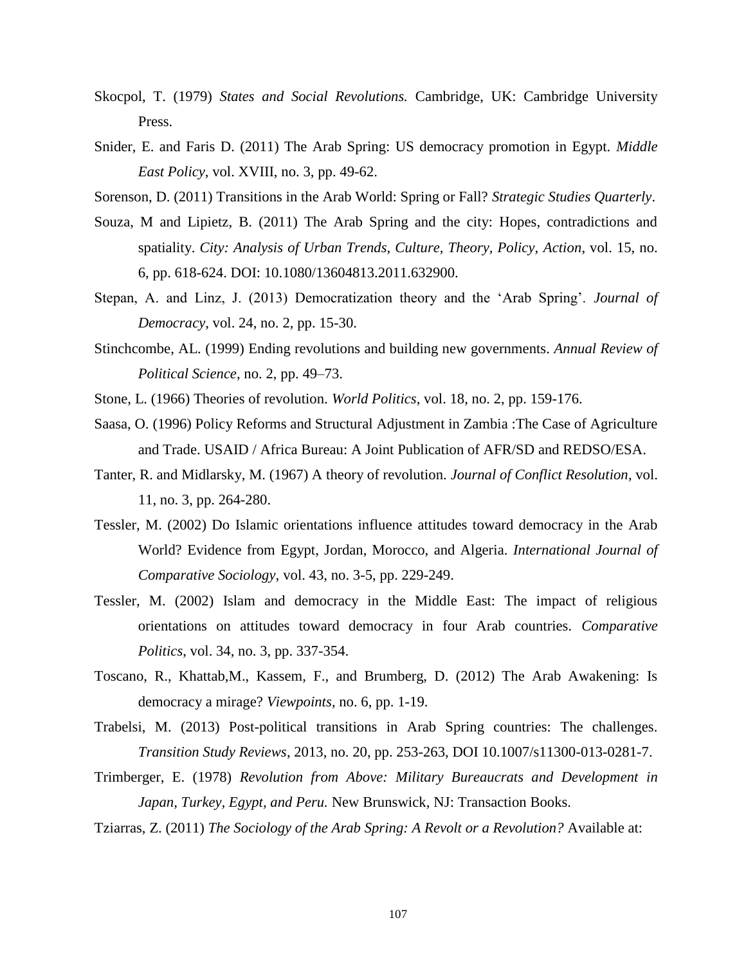- Skocpol, T. (1979) *States and Social Revolutions.* Cambridge, UK: Cambridge University Press.
- Snider, E. and Faris D. (2011) The Arab Spring: US democracy promotion in Egypt. *Middle East Policy*, vol. XVIII, no. 3, pp. 49-62.
- Sorenson, D. (2011) Transitions in the Arab World: Spring or Fall? *Strategic Studies Quarterly*.
- Souza, M and Lipietz, B. (2011) The Arab Spring and the city: Hopes, contradictions and spatiality. *City: Analysis of Urban Trends, Culture, Theory, Policy, Action*, vol. 15, no. 6, pp. 618-624. DOI: 10.1080/13604813.2011.632900.
- Stepan, A. and Linz, J. (2013) Democratization theory and the 'Arab Spring'. *Journal of Democracy*, vol. 24, no. 2, pp. 15-30.
- Stinchcombe, AL. (1999) Ending revolutions and building new governments. *Annual Review of Political Science*, no. 2, pp. 49–73.
- Stone, L. (1966) Theories of revolution. *World Politics*, vol. 18, no. 2, pp. 159-176.
- Saasa, O. (1996) Policy Reforms and Structural Adjustment in Zambia :The Case of Agriculture and Trade. USAID / Africa Bureau: A Joint Publication of AFR/SD and REDSO/ESA.
- Tanter, R. and Midlarsky, M. (1967) A theory of revolution. *Journal of Conflict Resolution*, vol. 11, no. 3, pp. 264-280.
- Tessler, M. (2002) Do Islamic orientations influence attitudes toward democracy in the Arab World? Evidence from Egypt, Jordan, Morocco, and Algeria. *International Journal of Comparative Sociology*, vol. 43, no. 3-5, pp. 229-249.
- Tessler, M. (2002) Islam and democracy in the Middle East: The impact of religious orientations on attitudes toward democracy in four Arab countries. *Comparative Politics*, vol. 34, no. 3, pp. 337-354.
- Toscano, R., Khattab,M., Kassem, F., and Brumberg, D. (2012) The Arab Awakening: Is democracy a mirage? *Viewpoints*, no. 6, pp. 1-19.
- Trabelsi, M. (2013) Post-political transitions in Arab Spring countries: The challenges. *Transition Study Reviews*, 2013, no. 20, pp. 253-263, DOI 10.1007/s11300-013-0281-7.
- Trimberger, E. (1978) *Revolution from Above: Military Bureaucrats and Development in Japan, Turkey, Egypt, and Peru.* New Brunswick, NJ: Transaction Books.
- Tziarras, Z. (2011) *The Sociology of the Arab Spring: A Revolt or a Revolution?* Available at: